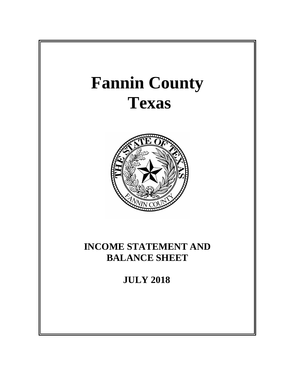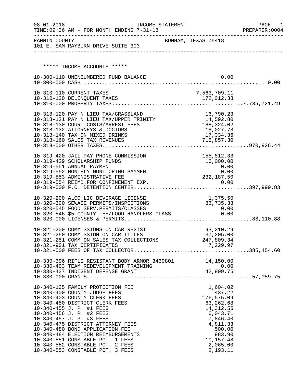| $08 - 01 - 2018$ | INCOME STATEMENT<br>TIME: 09:36 AM - FOR MONTH ENDING 7-31-18                                   |                               |              |                         | PAGE<br>- 1<br>PREPARER: 0004 |
|------------------|-------------------------------------------------------------------------------------------------|-------------------------------|--------------|-------------------------|-------------------------------|
|                  | FANNIN COUNTY<br>101 E. SAM RAYBURN DRIVE SUITE 303                                             | BONHAM, TEXAS 75418           |              |                         |                               |
|                  |                                                                                                 |                               |              |                         |                               |
|                  | ***** INCOME ACCOUNTS *****                                                                     |                               |              |                         |                               |
|                  | 10-300-110 UNENCUMBERED FUND BALANCE                                                            |                               |              | 0.00                    |                               |
|                  |                                                                                                 |                               |              |                         |                               |
|                  | 10-310-110 CURRENT TAXES                                                                        |                               | 7,563,709.11 |                         |                               |
|                  |                                                                                                 |                               |              |                         |                               |
|                  |                                                                                                 |                               |              |                         |                               |
|                  | 10-318-120 PAY N LIEU TAX/GRASSLAND                                                             |                               |              | 16,790.23               |                               |
|                  | 10-318-121 PAY N LIEU TAX/UPPER TRINITY $14,592.80$                                             |                               |              |                         |                               |
|                  | 10-318-130 COURT COSTS/ARREST FEES<br>10-318-132 ATTORNEYS & DOCTORS                            | $188, 324.02$<br>$18, 027.73$ |              | 18,027.73               |                               |
|                  | 10-318-140 TAX ON MIXED DRINKS                                                                  |                               |              | 17,334.36               |                               |
|                  |                                                                                                 |                               |              |                         |                               |
|                  |                                                                                                 |                               |              |                         |                               |
|                  | 10-319-420 JAIL PAY PHONE COMMISSION                                                            |                               |              | 155,812.33              |                               |
|                  | 10-319-429 SCHOLARSHIP FUNDS                                                                    |                               |              | 10,000.00               |                               |
|                  | 10-319-551 ANNUAL PAYMENT                                                                       |                               | $0.00$       |                         |                               |
|                  | 10-319-552 MONTHLY MONITORING PAYMEN<br>10-319-553 ADMINISTRATIVE FEE                           |                               |              |                         |                               |
|                  |                                                                                                 |                               | 232,187.50   |                         |                               |
|                  |                                                                                                 |                               |              |                         |                               |
|                  | 10-320-200 ALCOHLIC BEVERAGE LICENSE                                                            |                               |              | 1,375.50                |                               |
|                  | 10-320-300 SEWAGE PERMITS/INSPECTIONS                                                           |                               | 86,735.38    |                         |                               |
|                  | 10-320-545 FOOD SERV.PERMITS/CLASSES 0.00<br>10-320-546 \$5 COUNTY FEE/FOOD HANDLERS CLASS 0.00 |                               |              |                         |                               |
|                  |                                                                                                 |                               |              |                         |                               |
|                  |                                                                                                 |                               |              |                         |                               |
|                  | 10-321-200 COMMISSIONS ON CAR REGIST                                                            |                               |              | 93,210.29               |                               |
|                  | 10-321-250 COMMISSION ON CAR TITLES<br>10-321-251 COMM.ON SALES TAX COLLECTIONS 247,809.34      |                               |              | 37,205.00               |                               |
|                  | 10-321-901 TAX CERTIFICATES                                                                     |                               |              | 7,229.97                |                               |
|                  |                                                                                                 |                               |              |                         |                               |
|                  | 10-330-396 RIFLE RESISTANT BODY ARMOR 3439801 14,150.00                                         |                               |              |                         |                               |
|                  |                                                                                                 |                               |              |                         |                               |
|                  |                                                                                                 |                               |              |                         |                               |
|                  |                                                                                                 |                               |              |                         |                               |
|                  | 10-340-135 FAMILY PROTECTION FEE                                                                |                               |              | 1,604.02                |                               |
|                  | 10-340-400 COUNTY JUDGE FEES                                                                    |                               |              | 437.22                  |                               |
|                  | 10-340-403 COUNTY CLERK FEES                                                                    |                               |              | 176,575.09              |                               |
|                  | 10-340-450 DISTRICT CLERK FEES<br>10-340-455 J. P. #1 FEES                                      |                               |              | 63,262.68<br>14, 312.55 |                               |
|                  | 10-340-456 J. P. #2 FEES                                                                        |                               |              | 6,043.71                |                               |
|                  | 10-340-457 J. P. #3 FEES                                                                        |                               |              | 7,846.40                |                               |
|                  | 10-340-475 DISTRICT ATTORNEY FEES                                                               |                               |              | 4,811.33                |                               |
|                  | 10-340-480 BOND APPLICATION FEE                                                                 |                               |              | 500.00                  |                               |
|                  | 10-340-484 ELECTION REIMBURSEMENTS<br>10-340-551 CONSTABLE PCT. 1 FEES                          |                               |              | 983.90<br>10,157.48     |                               |
|                  | 10-340-552 CONSTABLE PCT. 2 FEES                                                                |                               |              | 2,065.00                |                               |
|                  | 10-340-553 CONSTABLE PCT. 3 FEES                                                                |                               |              | 2,193.11                |                               |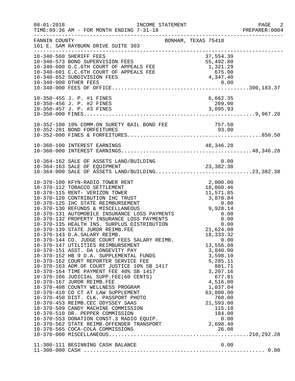| $08 - 01 - 2018$ | TIME: 09:36 AM - FOR MONTH ENDING 7-31-18                                                                                                                                                                                                                                                                                                                                                                                                     |                                               | PAGE 2<br>PREPARER: 0004 |
|------------------|-----------------------------------------------------------------------------------------------------------------------------------------------------------------------------------------------------------------------------------------------------------------------------------------------------------------------------------------------------------------------------------------------------------------------------------------------|-----------------------------------------------|--------------------------|
| FANNIN COUNTY    | BONHAM, TEXAS 75418<br>101 E. SAM RAYBURN DRIVE SUITE 303<br>_______________________                                                                                                                                                                                                                                                                                                                                                          |                                               |                          |
|                  | 10-340-573 BOND SUPERVISION FEES<br>10-340-600 D.C.6TH COURT OF APPEALS FEE 5<br>10-340-601 C.C.6TH COURT OF APPEALS FEE 1,321.29<br>10-340-601 C.C.6TH COURT OF APPEALS FEE 675.00<br>10-340-900 OTHER FEES<br>10-340-900 OTHER FEES<br>1                                                                                                                                                                                                    |                                               |                          |
|                  | 10-350-455 J. P. #1 FINES                                                                                                                                                                                                                                                                                                                                                                                                                     | 6,662.35                                      |                          |
|                  | 10-352-100 10% COMM.ON SURETY BAIL BOND FEE 757.50<br>10-352-201 BOND FORFEITURES                                                                                                                                                                                                                                                                                                                                                             | 93.00                                         |                          |
|                  | 10-360-100 INTEREST EARNINGS                                                                                                                                                                                                                                                                                                                                                                                                                  |                                               |                          |
|                  | 10-364-162 SALE OF ASSETS LAND/BUILDING<br>10-364-163 SALE OF EQUIPMENT 23,382.38<br>10-364-000 SALE OF ASSETS LAND/BUILDING23,382.38                                                                                                                                                                                                                                                                                                         |                                               |                          |
|                  | 10-370-100 KFYN-RADIO TOWER RENT<br>10-370-112 TOBACCO SETTLEMENT<br>10-370-115 RENT- VERIZON TOWER<br>10-370-115 RENT- VERIZON TOWER<br>10-370-120 CONTRIBUTION IHC TRUST<br>10-370-125 IHC STATE REIMBURSEMENT<br>10-370-130 REFUNDS & M<br>10-370-139 STATE JUROR REIMB.FEE<br>10-370-143 D.A.SALARY REIMB.<br>10-370-143 D.A.SALARY REIMB.<br>10-370-144 CO. JUDGE COURT FEES SALARY REIMB.<br>13,!<br>10-370-147 UTILITIES REIMBURSEMENT | 21,624.00<br>18, 333. 32<br>0.00<br>13,556.08 |                          |
|                  |                                                                                                                                                                                                                                                                                                                                                                                                                                               |                                               |                          |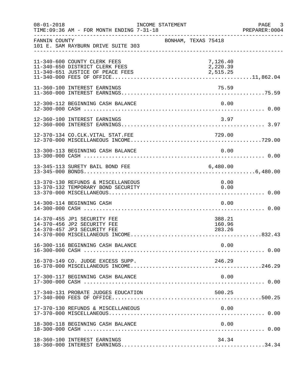| $08 - 01 - 2018$ | TIME: 09:36 AM - FOR MONTH ENDING 7-31-18                                                          | INCOME STATEMENT    |                                  | PAGE<br>$\overline{\phantom{a}}$ 3<br>PREPARER: 0004 |
|------------------|----------------------------------------------------------------------------------------------------|---------------------|----------------------------------|------------------------------------------------------|
| FANNIN COUNTY    | 101 E. SAM RAYBURN DRIVE SUITE 303                                                                 | BONHAM, TEXAS 75418 |                                  |                                                      |
|                  | 11-340-600 COUNTY CLERK FEES<br>11-340-650 DISTRICT CLERK FEES<br>11-340-651 JUSTICE OF PEACE FEES |                     | 7,126.40<br>2,220.39<br>2,515.25 |                                                      |
|                  | 11-360-100 INTEREST EARNINGS                                                                       |                     | 75.59                            |                                                      |
|                  | 12-300-112 BEGINNING CASH BALANCE                                                                  |                     | 0.00                             |                                                      |
|                  | 12-360-100 INTEREST EARNINGS                                                                       |                     | 3.97                             |                                                      |
|                  | 12-370-134 CO.CLK.VITAL STAT.FEE                                                                   |                     | 729.00                           |                                                      |
|                  | 13-300-113 BEGINNING CASH BALANCE                                                                  |                     | 0.00                             |                                                      |
|                  | 13-345-113 SURETY BAIL BOND FEE                                                                    |                     | 6,480.00                         |                                                      |
|                  | 13-370-130 REFUNDS & MISCELLANEOUS<br>13-370-132 TEMPORARY BOND SECURITY                           |                     | 0.00<br>0.00                     |                                                      |
|                  | 14-300-114 BEGINNING CASH                                                                          |                     | 0.00                             |                                                      |
|                  | 14-370-455 JP1 SECURITY FEE<br>14-370-456 JP2 SECURITY FEE<br>14-370-457 JP3 SECURITY FEE          |                     | 388.21<br>160.96<br>283.26       |                                                      |
|                  | 16-300-116 BEGINNING CASH BALANCE                                                                  |                     | 0.00                             |                                                      |
|                  | 16-370-149 CO. JUDGE EXCESS SUPP.                                                                  |                     | 246.29                           |                                                      |
|                  | 17-300-117 BEGINNING CASH BALANCE                                                                  |                     | 0.00                             |                                                      |
|                  | 17-340-131 PROBATE JUDGES EDUCATION                                                                |                     | 500.25                           |                                                      |
|                  | 17-370-130 REFUNDS & MISCELLANEOUS                                                                 |                     | 0.00                             |                                                      |
|                  | 18-300-118 BEGINNING CASH BALANCE                                                                  |                     | 0.00                             |                                                      |
|                  | 18-360-100 INTEREST EARNINGS                                                                       |                     | 34.34                            |                                                      |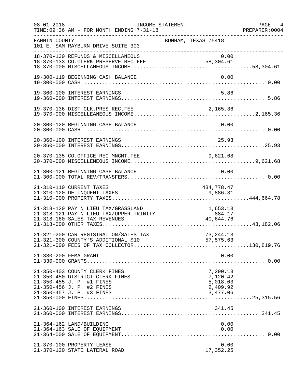| $08 - 01 - 2018$ | TIME: 09:36 AM - FOR MONTH ENDING 7-31-18                                                                                                               | INCOME STATEMENT | ___________________________________                      |              | PAGE 4<br>PREPARER:0004 |
|------------------|---------------------------------------------------------------------------------------------------------------------------------------------------------|------------------|----------------------------------------------------------|--------------|-------------------------|
| FANNIN COUNTY    | 101 E. SAM RAYBURN DRIVE SUITE 303<br>_________________________________                                                                                 |                  | BONHAM, TEXAS 75418                                      |              |                         |
|                  | 18-370-130 REFUNDS & MISCELLANEOUS<br>18-370-133 CO.CLERK PRESERVE REC FEE                                                                              |                  | 0.00<br>58,304.61                                        |              |                         |
|                  | 19-300-119 BEGINNING CASH BALANCE                                                                                                                       |                  |                                                          | 0.00         |                         |
|                  | 19-360-100 INTEREST EARNINGS                                                                                                                            |                  |                                                          | 5.86         |                         |
|                  | 19-370-136 DIST.CLK.PRES.REC.FEE                                                                                                                        |                  | 2,165.36                                                 |              |                         |
|                  | 20-300-120 BEGINNING CASH BALANCE                                                                                                                       |                  |                                                          | 0.00         |                         |
|                  | 20-360-100 INTEREST EARNINGS                                                                                                                            |                  | 25.93                                                    |              |                         |
|                  | 20-370-135 CO.OFFICE REC.MNGMT.FEE                                                                                                                      |                  | 9,621.68                                                 |              |                         |
|                  | 21-300-121 BEGINNING CASH BALANCE                                                                                                                       |                  |                                                          | 0.00         |                         |
|                  | 21-310-110 CURRENT TAXES<br>21-310-120 DELINQUENT TAXES                                                                                                 |                  | 434,778.47<br>9,886.31                                   |              |                         |
|                  |                                                                                                                                                         |                  |                                                          |              |                         |
|                  | 21-321-200 CAR REGISTRATION/SALES TAX                                                                                                                   |                  | 73, 244. 13                                              |              |                         |
|                  | 21-330-200 FEMA GRANT                                                                                                                                   |                  |                                                          | 0.00         |                         |
|                  | 21-350-403 COUNTY CLERK FINES<br>21-350-450 DISTRICT CLERK FINES<br>21-350-455 J. P. #1 FINES<br>21-350-456 J. P. #2 FINES<br>21-350-457 J. P. #3 FINES |                  | 7,290.13<br>7,120.42<br>5,018.03<br>2,409.92<br>3,477.06 |              |                         |
|                  | 21-360-100 INTEREST EARNINGS                                                                                                                            |                  | 341.45                                                   |              |                         |
|                  | 21-364-162 LAND/BUILDING<br>21-364-163 SALE OF EQUIPMENT                                                                                                |                  |                                                          | 0.00<br>0.00 |                         |
|                  | 21-370-100 PROPERTY LEASE<br>21-370-120 STATE LATERAL ROAD                                                                                              |                  | 17,352.25                                                | 0.00         |                         |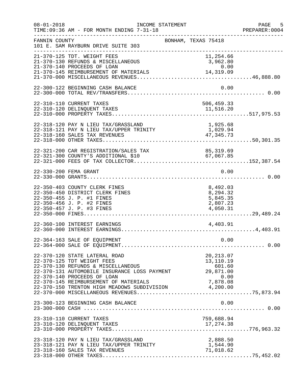| $08 - 01 - 2018$ | INCOME STATEMENT<br>TIME: 09:36 AM - FOR MONTH ENDING 7-31-18                                                                                                                                                                                                                     | ___________________________________                                | PAGE 5<br>PREPARER: 0004 |
|------------------|-----------------------------------------------------------------------------------------------------------------------------------------------------------------------------------------------------------------------------------------------------------------------------------|--------------------------------------------------------------------|--------------------------|
| FANNIN COUNTY    | 101 E. SAM RAYBURN DRIVE SUITE 303<br>________________________________                                                                                                                                                                                                            | BONHAM, TEXAS 75418                                                |                          |
|                  | 21-370-125 TDT. WEIGHT FEES<br>21-370-130 REFUNDS & MISCELLANEOUS                                                                                                                                                                                                                 | 11,254.66<br>3,962.80                                              |                          |
|                  |                                                                                                                                                                                                                                                                                   |                                                                    |                          |
|                  | 22-300-122 BEGINNING CASH BALANCE                                                                                                                                                                                                                                                 | 0.00                                                               |                          |
|                  | 22-310-110 CURRENT TAXES                                                                                                                                                                                                                                                          | 506,459.33                                                         |                          |
|                  | 22-318-120 PAY N LIEU TAX/GRASSLAND<br>22-318-120 PAY N LIEU TAX/GRASSLAND<br>22-318-121 PAY N LIEU TAX/UPPER TRINITY<br>22-318-160 SALES TAX REVENUES                                                                                                                            | 1,925.68<br>1,029.94<br>47, 345. 73                                |                          |
|                  | 22-321-200 CAR REGISTRATION/SALES TAX 85,319.69<br>22-321-300 COUNTY'S ADDITIONAL \$10 67,067.85                                                                                                                                                                                  | 85, 319.69                                                         |                          |
|                  | 22-330-200 FEMA GRANT                                                                                                                                                                                                                                                             | 0.00                                                               |                          |
|                  | 22-350-403 COUNTY CLERK FINES<br>22-350-450 DISTRICT CLERK FINES<br>22-350-455 J. P. #1 FINES<br>22-350-456 J. P. #2 FINES<br>22-350-457 J. P. #3 FINES                                                                                                                           | 8,492.03<br>8,294.32<br>5,845.35<br>2,807.23<br>4,050.31           |                          |
|                  | 22-360-100 INTEREST EARNINGS                                                                                                                                                                                                                                                      | 4,403.91                                                           |                          |
|                  | 22-364-163 SALE OF EQUIPMENT                                                                                                                                                                                                                                                      | 0.00                                                               |                          |
|                  | 22-370-120 STATE LATERAL ROAD<br>22-370-125 TDT WEIGHT FEES<br>22-370-130 REFUNDS & MISCELLANEOUS<br>22-370-131 AUTOMOBILE INSURANCE LOSS PAYMENT<br>22-370-140 PROCEEDS OF LOAN<br>22-370-145 REIMBURSEMENT OF MATERIALS<br>22-370-150 TRENTON HIGH MEADOWS SUBDIVISION 4,200.00 | 20, 213.07<br>13,110.19<br>601.60<br>29,871.00<br>0.00<br>7,878.08 |                          |
|                  | 23-300-123 BEGINNING CASH BALANCE                                                                                                                                                                                                                                                 | 0.00                                                               |                          |
|                  | 23-310-110 CURRENT TAXES                                                                                                                                                                                                                                                          | 759,688.94                                                         |                          |
|                  | 23-318-120 PAY N LIEU TAX/GRASSLAND<br>23-318-121 PAY N LIEU TAX/UPPER TRINITY<br>23-318-160 SALES TAX REVENUES                                                                                                                                                                   | 2,888.50<br>1,544.90<br>71,018.62                                  |                          |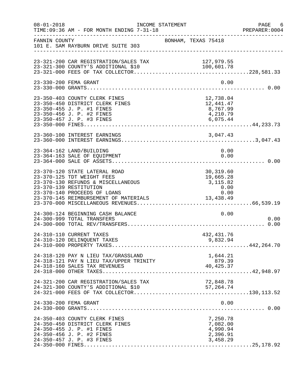| $08 - 01 - 2018$ | INCOME STATEMENT<br>TIME: 09:36 AM - FOR MONTH ENDING 7-31-18                                                                                                                                        |                                                                         | PAGE 6<br>PREPARER: 0004 |
|------------------|------------------------------------------------------------------------------------------------------------------------------------------------------------------------------------------------------|-------------------------------------------------------------------------|--------------------------|
| FANNIN COUNTY    | 101 E. SAM RAYBURN DRIVE SUITE 303                                                                                                                                                                   | BONHAM, TEXAS 75418                                                     |                          |
|                  | 23-321-200 CAR REGISTRATION/SALES TAX<br>23-321-300 COUNTY'S ADDITIONAL \$10                                                                                                                         | 127,979.55                                                              |                          |
|                  | 23-330-200 FEMA GRANT                                                                                                                                                                                | 0.00                                                                    |                          |
|                  | 23-350-403 COUNTY CLERK FINES<br>23-350-450 DISTRICT CLERK FINES<br>23-350-455 J. P. #1 FINES<br>23-350-456 J. P. #2 FINES                                                                           | 12,738.04<br>12,441.47<br>8,767.99<br>4,210.79                          |                          |
|                  | 23-360-100 INTEREST EARNINGS                                                                                                                                                                         |                                                                         |                          |
|                  | 23-364-162 LAND/BUILDING<br>23-364-163 SALE OF EQUIPMENT                                                                                                                                             | 0.00<br>0.00                                                            |                          |
|                  | 23-370-120 STATE LATERAL ROAD<br>23-370-125 TDT WEIGHT FEES<br>23-370-130 REFUNDS & MISCELLANEOUS<br>23-370-139 RESTITUTION<br>23-370-140 PROCEEDS OF LOANS<br>23-370-145 REIMBURSEMENT OF MATERIALS | 30,319.60<br>19,665.40<br>3,115.82<br>0.00<br>0.00<br>0.00<br>13,438.49 |                          |
|                  | 24-300-124 BEGINNING CASH BALANCE<br>24-300-999 TOTAL TRANSFERS                                                                                                                                      | 0.00                                                                    | 0.00                     |
|                  | 24-310-110 CURRENT TAXES<br>24-310-120 DELINQUENT TAXES                                                                                                                                              | 432, 431.76<br>9,832.94                                                 |                          |
|                  | 24-318-120 PAY N LIEU TAX/GRASSLAND<br>24-318-121 PAY N LIEU TAX/UPPER TRINITY<br>24-318-160 SALES TAX REVENUES                                                                                      | 1,644.21<br>879.39<br>39. د ره<br>40 , 425 . 37                         |                          |
|                  | 24-321-200 CAR REGISTRATION/SALES TAX<br>24-321-300 COUNTY'S ADDITIONAL \$10                                                                                                                         | 72,848.78<br>57, 264. 74                                                |                          |
|                  | 24-330-200 FEMA GRANT                                                                                                                                                                                | 0.00                                                                    |                          |
|                  | 24-350-403 COUNTY CLERK FINES<br>24-350-450 DISTRICT CLERK FINES<br>24-350-455 J. P. #1 FINES<br>24-350-456 J. P. #2 FINES<br>24-350-457 J. P. #3 FINES                                              | 7,250.78<br>7,082.00<br>4,990.94<br>2,396.91<br>3,458.29                |                          |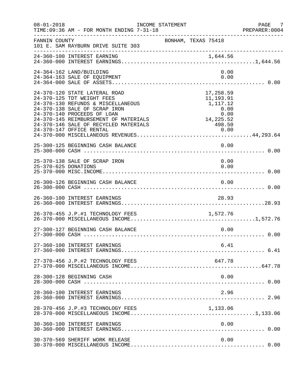| $08 - 01 - 2018$     | INCOME STATEMENT<br>TIME: 09:36 AM - FOR MONTH ENDING 7-31-18                                                                                                                                                                                       |                                                                                     | PAGE<br>7<br>PREPARER: 0004 |
|----------------------|-----------------------------------------------------------------------------------------------------------------------------------------------------------------------------------------------------------------------------------------------------|-------------------------------------------------------------------------------------|-----------------------------|
| FANNIN COUNTY        | 101 E. SAM RAYBURN DRIVE SUITE 303                                                                                                                                                                                                                  | BONHAM, TEXAS 75418                                                                 |                             |
|                      |                                                                                                                                                                                                                                                     |                                                                                     |                             |
|                      | 24-364-162 LAND/BUILDING<br>24-364-163 SALE OF EQUIPMENT                                                                                                                                                                                            | 0.00<br>0.00                                                                        |                             |
|                      | 24-370-120 STATE LATERAL ROAD<br>24-370-125 TDT WEIGHT FEES<br>24-370-130 REFUNDS & MISCELLANEOUS<br>24-370-138 SALE OF SCRAP IRON<br>24-370-140 PROCEEDS OF LOAN<br>24-370-145 REIMBURSEMENT OF MATERIALS<br>24-370-146 SALE OF RECYCLED MATERIALS | 17,258.59<br>11,193.91<br>1,117.12<br>0.00<br>$0.00$<br>0.00<br>14,225.52<br>498.50 |                             |
|                      | 25-300-125 BEGINNING CASH BALANCE                                                                                                                                                                                                                   | 0.00                                                                                |                             |
| 25-370-625 DONATIONS | 25-370-138 SALE OF SCRAP IRON                                                                                                                                                                                                                       | 0.00<br>0.00                                                                        |                             |
|                      | 26-300-126 BEGINNING CASH BALANCE                                                                                                                                                                                                                   | 0.00                                                                                |                             |
|                      | 26-360-100 INTEREST EARNINGS                                                                                                                                                                                                                        | 28.93                                                                               |                             |
|                      | 26-370-455 J.P.#1 TECHNOLOGY FEES                                                                                                                                                                                                                   | 1,572.76                                                                            |                             |
|                      | 27-300-127 BEGINNING CASH BALANCE                                                                                                                                                                                                                   | 0.00                                                                                |                             |
|                      | 27-360-100 INTEREST EARNINGS                                                                                                                                                                                                                        | 6.41                                                                                |                             |
|                      | 27-370-456 J.P.#2 TECHNOLOGY FEES                                                                                                                                                                                                                   | 647.78                                                                              |                             |
|                      | 28-300-128 BEGINNING CASH                                                                                                                                                                                                                           | 0.00                                                                                |                             |
|                      | 28-360-100 INTEREST EARNINGS                                                                                                                                                                                                                        | 2.96                                                                                |                             |
|                      | 28-370-456 J.P.#3 TECHNOLOGY FEES                                                                                                                                                                                                                   | 1,133.06                                                                            |                             |
|                      | 30-360-100 INTEREST EARNINGS                                                                                                                                                                                                                        | 0.00                                                                                |                             |
|                      | 30-370-569 SHERIFF WORK RELEASE                                                                                                                                                                                                                     | 0.00                                                                                |                             |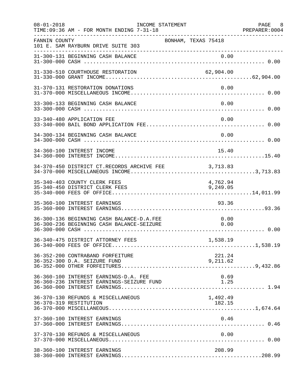| $08 - 01 - 2018$ | INCOME STATEMENT<br>TIME: 09:36 AM - FOR MONTH ENDING 7-31-18                          |                      | PAGE 8<br>PREPARER:0004 |
|------------------|----------------------------------------------------------------------------------------|----------------------|-------------------------|
| FANNIN COUNTY    | 101 E. SAM RAYBURN DRIVE SUITE 303<br>----------------------------------               | BONHAM, TEXAS 75418  |                         |
|                  | 31-300-131 BEGINNING CASH BALANCE                                                      | 0.00                 |                         |
|                  | 31-330-510 COURTHOUSE RESTORATION                                                      | 62,904.00            |                         |
|                  | 31-370-131 RESTORATION DONATIONS                                                       | 0.00                 |                         |
|                  | 33-300-133 BEGINNING CASH BALANCE                                                      | 0.00                 |                         |
|                  | 33-340-480 APPLICATION FEE                                                             | 0.00                 |                         |
|                  | 34-300-134 BEGINNING CASH BALANCE                                                      | 0.00                 |                         |
|                  | 34-360-100 INTEREST INCOME                                                             | 15.40                |                         |
|                  | 34-370-450 DISTRICT CT.RECORDS ARCHIVE FEE 3,713.83                                    |                      |                         |
|                  | 35-340-403 COUNTY CLERK FEES<br>35-340-450 DISTRICT CLERK FEES                         | 4,762.94<br>9,249.05 |                         |
|                  | 35-360-100 INTEREST EARNINGS                                                           | 93.36                |                         |
|                  | 36-300-136 BEGINNING CASH BALANCE-D.A.FEE<br>36-300-236 BEGINNING CASH BALANCE-SEIZURE | 0.00<br>0.00         |                         |
|                  |                                                                                        |                      |                         |
|                  | 36-352-200 CONTRABAND FORFEITURE<br>36-352-300 D.A. SEIZURE FUND                       | 221.24<br>9,211.62   |                         |
|                  | 36-360-100 INTEREST EARNINGS-D.A. FEE<br>36-360-236 INTEREST EARNINGS-SEIZURE FUND     | 0.69<br>1.25         |                         |
|                  | 36-370-130 REFUNDS & MISCELLANEOUS<br>36-370-319 RESTITUTION                           | 1,492.49<br>182.15   |                         |
|                  | 37-360-100 INTEREST EARNINGS                                                           | 0.46                 |                         |
|                  | 37-370-130 REFUNDS & MISCELLANEOUS                                                     | 0.00                 |                         |
|                  | 38-360-100 INTEREST EARNINGS                                                           | 208.99               |                         |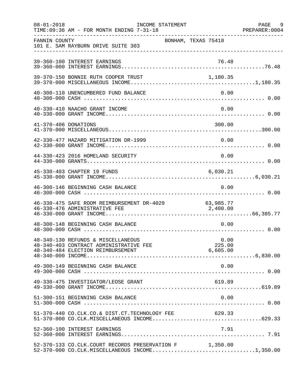| $08 - 01 - 2018$     | TIME: 09:36 AM - FOR MONTH ENDING 7-31-18                                                                              | INCOME STATEMENT |                     |                            | PAGE 9<br>PREPARER: 0004 |
|----------------------|------------------------------------------------------------------------------------------------------------------------|------------------|---------------------|----------------------------|--------------------------|
| FANNIN COUNTY        | 101 E. SAM RAYBURN DRIVE SUITE 303                                                                                     |                  | BONHAM, TEXAS 75418 |                            |                          |
|                      | 39-360-100 INTEREST EARNINGS                                                                                           |                  |                     | 76.48                      |                          |
|                      | 39-370-150 BONNIE RUTH COOPER TRUST                                                                                    |                  |                     | 1,180.35                   |                          |
|                      | 40-300-110 UNENCUMBERED FUND BALANCE                                                                                   |                  |                     | 0.00                       |                          |
|                      | 40-330-410 NAACHO GRANT INCOME                                                                                         |                  |                     | 0.00                       |                          |
| 41-370-406 DONATIONS |                                                                                                                        |                  |                     | 300.00                     |                          |
|                      | 42-330-477 HAZARD MITIGATION DR-1999                                                                                   |                  |                     | 0.00                       |                          |
|                      | 44-330-423 2016 HOMELAND SECURITY                                                                                      |                  |                     | 0.00                       |                          |
|                      | 45-330-403 CHAPTER 19 FUNDS                                                                                            |                  |                     | 6,030.21                   |                          |
|                      | 46-300-146 BEGINNING CASH BALANCE                                                                                      |                  |                     | 0.00                       |                          |
|                      | 46-330-475 SAFE ROOM REIMBURSEMENT DR-4029 63,985.77<br>46-330-476 ADMINISTRATIVE FFE<br>46-330-476 ADMINISTRATIVE FEE |                  |                     | 2,400.00                   |                          |
|                      | 48-300-148 BEGINNING CASH BALANCE                                                                                      |                  |                     | 0.00                       |                          |
|                      | 48-340-130 REFUNDS & MISCELLANEOUS<br>48-340-403 CONTRACT ADMINISTRATIVE FEE<br>48-340-484 ELECTION REIMBURSEMENT      |                  |                     | 0.00<br>225.00<br>6,605.00 |                          |
|                      | 49-300-149 BEGINNING CASH BALANCE                                                                                      |                  |                     | 0.00                       |                          |
|                      | 49-330-475 INVESTIGATOR/LEOSE GRANT                                                                                    |                  |                     | 619.89                     |                          |
|                      | 51-300-151 BEGINNING CASH BALANCE                                                                                      |                  |                     | 0.00                       |                          |
|                      | 51-370-440 CO.CLK.CO.& DIST.CT.TECHNOLOGY FEE 629.33                                                                   |                  |                     |                            |                          |
|                      | 52-360-100 INTEREST EARNINGS                                                                                           |                  |                     | 7.91                       |                          |
|                      | 52-370-133 CO.CLK.COURT RECORDS PRESERVATION F 1,350.00<br>52-370-000 CO.CLK.MISCELLANEOUS INCOME1,350.00              |                  |                     |                            |                          |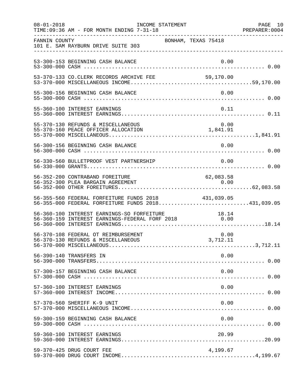| $08 - 01 - 2018$ | INCOME STATEMENT<br>TIME: 09:36 AM - FOR MONTH ENDING 7-31-18                                           |                     | PAGE 10<br>PREPARER: 0004 |
|------------------|---------------------------------------------------------------------------------------------------------|---------------------|---------------------------|
| FANNIN COUNTY    | 101 E. SAM RAYBURN DRIVE SUITE 303                                                                      | BONHAM, TEXAS 75418 |                           |
|                  | 53-300-153 BEGINNING CASH BALANCE                                                                       | 0.00                |                           |
|                  | 53-370-133 CO.CLERK RECORDS ARCHIVE FEE 59,170.00                                                       |                     |                           |
|                  | 55-300-156 BEGINNING CASH BALANCE                                                                       | 0.00                |                           |
|                  | 55-360-100 INTEREST EARNINGS                                                                            | 0.11                |                           |
|                  | 55-370-130 REFUNDS & MISCELLANEOUS                                                                      |                     |                           |
|                  | 56-300-156 BEGINNING CASH BALANCE                                                                       | 0.00                |                           |
|                  | 56-330-560 BULLETPROOF VEST PARTNERSHIP                                                                 | 0.00                |                           |
|                  | 56-352-200 CONTRABAND FOREITURE                                                                         | 62,083.58           |                           |
|                  | 56-355-560 FEDERAL FORFEITURE FUNDS 2018<br>56-355-000 FEDERAL FORFEITURE FUNDS 2018431,039.05          | 431,039.05          |                           |
|                  | 56-360-100 INTEREST EARNINGS-SO FORFEITURE 18.14<br>56-360-159 INTEREST EARNINGS-FEDERAL FORF 2018 0.00 |                     |                           |
|                  | 56-370-108 FEDERAL OT REIMBURSEMENT                                                                     | 0.00                |                           |
|                  | 56-390-140 TRANSFERS IN                                                                                 | 0.00                |                           |
|                  | 57-300-157 BEGINNING CASH BALANCE                                                                       | 0.00                |                           |
|                  | 57-360-100 INTEREST EARNINGS                                                                            | 0.00                |                           |
|                  | 57-370-560 SHERIFF K-9 UNIT                                                                             | 0.00                |                           |
|                  | 59-300-159 BEGINNING CASH BALANCE                                                                       | 0.00                |                           |
|                  | 59-360-100 INTEREST EARNINGS                                                                            | 20.99               |                           |
|                  | 59-370-425 DRUG COURT FEE                                                                               | 4,199.67            |                           |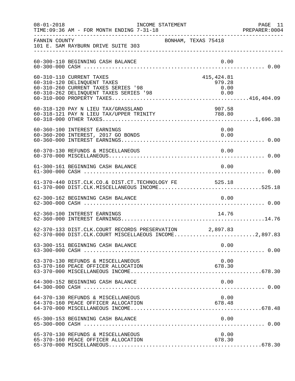| $08 - 01 - 2018$ | INCOME STATEMENT<br>TIME: 09:36 AM - FOR MONTH ENDING 7-31-18                                                                                 |                               | PAGE 11<br>PREPARER: 0004 |
|------------------|-----------------------------------------------------------------------------------------------------------------------------------------------|-------------------------------|---------------------------|
| FANNIN COUNTY    | BONHAM, TEXAS 75418<br>101 E. SAM RAYBURN DRIVE SUITE 303                                                                                     |                               |                           |
|                  | 60-300-110 BEGINNING CASH BALANCE                                                                                                             | 0.00                          |                           |
|                  | 60-310-110 CURRENT TAXES<br>60-310-120 DELINQUENT TAXES<br>60-310-260 CURRENT TAXES SERIES '98<br>60-310-262 DELINQUENT TAXES SERIES '98 0.00 | 415, 424.81<br>979.28<br>0.00 |                           |
|                  | 60-318-120 PAY N LIEU TAX/GRASSLAND<br>60-318-121 PAY N LIEU TAX/UPPER TRINITY                                                                | 907.58<br>788.80              |                           |
|                  | 60-360-100 INTEREST EARNINGS<br>60-360-200 INTEREST, 2017 GO BONDS                                                                            | 0.00<br>0.00                  |                           |
|                  | 60-370-130 REFUNDS & MISCELLANEOUS                                                                                                            | 0.00                          |                           |
|                  | 61-300-161 BEGINNING CASH BALANCE                                                                                                             | 0.00                          |                           |
|                  | 61-370-440 DIST.CLK.CO.& DIST.CT.TECHNOLOGY FE 525.18<br>61-370-000 DIST.CLK.MISCELLANEOUS INCOME525.18                                       |                               |                           |
|                  | 62-300-162 BEGINNING CASH BALANCE                                                                                                             | 0.00                          |                           |
|                  | 62-360-100 INTEREST EARNINGS                                                                                                                  | 14.76                         |                           |
|                  | 62-370-133 DIST.CLK.COURT RECORDS PRESERVATION 2,897.83<br>62-370-000 DIST.CLK.COURT MISCELLAEOUS INCOME2,897.83                              |                               |                           |
|                  | 63-300-151 BEGINNING CASH BALANCE                                                                                                             | 0.00                          |                           |
|                  | 63-370-130 REFUNDS & MISCELLANEOUS<br>63-370-160 PEACE OFFICER ALLOCATION                                                                     | 0.00<br>678.30                |                           |
|                  | 64-300-152 BEGINNING CASH BALANCE                                                                                                             | 0.00                          |                           |
|                  | 64-370-130 REFUNDS & MISCELLANEOUS<br>64-370-160 PEACE OFFICER ALLOCATION                                                                     | 0.00<br>678.48                |                           |
|                  | 65-300-153 BEGINNING CASH BALANCE                                                                                                             | 0.00                          |                           |
|                  | 65-370-130 REFUNDS & MISCELLANEOUS<br>65-370-160 PEACE OFFICER ALLOCATION                                                                     | 0.00<br>678.30                |                           |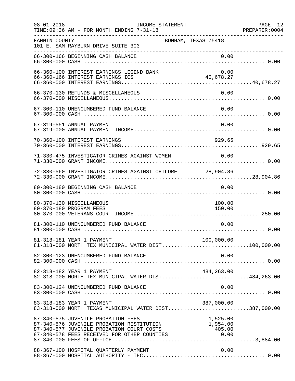| $08 - 01 - 2018$ | INCOME STATEMENT<br>TIME: 09:36 AM - FOR MONTH ENDING 7-31-18                                                                                                                                                                                                       |                                      | PAGE 12<br>PREPARER: 0004 |
|------------------|---------------------------------------------------------------------------------------------------------------------------------------------------------------------------------------------------------------------------------------------------------------------|--------------------------------------|---------------------------|
| FANNIN COUNTY    | BONHAM, TEXAS 75418<br>101 E. SAM RAYBURN DRIVE SUITE 303                                                                                                                                                                                                           |                                      |                           |
|                  | 66-300-166 BEGINNING CASH BALANCE                                                                                                                                                                                                                                   | 0.00                                 |                           |
|                  | 66-360-100 INTEREST EARNINGS LEGEND BANK                                                                                                                                                                                                                            | 0.00                                 |                           |
|                  | 66-370-130 REFUNDS & MISCELLANEOUS                                                                                                                                                                                                                                  | 0.00                                 |                           |
|                  | 67-300-110 UNENCUMBERED FUND BALANCE                                                                                                                                                                                                                                | 0.00                                 |                           |
|                  | 67-319-551 ANNUAL PAYMENT                                                                                                                                                                                                                                           | 0.00                                 |                           |
|                  | 70-360-100 INTEREST EARNINGS                                                                                                                                                                                                                                        | 929.65                               |                           |
|                  | 71-330-475 INVESTIGATOR CRIMES AGAINST WOMEN                                                                                                                                                                                                                        | 0.00                                 |                           |
|                  | 72-330-560 INVESTIGATOR CRIMES AGAINST CHILDRE 28,904.86                                                                                                                                                                                                            |                                      |                           |
|                  | 80-300-180 BEGINNING CASH BALANCE                                                                                                                                                                                                                                   | 0.00                                 |                           |
|                  | 80-370-130 MISCELLANEOUS<br>80-370-180 PROGRAM FEES                                                                                                                                                                                                                 | 100.00<br>150.00                     |                           |
|                  | 81-300-110 UNENCUMBERED FUND BALANCE                                                                                                                                                                                                                                | 0.00                                 |                           |
|                  | 81-318-181 YEAR 1 PAYMENT<br>81-318-000 NORTH TEX MUNICIPAL WATER DIST100,000.00                                                                                                                                                                                    | 100,000.00                           |                           |
|                  | 82-300-123 UNENCUMBERED FUND BALANCE                                                                                                                                                                                                                                | 0.00                                 |                           |
|                  | 82-318-182 YEAR 1 PAYMENT<br>82-318-000 NORTH TEX MUNICIPAL WATER DIST484,263.00                                                                                                                                                                                    | 484,263.00                           |                           |
|                  | 83-300-124 UNENCUMBERED FUND BALANCE                                                                                                                                                                                                                                | 0.00                                 |                           |
|                  | 83-318-183 YEAR 1 PAYMENT<br>83-318-000 NORTH TEXAS MUNICIPAL WATER DIST387,000.00                                                                                                                                                                                  | 387,000.00                           |                           |
|                  | 87-340-575 JUVENILE PROBATION FEES<br>87-340-575 JUVENILE PROBATION FEES<br>87-340-576 JUVENILE PROBATION RESTITUTION 1,954.00<br>87-340-577 JUVENILE PROBATION COURT COSTS 405.00<br>87-340-578 FEES RECEIVED FOR OTHER COUNTIES 0.00<br>87-340-000 FEES OF OFFICE | 1,525.00<br>$1,954.00$<br>$1,954.00$ |                           |
|                  | 88-367-100 HOSPITAL QUARTERLY PAYMENT                                                                                                                                                                                                                               | 0.00                                 |                           |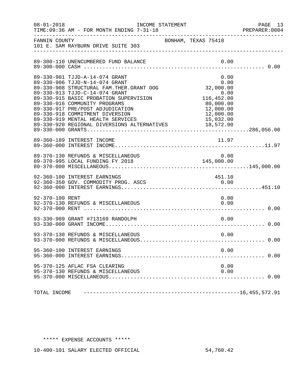| $08 - 01 - 2018$ | INCOME STATEMENT<br>TIME: 09:36 AM - FOR MONTH ENDING 7-31-18                                                                                                                                                                                                                                                                                                                                              |                                                                                          | PAGE 13<br>PREPARER: 0004 |
|------------------|------------------------------------------------------------------------------------------------------------------------------------------------------------------------------------------------------------------------------------------------------------------------------------------------------------------------------------------------------------------------------------------------------------|------------------------------------------------------------------------------------------|---------------------------|
| FANNIN COUNTY    | 101 E. SAM RAYBURN DRIVE SUITE 303                                                                                                                                                                                                                                                                                                                                                                         | BONHAM, TEXAS 75418                                                                      |                           |
|                  | 89-300-110 UNENCUMBERED FUND BALANCE                                                                                                                                                                                                                                                                                                                                                                       | 0.00                                                                                     |                           |
|                  | 89-330-901 TJJD-A-14-074 GRANT<br>89-330-906 TJJD-N-14-074 GRANT<br>89-330-908 STRUCTURAL FAM. THER. GRANT OOG<br>89-330-913 TJJD-C-14-074 GRANT<br>89-330-915 BASIC PROBATION SUPERVISION<br>89-330-916 COMMUNITY PROGRAMS<br>89-330-917 PRE/POST ADJUDICATION<br>89-330-918 COMMITMENT DIVERSION<br>89-330-919 MENTAL HEALTH SERVICES 15,032.00<br>89-330-920 REGIONAL DIVERSIONS ALTERNATIVES 18,572.00 | 0.00<br>0.00<br>32,000.00<br>$0.00$<br>116,452.00<br>80,000.00<br>12,000.00<br>12,000.00 |                           |
|                  | 89-360-189 INTEREST INCOME                                                                                                                                                                                                                                                                                                                                                                                 | 11.97                                                                                    |                           |
|                  |                                                                                                                                                                                                                                                                                                                                                                                                            |                                                                                          |                           |
|                  | 92-360-100 INTEREST EARNINGS<br>92-360-350 GOV. COMMODITY PROG. ASCS                                                                                                                                                                                                                                                                                                                                       | 451.10<br>0.00                                                                           |                           |
| 92-370-100 RENT  | 92-370-130 REFUNDS & MISCELLANEOUS                                                                                                                                                                                                                                                                                                                                                                         | 0.00<br>0.00                                                                             |                           |
|                  |                                                                                                                                                                                                                                                                                                                                                                                                            |                                                                                          |                           |
|                  | 93-370-130 REFUNDS & MISCELLANEOUS                                                                                                                                                                                                                                                                                                                                                                         | 0.00                                                                                     |                           |
|                  | 95-360-100 INTEREST EARNINGS                                                                                                                                                                                                                                                                                                                                                                               | 0.00                                                                                     |                           |
|                  | 95-370-125 AFLAC FSA CLEARING<br>95-370-130 REFUNDS & MISCELLANEOUS                                                                                                                                                                                                                                                                                                                                        | 0.00<br>0.00                                                                             |                           |
| TOTAL INCOME     |                                                                                                                                                                                                                                                                                                                                                                                                            |                                                                                          |                           |

## \*\*\*\*\* EXPENSE ACCOUNTS \*\*\*\*\*

10-400-101 SALARY ELECTED OFFICIAL 54,760.42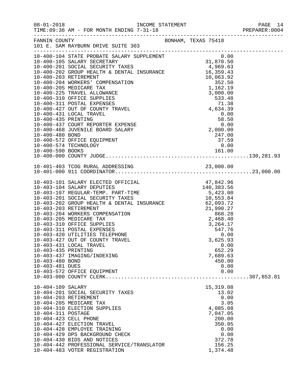| $08 - 01 - 2018$                                          | TIME: 09:36 AM - FOR MONTH ENDING 7-31-18<br>______________________________________                                                                                                                                                                                                                                                                                                                                                                                                                                                                                                                                                                                                                                                                                                                                             |                     |                                                                                                                                | PAGE 14<br>PREPARER: 0004 |
|-----------------------------------------------------------|---------------------------------------------------------------------------------------------------------------------------------------------------------------------------------------------------------------------------------------------------------------------------------------------------------------------------------------------------------------------------------------------------------------------------------------------------------------------------------------------------------------------------------------------------------------------------------------------------------------------------------------------------------------------------------------------------------------------------------------------------------------------------------------------------------------------------------|---------------------|--------------------------------------------------------------------------------------------------------------------------------|---------------------------|
|                                                           | FANNIN COUNTY<br>101 E. SAM RAYBURN DRIVE SUITE 303                                                                                                                                                                                                                                                                                                                                                                                                                                                                                                                                                                                                                                                                                                                                                                             | BONHAM, TEXAS 75418 |                                                                                                                                |                           |
| 10-400-480 BOND                                           | $\begin{tabular}{lllllllllllllllllllllllllllllllllllll} \rule[-0.2cm]{0cm0cm} \multicolumn{2}{c }{\multicolumn{2}{c }{\multicolumn{2}{c }{\multicolumn{2}{c }{\multicolumn{2}{c }{\multicolumn{2}{c }{\multicolumn{2}{c }{\multicolumn{2}{c }{\multicolumn{2}{c }{\multicolumn{2}{c }{\multicolumn{2}{c }{\multicolumn{2}{c }{\multicolumn{2}{c }{\multicolumn{2}{c }{\multicolumn{2}{c }{\multicolumn{2}{c }{\multicolumn{2}{c }{\multicolumn{2}{c }{\$<br>$\begin{array}{cccc} 10-400-431 &\text{LOCAL} & \text{TRAVEL} & & & & 0.00 \\ 10-400-435 & \text{PRINTING} & & & & 58.50 \\ 10-400-437 & \text{COURT} & \text{REPORTER EXPENSE} & & & & 0.00 \\ 10-400-468 & \text{JUVENILE BOARD SALARY} & & & & 2,000.00 \end{array}$<br>10-400-468 JUVENILE BOARD SALARY<br>10-400-572 OFFICE EQUIPMENT<br>10-400-574 TECHNOLOGY |                     | 247.00<br>37.59<br>0.00                                                                                                        |                           |
|                                                           |                                                                                                                                                                                                                                                                                                                                                                                                                                                                                                                                                                                                                                                                                                                                                                                                                                 |                     |                                                                                                                                |                           |
| 10-403-435 PRINTING<br>10-403-480 BOND<br>10-403-481 DUES | 10-403-420 UTILITIES TELEPHONE<br>10-403-427 OUT OF COUNTY TRAVEL<br>10-403-431 LOCAL TRAVEL<br>10-403-437 IMAGING/INDEXING<br>10-403-572 OFFICE EQUIPMENT                                                                                                                                                                                                                                                                                                                                                                                                                                                                                                                                                                                                                                                                      |                     | 0.00<br>3,625.93<br>0.00<br>652.29<br>7,689.63<br>450.00<br>0.00<br>0.00                                                       |                           |
| 10-404-109 SALARY<br>10-404-311 POSTAGE                   | 10-404-201 SOCIAL SECURITY TAXES<br>10-404-203 RETIREMENT<br>10-404-205 MEDICARE TAX<br>10-404-310 ELECTION SUPPLIES<br>10-404-423 CELL PHONE<br>10-404-427 ELECTION TRAVEL<br>10-404-428 EMPLOYEE TRAINING<br>10-404-429 DPS BACKGROUND CHECK<br>10-404-430 BIDS AND NOTICES<br>10-404-442 PROFESSIONAL SERVICE/TRANSLATOR<br>10-404-483 VOTER REGISTRATION                                                                                                                                                                                                                                                                                                                                                                                                                                                                    |                     | 15,319.08<br>13.02<br>0.00<br>3.05<br>4,085.08<br>7,047.05<br>200.00<br>350.05<br>0.00<br>0.00<br>372.78<br>156.25<br>1,374.48 |                           |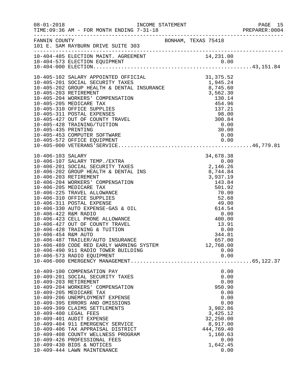| $08 - 01 - 2018$                            | TIME: 09:36 AM - FOR MONTH ENDING 7-31-18<br>______________________________________                                                                                                                                                                                                                                                                                                                                                                                                                                            |  |                                                                                                                                                               | PAGE 15<br>PREPARER:0004 |
|---------------------------------------------|--------------------------------------------------------------------------------------------------------------------------------------------------------------------------------------------------------------------------------------------------------------------------------------------------------------------------------------------------------------------------------------------------------------------------------------------------------------------------------------------------------------------------------|--|---------------------------------------------------------------------------------------------------------------------------------------------------------------|--------------------------|
| FANNIN COUNTY                               | 101 E. SAM RAYBURN DRIVE SUITE 303                                                                                                                                                                                                                                                                                                                                                                                                                                                                                             |  | BONHAM, TEXAS 75418                                                                                                                                           |                          |
|                                             |                                                                                                                                                                                                                                                                                                                                                                                                                                                                                                                                |  |                                                                                                                                                               |                          |
|                                             |                                                                                                                                                                                                                                                                                                                                                                                                                                                                                                                                |  |                                                                                                                                                               |                          |
| 10-406-422 R&M RADIO<br>10-406-454 R&M AUTO | 10-406-423 CELL PHONE ALLOWANCE<br>10-406-427 OUT OF COUNTY TRAVEL<br>10-406-428 TRAINING & TUITION<br>10-406-487 TRAILER/AUTO INSURANCE<br>10-406-489 CODE RED EARLY WARNING SYSTEM<br>10-406-490 911 RADIO TOWER BUILDING<br>10-406-573 RADIO EQUIPMENT                                                                                                                                                                                                                                                                      |  | $\begin{array}{r} 0.00 \\ 0.00 \\ 400.00 \\ 13.91 \\ 0.00 \\ 344.81 \end{array}$<br>344.81<br>657.00<br>12,768.00<br>0.00<br>0.00                             |                          |
|                                             | 10-409-100 COMPENSATION PAY<br>10-409-201 SOCIAL SECURITY TAXES<br>10-409-203 RETIREMENT<br>10-409-204 WORKERS' COMPENSATION<br>10-409-205 MEDICARE TAX<br>10-409-206 UNEMPLOYMENT EXPENSE<br>10-409-395 ERRORS AND OMISSIONS<br>10-409-399 CLAIMS SETTLEMENTS<br>10-409-400 LEGAL FEES<br>10-409-401 AUDIT EXPENSE<br>10-409-404 911 EMERGENCY SERVICE<br>10-409-406 TAX APPRAISAL DISTRICT<br>10-409-408 COUNTY WELLNESS PROGRAM<br>10-409-426 PROFESSIONAL FEES<br>10-409-430 BIDS & NOTICES<br>10-409-444 LAWN MAINTENANCE |  | 0.00<br>0.00<br>0.00<br>950.90<br>0.00<br>0.00<br>0.00<br>3,982.86<br>3,425.12<br>32,250.00<br>8,917.00<br>444,769.40<br>1,160.63<br>0.00<br>1,642.45<br>0.00 |                          |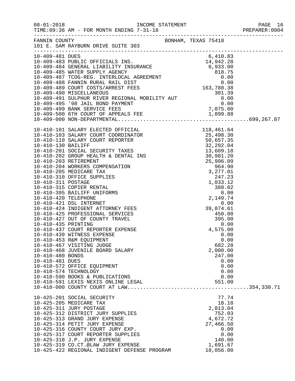| $08 - 01 - 2018$ | TIME: 09:36 AM - FOR MONTH ENDING 7-31-18<br>---------------------------------                                                                                                                                                                                                                                                                                    |                    |  |
|------------------|-------------------------------------------------------------------------------------------------------------------------------------------------------------------------------------------------------------------------------------------------------------------------------------------------------------------------------------------------------------------|--------------------|--|
|                  | FANNIN COUNTY BONHAM, TEXAS 75418<br>101 E. SAM RAYBURN DRIVE SUITE 303                                                                                                                                                                                                                                                                                           |                    |  |
| 10-409-481 DUES  |                                                                                                                                                                                                                                                                                                                                                                   | 6,410.83           |  |
|                  |                                                                                                                                                                                                                                                                                                                                                                   |                    |  |
|                  |                                                                                                                                                                                                                                                                                                                                                                   |                    |  |
|                  |                                                                                                                                                                                                                                                                                                                                                                   |                    |  |
|                  |                                                                                                                                                                                                                                                                                                                                                                   |                    |  |
|                  |                                                                                                                                                                                                                                                                                                                                                                   |                    |  |
|                  |                                                                                                                                                                                                                                                                                                                                                                   |                    |  |
|                  |                                                                                                                                                                                                                                                                                                                                                                   |                    |  |
|                  |                                                                                                                                                                                                                                                                                                                                                                   |                    |  |
|                  |                                                                                                                                                                                                                                                                                                                                                                   |                    |  |
|                  |                                                                                                                                                                                                                                                                                                                                                                   |                    |  |
|                  |                                                                                                                                                                                                                                                                                                                                                                   |                    |  |
|                  | $10-410-101 \,\,\mathrm{SALARY\,\, ELECTED\,\, OFFCORDINATOR} \hspace{1.0cm} 118,461.64 \\ 10-410-101 \,\,\mathrm{SALARY\,\, COURT\,\, COORINTATOR} \hspace{1.0cm} 138,461.64 \\ 10-410-103 \,\,\mathrm{SALARY\,\, COURT\,\, COORINTATOR} \hspace{1.0cm} 15,498.30 \\ 10-410-110 \,\,\mathrm{SALARY\,\, COURT\,\, REPORTER} \hspace{1.0cm} 50,657.35 \\ 10-410-2$ |                    |  |
|                  |                                                                                                                                                                                                                                                                                                                                                                   |                    |  |
|                  |                                                                                                                                                                                                                                                                                                                                                                   |                    |  |
|                  |                                                                                                                                                                                                                                                                                                                                                                   |                    |  |
|                  |                                                                                                                                                                                                                                                                                                                                                                   |                    |  |
|                  |                                                                                                                                                                                                                                                                                                                                                                   |                    |  |
|                  |                                                                                                                                                                                                                                                                                                                                                                   |                    |  |
|                  |                                                                                                                                                                                                                                                                                                                                                                   |                    |  |
|                  |                                                                                                                                                                                                                                                                                                                                                                   |                    |  |
|                  |                                                                                                                                                                                                                                                                                                                                                                   |                    |  |
|                  |                                                                                                                                                                                                                                                                                                                                                                   |                    |  |
|                  |                                                                                                                                                                                                                                                                                                                                                                   |                    |  |
|                  |                                                                                                                                                                                                                                                                                                                                                                   |                    |  |
|                  |                                                                                                                                                                                                                                                                                                                                                                   |                    |  |
|                  |                                                                                                                                                                                                                                                                                                                                                                   |                    |  |
|                  |                                                                                                                                                                                                                                                                                                                                                                   |                    |  |
|                  |                                                                                                                                                                                                                                                                                                                                                                   |                    |  |
|                  |                                                                                                                                                                                                                                                                                                                                                                   |                    |  |
|                  | 10-410-437 COURT REPORTER EXPENSE                                                                                                                                                                                                                                                                                                                                 | 4,575.00           |  |
|                  | 10-410-439 WITNESS EXPENSE                                                                                                                                                                                                                                                                                                                                        | 0.00               |  |
|                  | 10-410-453 R&M EQUIPMENT                                                                                                                                                                                                                                                                                                                                          | 0.00               |  |
|                  | 10-410-467 VISITING JUDGE                                                                                                                                                                                                                                                                                                                                         | 682.28             |  |
| 10-410-480 BONDS | 10-410-468 JUVENILE BOARD SALARY                                                                                                                                                                                                                                                                                                                                  | 2,000.00<br>247.00 |  |
| 10-410-481 DUES  |                                                                                                                                                                                                                                                                                                                                                                   | 0.00               |  |
|                  | 10-410-572 OFFICE EQUIPMENT                                                                                                                                                                                                                                                                                                                                       | 0.00               |  |
|                  | 10-410-574 TECHNOLOGY                                                                                                                                                                                                                                                                                                                                             | 0.00               |  |
|                  | 10-410-590 BOOKS & PUBLICATIONS                                                                                                                                                                                                                                                                                                                                   | 0.00               |  |
|                  | 10-410-591 LEXIS NEXIS ONLINE LEGAL                                                                                                                                                                                                                                                                                                                               | 551.00             |  |
|                  |                                                                                                                                                                                                                                                                                                                                                                   |                    |  |
|                  |                                                                                                                                                                                                                                                                                                                                                                   | 77.74              |  |
|                  | 10-425-201 SOCIAL SECURITY<br>10-425-205 MEDICARE TAX                                                                                                                                                                                                                                                                                                             | 18.18              |  |
|                  | 10-425-311 JURY POSTAGE                                                                                                                                                                                                                                                                                                                                           | 2,813.04           |  |
|                  | 10-425-312 DISTRICT JURY SUPPLIES                                                                                                                                                                                                                                                                                                                                 | 752.03             |  |
|                  | 10-425-313 GRAND JURY EXPENSE                                                                                                                                                                                                                                                                                                                                     | 4,672.72           |  |
|                  | 10-425-314 PETIT JURY EXPENSE                                                                                                                                                                                                                                                                                                                                     | 27,466.50          |  |
|                  | 10-425-316 COUNTY COURT JURY EXP.                                                                                                                                                                                                                                                                                                                                 | 0.00               |  |
|                  | 10-425-317 COURT REPORTER SUPPLIES                                                                                                                                                                                                                                                                                                                                | 0.00               |  |
|                  | 10-425-318 J.P. JURY EXPENSE                                                                                                                                                                                                                                                                                                                                      | 140.00             |  |
|                  | 10-425-319 CO.CT.@LAW JURY EXPENSE                                                                                                                                                                                                                                                                                                                                | 1,691.67           |  |
|                  | 10-425-422 REGIONAL INDIGENT DEFENSE PROGRAM                                                                                                                                                                                                                                                                                                                      | 18,056.00          |  |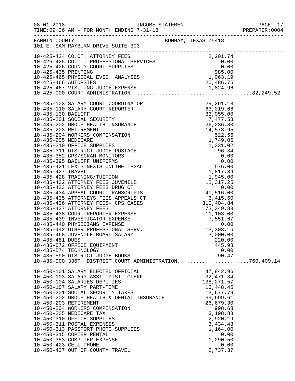|                 |                                                                                                         |                     |                  | PREPARER: 0004 |
|-----------------|---------------------------------------------------------------------------------------------------------|---------------------|------------------|----------------|
|                 | FANNIN COUNTY<br>101 E. SAM RAYBURN DRIVE SUITE 303                                                     | BONHAM, TEXAS 75418 |                  |                |
|                 |                                                                                                         |                     |                  |                |
|                 |                                                                                                         |                     |                  |                |
|                 |                                                                                                         |                     |                  |                |
|                 |                                                                                                         |                     |                  |                |
|                 |                                                                                                         |                     |                  |                |
|                 |                                                                                                         |                     |                  |                |
|                 |                                                                                                         |                     |                  |                |
|                 |                                                                                                         |                     |                  |                |
|                 |                                                                                                         |                     |                  |                |
|                 |                                                                                                         |                     |                  |                |
|                 |                                                                                                         |                     |                  |                |
|                 |                                                                                                         |                     |                  |                |
|                 |                                                                                                         |                     |                  |                |
|                 |                                                                                                         |                     |                  |                |
|                 |                                                                                                         |                     |                  |                |
|                 |                                                                                                         |                     |                  |                |
|                 |                                                                                                         |                     |                  |                |
|                 |                                                                                                         |                     |                  |                |
|                 |                                                                                                         |                     |                  |                |
|                 |                                                                                                         |                     |                  |                |
|                 |                                                                                                         |                     |                  |                |
|                 |                                                                                                         |                     |                  |                |
|                 |                                                                                                         |                     |                  |                |
|                 |                                                                                                         |                     |                  |                |
|                 |                                                                                                         |                     |                  |                |
|                 |                                                                                                         |                     |                  |                |
|                 |                                                                                                         |                     |                  |                |
|                 |                                                                                                         |                     |                  |                |
|                 |                                                                                                         |                     |                  |                |
|                 |                                                                                                         |                     |                  |                |
|                 |                                                                                                         |                     |                  |                |
|                 |                                                                                                         |                     |                  |                |
| 10-435-481 DUES |                                                                                                         |                     | 220.00           |                |
|                 | 10-435-572 OFFICE EQUIPMENT<br>10-435-574 TECHNOLOGY                                                    |                     | 445.98<br>0.00   |                |
|                 | 10-435-590 DISTRICT JUDGE BOOKS                                                                         |                     | 90.47            |                |
|                 | 10-435-000 336TH DISTRICT COURT ADMINISTRATION760,409.14                                                |                     |                  |                |
|                 |                                                                                                         |                     | 47,842.96        |                |
|                 | 10-450-101 SALARY ELECTED OFFICIAL<br>10-450-103 SALARY ASST. DIST. CLERK<br>10-450-104 SALARY BERUTIES |                     | 32, 471.34       |                |
|                 | 10-450-104 SALARIES DEPUTIES                                                                            |                     | 138, 271.57      |                |
|                 | 10-450-107 SALARY PART-TIME                                                                             |                     | 16,448.45        |                |
|                 | 10-450-201 SOCIAL SECURITY TAXES<br>10-450-202 GROUP HEALTH & DENTAL INSURANCE 69,699.61                |                     |                  |                |
|                 |                                                                                                         |                     |                  |                |
|                 | 10-450-203 RETIREMENT                                                                                   |                     | 26,679.30        |                |
|                 | 10-450-204 WORKERS COMPENSATION                                                                         |                     | 998.68           |                |
|                 | 10-450-205 MEDICARE TAX                                                                                 |                     | 3,198.88         |                |
|                 | 10-450-310 OFFICE SUPPLIES                                                                              |                     | 2,920.19         |                |
|                 | 10-450-311 POSTAL EXPENSES                                                                              |                     | 3,434.48         |                |
|                 | 10-450-313 PASSPORT PHOTO SUPPLIES                                                                      |                     | 1,164.00         |                |
|                 | 10-450-315 COPIER RENTAL<br>10-450-353 COMPUTER EXPENSE                                                 |                     | 0.00<br>1,290.50 |                |
|                 | 10-450-423 CELL PHONE                                                                                   |                     | 0.00             |                |
|                 | 10-450-427 OUT OF COUNTY TRAVEL                                                                         |                     | 2,737.37         |                |
|                 |                                                                                                         |                     |                  |                |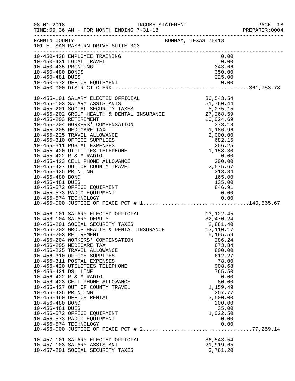|                                                                                  | TIME: 09:36 AM - FOR MONTH ENDING 7-31-18                                                                                                                                                                                                                                                                                                                                                                                                                                                                                                                                                                                                               |                                                                                                                                                                                 | PREPARER: 0004 |
|----------------------------------------------------------------------------------|---------------------------------------------------------------------------------------------------------------------------------------------------------------------------------------------------------------------------------------------------------------------------------------------------------------------------------------------------------------------------------------------------------------------------------------------------------------------------------------------------------------------------------------------------------------------------------------------------------------------------------------------------------|---------------------------------------------------------------------------------------------------------------------------------------------------------------------------------|----------------|
|                                                                                  | FANNIN COUNTY<br>101 E. SAM RAYBURN DRIVE SUITE 303                                                                                                                                                                                                                                                                                                                                                                                                                                                                                                                                                                                                     | BONHAM, TEXAS 75418                                                                                                                                                             |                |
| 10-450-435 PRINTING<br>10-450-480 BONDS                                          | 10-450-428 EMPLOYEE TRAINING<br>10-450-431 LOCAL TRAVEL                                                                                                                                                                                                                                                                                                                                                                                                                                                                                                                                                                                                 | 0.00<br>$0.00$<br>0.00<br>343.66<br>350.00                                                                                                                                      |                |
|                                                                                  |                                                                                                                                                                                                                                                                                                                                                                                                                                                                                                                                                                                                                                                         |                                                                                                                                                                                 |                |
| 10-455-435 PRINTING<br>10-455-480 BOND<br>10-455-481 DUES                        | 10-455-572 OFFICE EQUIPMENT<br>10-455-573 RADIO EQUIPMENT                                                                                                                                                                                                                                                                                                                                                                                                                                                                                                                                                                                               | 313.84<br>$1313.84$<br>$165.00$<br>$135.00$<br>$846.91$<br>0.00                                                                                                                 |                |
| 10-456-421 DSL LINE<br>10-456-435 PRINTING<br>10-456-480 BOND<br>10-456-481 DUES | 10-456-101 SALARY ELECTED OFFICIAL 13,122.45<br>10-456-104 SALARY DEPUTY 32,470.24<br>10-456-201 SOCIAL SECURITY TAXES 2,881.40<br>10-456-202 GROUP HEALTH & DENTAL INSURANCE 13,110.17<br>10-456-203 PETIPEMENT<br>10-456-203 RETIREMENT<br>10-456-204 WORKERS' COMPENSATION<br>10-456-205 MEDICARE TAX<br>10-456-225 TRAVEL ALLOWANCE<br>10-456-310 OFFICE SUPPLIES<br>10-456-311 POSTAL EXPENSES<br>10-456-420 UTILITIES TELEPHONE<br>10-456-422 R & M RADIO<br>10-456-423 CELL PHONE ALLOWANCE<br>10-456-427 OUT OF COUNTY TRAVEL<br>10-456-460 OFFICE RENTAL<br>10-456-572 OFFICE EQUIPMENT<br>10-456-573 RADIO EQUIPMENT<br>10-456-574 TECHNOLOGY | 5,195.59<br>286.24<br>673.84<br>800.00<br>612.27<br>78.00<br>908.68<br>765.50<br>0.00<br>80.00<br>1,159.49<br>357.77<br>3,500.00<br>200.00<br>35.00<br>1,022.50<br>0.00<br>0.00 |                |
|                                                                                  | 10-457-101 SALARY ELECTED OFFICIAL<br>10-457-103 SALARY ASSISTANT<br>10-457-201 SOCIAL SECURITY TAXES                                                                                                                                                                                                                                                                                                                                                                                                                                                                                                                                                   | 36,543.54<br>21,919.65<br>3,761.20                                                                                                                                              |                |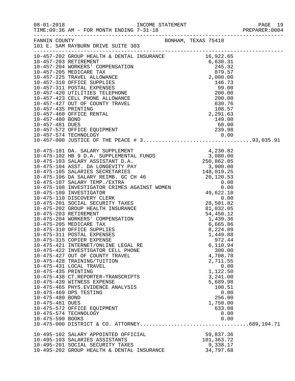| $08 - 01 - 2018$                                                              | TIME: 09:36 AM - FOR MONTH ENDING 7-31-18                                                                                                                                                                                                                                                                                                                                                       |                     |                                                                                                                                                                    | PAGE 19<br>PREPARER:0004<br>PAGE 19 |
|-------------------------------------------------------------------------------|-------------------------------------------------------------------------------------------------------------------------------------------------------------------------------------------------------------------------------------------------------------------------------------------------------------------------------------------------------------------------------------------------|---------------------|--------------------------------------------------------------------------------------------------------------------------------------------------------------------|-------------------------------------|
|                                                                               | FANNIN COUNTY<br>101 E. SAM RAYBURN DRIVE SUITE 303                                                                                                                                                                                                                                                                                                                                             | BONHAM, TEXAS 75418 |                                                                                                                                                                    |                                     |
|                                                                               |                                                                                                                                                                                                                                                                                                                                                                                                 |                     |                                                                                                                                                                    |                                     |
|                                                                               |                                                                                                                                                                                                                                                                                                                                                                                                 |                     |                                                                                                                                                                    |                                     |
| 10-475-435 PRINTING<br>10-475-480 BOND<br>10-475-481 DUES<br>10-475-590 BOOKS | 10-475-315 COPIER EXPENSE<br>10-475-421 INTERNET/ONLINE LEGAL RE<br>10-475-422 INVESTIGATOR CELL PHONE<br>10-475-427 OUT OF COUNTY TRAVEL<br>10-475-428 TRAINING/TUITION<br>10-475-431 LOCAL TRAVEL<br>10-475-438 CT.REPORTER-TRANSCRIPTS<br>10-475-439 WITNESS EXPENSE<br>10-475-465 PHYS. EVIDENCE ANALYSIS<br>10-475-469 DPS TESTING<br>10-475-572 OFFICE EQUIPMENT<br>10-475-574 TECHNOLOGY |                     | 972.44<br>6,110.94<br>300.00<br>4,708.78<br>2,711.55<br>0.00<br>1,122.50<br>3,241.00<br>5,689.98<br>100.51<br>0.00<br>256.00<br>1,750.00<br>633.08<br>0.00<br>0.00 |                                     |
|                                                                               | 10-495-102 SALARY APPOINTED OFFICIAL<br>10-495-103 SALARIES ASSISTANTS<br>10-495-201 SOCIAL SECURITY TAXES<br>10-495-202 GROUP HEALTH & DENTAL INSURANCE                                                                                                                                                                                                                                        |                     | 59,837.36<br>101,363.72<br>9,338.17<br>34,797.68                                                                                                                   |                                     |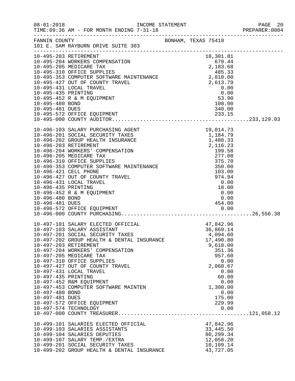|                                    |                                                                                                                                                                                                                                             |                                                                                                                                                                                                                                                                     | PREPARER: 0004 |
|------------------------------------|---------------------------------------------------------------------------------------------------------------------------------------------------------------------------------------------------------------------------------------------|---------------------------------------------------------------------------------------------------------------------------------------------------------------------------------------------------------------------------------------------------------------------|----------------|
|                                    | FANNIN COUNTY BONHAM, TEXAS 75418<br>101 E. SAM RAYBURN DRIVE SUITE 303                                                                                                                                                                     |                                                                                                                                                                                                                                                                     |                |
|                                    |                                                                                                                                                                                                                                             |                                                                                                                                                                                                                                                                     |                |
|                                    | 10-495-204 WORKERS COMPENSATION<br>10-495-205 MEDICARE TAX<br>10-495-205 MEDICARE TAX<br>10-495-310 OFFICE SUPPLIES<br>10-495-353 COMPUTER SOFTWARE MAINTENANCE<br>10-495-427 OUT OF COUNTY TRAVEL<br>10-495-431 LOCAL TRAVEL<br>10-495-431 |                                                                                                                                                                                                                                                                     |                |
|                                    |                                                                                                                                                                                                                                             |                                                                                                                                                                                                                                                                     |                |
|                                    |                                                                                                                                                                                                                                             |                                                                                                                                                                                                                                                                     |                |
|                                    |                                                                                                                                                                                                                                             |                                                                                                                                                                                                                                                                     |                |
|                                    |                                                                                                                                                                                                                                             | 2,810.00<br>2,613.79<br>0.00<br>0.00<br>53.90<br>53.90                                                                                                                                                                                                              |                |
|                                    |                                                                                                                                                                                                                                             |                                                                                                                                                                                                                                                                     |                |
|                                    |                                                                                                                                                                                                                                             |                                                                                                                                                                                                                                                                     |                |
| 10-495-435 PRINTING                |                                                                                                                                                                                                                                             |                                                                                                                                                                                                                                                                     |                |
| 10-495-480 BOND                    | 10-495-452 R & M EQUIPMENT                                                                                                                                                                                                                  |                                                                                                                                                                                                                                                                     |                |
|                                    |                                                                                                                                                                                                                                             |                                                                                                                                                                                                                                                                     |                |
|                                    |                                                                                                                                                                                                                                             |                                                                                                                                                                                                                                                                     |                |
|                                    |                                                                                                                                                                                                                                             |                                                                                                                                                                                                                                                                     |                |
|                                    |                                                                                                                                                                                                                                             |                                                                                                                                                                                                                                                                     |                |
|                                    | 10-496-103 SALARY PURCHASING AGENT                                                                                                                                                                                                          | AGENT<br>19,014.73<br>XES<br>1,184.79<br>1,184.79<br>1,488.33<br>2,116.23<br>2,116.23<br>199.58<br>277.08<br>375.70<br>MAINTENANCE<br>350.00<br>103.00<br>103.00<br>18.00<br>18.00<br>18.00<br>18.00<br>18.00<br>18.00<br>18.00<br>18.00<br>18.00<br>18.00<br>18.00 |                |
|                                    | 10-496-201 SOCIAL SECURITY TAXES                                                                                                                                                                                                            |                                                                                                                                                                                                                                                                     |                |
|                                    | 10-496-202 GROUP HEALTH INSURANCE                                                                                                                                                                                                           |                                                                                                                                                                                                                                                                     |                |
|                                    | 10-496-203 RETIREMENT                                                                                                                                                                                                                       |                                                                                                                                                                                                                                                                     |                |
|                                    | 10-496-204 WORKERS' COMPENSATION                                                                                                                                                                                                            |                                                                                                                                                                                                                                                                     |                |
|                                    | 10-496-205 MEDICARE TAX                                                                                                                                                                                                                     |                                                                                                                                                                                                                                                                     |                |
|                                    | 10-496-310 OFFICE SUPPLIES                                                                                                                                                                                                                  |                                                                                                                                                                                                                                                                     |                |
|                                    | 10-496-353 COMPUTER SOFTWARE MAINTENANCE                                                                                                                                                                                                    |                                                                                                                                                                                                                                                                     |                |
|                                    | 10-496-421 CELL PHONE                                                                                                                                                                                                                       |                                                                                                                                                                                                                                                                     |                |
|                                    | 10-496-427 OUT OF COUNTY TRAVEL                                                                                                                                                                                                             |                                                                                                                                                                                                                                                                     |                |
|                                    | 10-496-431 LOCAL TRAVEL                                                                                                                                                                                                                     |                                                                                                                                                                                                                                                                     |                |
| 10-496-435 PRINTING                |                                                                                                                                                                                                                                             |                                                                                                                                                                                                                                                                     |                |
|                                    | 10-496-452 R & M EQUIPMENT                                                                                                                                                                                                                  |                                                                                                                                                                                                                                                                     |                |
| 10-496-480 BOND<br>10-496-481 DUES |                                                                                                                                                                                                                                             | 0.00<br>454.00                                                                                                                                                                                                                                                      |                |
|                                    |                                                                                                                                                                                                                                             |                                                                                                                                                                                                                                                                     |                |
|                                    |                                                                                                                                                                                                                                             |                                                                                                                                                                                                                                                                     |                |
|                                    |                                                                                                                                                                                                                                             |                                                                                                                                                                                                                                                                     |                |
|                                    | 10-497-101 SALARY ELECTED OFFICIAL                                                                                                                                                                                                          | 47,842.96                                                                                                                                                                                                                                                           |                |
|                                    | 10-497-103 SALARY ASSISTANT                                                                                                                                                                                                                 | 36,869.14                                                                                                                                                                                                                                                           |                |
|                                    | 10-497-201 SOCIAL SECURITY TAXES                                                                                                                                                                                                            | 4,094.60                                                                                                                                                                                                                                                            |                |
|                                    | 10-497-202 GROUP HEALTH & DENTAL INSURANCE                                                                                                                                                                                                  | 17,490.80                                                                                                                                                                                                                                                           |                |
|                                    | 10-497-203 RETIREMENT                                                                                                                                                                                                                       | 9,618.00                                                                                                                                                                                                                                                            |                |
|                                    | 10-497-204 WORKERS' COMPENSATION                                                                                                                                                                                                            | 351.36                                                                                                                                                                                                                                                              |                |
|                                    | 10-497-205 MEDICARE TAX                                                                                                                                                                                                                     | 957.60                                                                                                                                                                                                                                                              |                |
|                                    | 10-497-310 OFFICE SUPPLIES                                                                                                                                                                                                                  | 0.00                                                                                                                                                                                                                                                                |                |
|                                    | 10-497-427 OUT OF COUNTY TRAVEL                                                                                                                                                                                                             | 2,068.67                                                                                                                                                                                                                                                            |                |
|                                    | 10-497-431 LOCAL TRAVEL                                                                                                                                                                                                                     | 0.00                                                                                                                                                                                                                                                                |                |
| 10-497-435 PRINTING                |                                                                                                                                                                                                                                             | 60.00                                                                                                                                                                                                                                                               |                |
|                                    | 10-497-452 R&M EQUIPMENT                                                                                                                                                                                                                    | 0.00                                                                                                                                                                                                                                                                |                |
|                                    | 10-497-453 COMPUTER SOFTWARE MAINTEN                                                                                                                                                                                                        | 1,300.00                                                                                                                                                                                                                                                            |                |
| 10-497-480 BOND                    |                                                                                                                                                                                                                                             | 0.00                                                                                                                                                                                                                                                                |                |
| 10-497-481 DUES                    | 10-497-572 OFFICE EQUIPMENT                                                                                                                                                                                                                 | 175.00<br>229.99                                                                                                                                                                                                                                                    |                |
|                                    | 10-497-574 TECHNOLOGY                                                                                                                                                                                                                       | 0.00                                                                                                                                                                                                                                                                |                |
|                                    |                                                                                                                                                                                                                                             |                                                                                                                                                                                                                                                                     |                |
|                                    |                                                                                                                                                                                                                                             |                                                                                                                                                                                                                                                                     |                |
|                                    | 10-499-101 SALARIES ELECTED OFFICIAL                                                                                                                                                                                                        | 47,842.96                                                                                                                                                                                                                                                           |                |
|                                    | 10-499-103 SALARIES ASSISTANTS                                                                                                                                                                                                              | 33,445.50                                                                                                                                                                                                                                                           |                |
|                                    | 10-499-104 SALARIES DEPUTIES                                                                                                                                                                                                                | 80,299.34                                                                                                                                                                                                                                                           |                |
|                                    | 10-499-107 SALARY TEMP./EXTRA                                                                                                                                                                                                               | 12,058.20                                                                                                                                                                                                                                                           |                |
|                                    | 10-499-201 SOCIAL SECURITY TAXES                                                                                                                                                                                                            | 10,109.14                                                                                                                                                                                                                                                           |                |
|                                    | 10-499-202 GROUP HEALTH & DENTAL INSURANCE                                                                                                                                                                                                  | 43,727.05                                                                                                                                                                                                                                                           |                |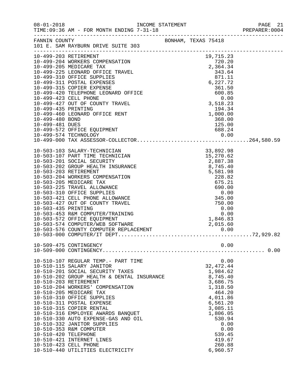|                      | TIME: 09:36 AM - FOR MONTH ENDING 7-31-18                                                                                                                                                                                                                                                                                                                                                                                                                                                |                        |        |                         |      | PREPARER: 0004 |
|----------------------|------------------------------------------------------------------------------------------------------------------------------------------------------------------------------------------------------------------------------------------------------------------------------------------------------------------------------------------------------------------------------------------------------------------------------------------------------------------------------------------|------------------------|--------|-------------------------|------|----------------|
|                      | FANNIN COUNTY<br>101 E. SAM RAYBURN DRIVE SUITE 303<br>$\begin{tabular}{l c c c c} \multicolumn{1}{c}{\textbf{72.5--}} \multicolumn{1}{c}{\textbf{73.5--}} \multicolumn{1}{c}{\textbf{74.5--}} \multicolumn{1}{c}{\textbf{75.5--}} \multicolumn{1}{c}{\textbf{76.5--}} \multicolumn{1}{c}{\textbf{77.5--}} \multicolumn{1}{c}{\textbf{79.5--}} \multicolumn{1}{c}{\textbf{79.5--}} \multicolumn{1}{c}{\textbf{79.5--}} \multicolumn{1}{c}{\textbf{79.5--}} \multicolumn{1}{c}{\textbf{7$ |                        |        |                         |      |                |
|                      |                                                                                                                                                                                                                                                                                                                                                                                                                                                                                          |                        |        |                         |      |                |
|                      |                                                                                                                                                                                                                                                                                                                                                                                                                                                                                          |                        |        |                         |      |                |
|                      |                                                                                                                                                                                                                                                                                                                                                                                                                                                                                          |                        |        |                         |      |                |
|                      |                                                                                                                                                                                                                                                                                                                                                                                                                                                                                          |                        |        |                         |      |                |
|                      |                                                                                                                                                                                                                                                                                                                                                                                                                                                                                          |                        |        |                         |      |                |
|                      |                                                                                                                                                                                                                                                                                                                                                                                                                                                                                          |                        |        |                         |      |                |
|                      |                                                                                                                                                                                                                                                                                                                                                                                                                                                                                          |                        |        |                         |      |                |
|                      |                                                                                                                                                                                                                                                                                                                                                                                                                                                                                          |                        |        |                         |      |                |
|                      |                                                                                                                                                                                                                                                                                                                                                                                                                                                                                          |                        |        |                         |      |                |
|                      |                                                                                                                                                                                                                                                                                                                                                                                                                                                                                          |                        |        |                         |      |                |
|                      |                                                                                                                                                                                                                                                                                                                                                                                                                                                                                          |                        |        |                         |      |                |
|                      | 10-499-572 OFFICE EQUIPMENT                                                                                                                                                                                                                                                                                                                                                                                                                                                              |                        | 688.24 |                         |      |                |
|                      |                                                                                                                                                                                                                                                                                                                                                                                                                                                                                          |                        |        |                         |      |                |
|                      |                                                                                                                                                                                                                                                                                                                                                                                                                                                                                          |                        |        |                         |      |                |
|                      |                                                                                                                                                                                                                                                                                                                                                                                                                                                                                          |                        |        |                         |      |                |
|                      |                                                                                                                                                                                                                                                                                                                                                                                                                                                                                          |                        |        |                         |      |                |
|                      |                                                                                                                                                                                                                                                                                                                                                                                                                                                                                          |                        |        |                         |      |                |
|                      |                                                                                                                                                                                                                                                                                                                                                                                                                                                                                          |                        |        |                         |      |                |
|                      |                                                                                                                                                                                                                                                                                                                                                                                                                                                                                          |                        |        |                         |      |                |
|                      |                                                                                                                                                                                                                                                                                                                                                                                                                                                                                          |                        |        |                         |      |                |
|                      |                                                                                                                                                                                                                                                                                                                                                                                                                                                                                          |                        |        |                         |      |                |
|                      |                                                                                                                                                                                                                                                                                                                                                                                                                                                                                          |                        |        |                         |      |                |
|                      |                                                                                                                                                                                                                                                                                                                                                                                                                                                                                          |                        |        |                         |      |                |
| 10-503-435 PRINTING  |                                                                                                                                                                                                                                                                                                                                                                                                                                                                                          | $0.00$<br>0.00<br>0.00 |        |                         |      |                |
|                      | 10-503-453 R&M COMPUTER/TRAINING                                                                                                                                                                                                                                                                                                                                                                                                                                                         |                        |        |                         |      |                |
|                      |                                                                                                                                                                                                                                                                                                                                                                                                                                                                                          |                        |        |                         |      |                |
|                      |                                                                                                                                                                                                                                                                                                                                                                                                                                                                                          |                        |        |                         |      |                |
|                      |                                                                                                                                                                                                                                                                                                                                                                                                                                                                                          |                        |        |                         |      |                |
|                      |                                                                                                                                                                                                                                                                                                                                                                                                                                                                                          |                        |        |                         |      |                |
|                      | 10-509-475 CONTINGENCY                                                                                                                                                                                                                                                                                                                                                                                                                                                                   |                        |        |                         | 0.00 |                |
|                      |                                                                                                                                                                                                                                                                                                                                                                                                                                                                                          |                        |        |                         |      |                |
|                      | 10-510-107 REGULAR TEMP.- PART TIME<br>10-510-115 SALARY JANITOR                                                                                                                                                                                                                                                                                                                                                                                                                         |                        |        |                         | 0.00 |                |
|                      | 10-510-201 SOCIAL SECURITY TAXES                                                                                                                                                                                                                                                                                                                                                                                                                                                         |                        |        | 32, 472. 44<br>1,984.62 |      |                |
|                      | 10-510-202 GROUP HEALTH & DENTAL INSURANCE                                                                                                                                                                                                                                                                                                                                                                                                                                               |                        |        | 8,745.40                |      |                |
|                      | 10-510-203 RETIREMENT                                                                                                                                                                                                                                                                                                                                                                                                                                                                    |                        |        | 3,686.75                |      |                |
|                      | 10-510-204 WORKERS' COMPENSATION                                                                                                                                                                                                                                                                                                                                                                                                                                                         |                        |        | 1,318.50                |      |                |
|                      | 10-510-205 MEDICARE TAX                                                                                                                                                                                                                                                                                                                                                                                                                                                                  |                        |        | 464.20                  |      |                |
|                      | 10-510-310 OFFICE SUPPLIES<br>10-510-311 POSTAL EXPENSE                                                                                                                                                                                                                                                                                                                                                                                                                                  |                        |        | 4,011.86<br>6,561.20    |      |                |
|                      | 10-510-315 COPIER RENTAL                                                                                                                                                                                                                                                                                                                                                                                                                                                                 |                        |        | 3,085.11                |      |                |
|                      | 10-510-316 EMPLOYEE AWARDS BANQUET                                                                                                                                                                                                                                                                                                                                                                                                                                                       |                        |        | 1,806.05                |      |                |
|                      | 10-510-330 AUTO EXPENSE-GAS AND OIL                                                                                                                                                                                                                                                                                                                                                                                                                                                      |                        |        | 530.94                  |      |                |
|                      | 10-510-332 JANITOR SUPPLIES                                                                                                                                                                                                                                                                                                                                                                                                                                                              |                        |        |                         | 0.00 |                |
| 10-510-420 TELEPHONE | 10-510-353 R&M COMPUTER                                                                                                                                                                                                                                                                                                                                                                                                                                                                  |                        |        | 539.45                  | 0.00 |                |
|                      | 10-510-421 INTERNET LINES                                                                                                                                                                                                                                                                                                                                                                                                                                                                |                        |        | 419.67                  |      |                |
|                      | 10-510-423 CELL PHONE                                                                                                                                                                                                                                                                                                                                                                                                                                                                    |                        |        | 260.88                  |      |                |
|                      | 10-510-440 UTILITIES ELECTRICITY                                                                                                                                                                                                                                                                                                                                                                                                                                                         |                        |        | 6,960.57                |      |                |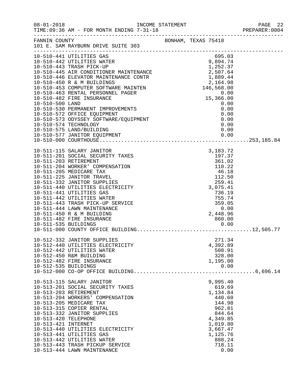| $08 - 01 - 2018$                                                     | TIME: 09:36 AM - FOR MONTH ENDING 7-31-18                                                                                                                                                                                                                                                                                                                                                                                                                                                                |                                                                                                                                                                | PAGE 22<br>PREPARER: 0004 |
|----------------------------------------------------------------------|----------------------------------------------------------------------------------------------------------------------------------------------------------------------------------------------------------------------------------------------------------------------------------------------------------------------------------------------------------------------------------------------------------------------------------------------------------------------------------------------------------|----------------------------------------------------------------------------------------------------------------------------------------------------------------|---------------------------|
| FANNIN COUNTY                                                        | 101 E. SAM RAYBURN DRIVE SUITE 303<br>.com/accommodation/accommodation/accommodation/accommodation/accommodation/                                                                                                                                                                                                                                                                                                                                                                                        | BONHAM, TEXAS 75418                                                                                                                                            |                           |
| 10-510-500 LAND                                                      | 10-510-441 UTILITIES GAS<br>10-510-442 UTILITIES WATER<br>10-510-443 TRASH PICK-UP<br>1,232.37<br>10-510-445 AIR CONDITIONER MAINTENANCE<br>10-510-446 ELEVATOR MAINTENANCE CONTR<br>1,889.44<br>10-510-453 COMPUTER SOFTWARE MAINTEN<br>16,568.00<br>10-510-463 RENTAL PERSONNEL PAGER<br>16,568.00<br>10-510-482 FIRE INSURANCE<br>1<br>10-510-530 PERMANENT IMPROVEMENTS<br>10-510-572 OFFICE EQUIPMENT<br>10-510-573 ODYSSEY SOFTWARE/EQUIPMENT<br>10-510-574 TECHNOLOGY<br>10-510-575 LAND/BUILDING | 695.03<br>9,894.74<br>1,252.37<br>15,366.00<br>0.00<br>0.00<br>0.00<br>0.00<br>0.00<br>0.00                                                                    |                           |
| 10-511-203 RETIREMENT<br>10-511-535 BUILDINGS                        | 10-511-115 SALARY JANITOR<br>10-511-201 SOCIAL SECURITY TAXES<br>10-511-204 WORKER' COMPENSATION<br>10-511-205 MEDICARE TAX<br>10-511-225 JANITOR TRAVEL<br>10-511-332 JANITOR SUPPLIES<br>10-511-440 UTILITIES ELECTRICITY<br>10-511-441 UTILITIES GAS<br>10-511-442 UTILITIES WATER<br>10-511-443 TRASH PICK-UP SERVICE<br>10-511-444 LAWN MAINTENANCE<br>10-511-450 R & M BUILDING<br>10-511-482 FIRE INSURANCE                                                                                       | 3, 183. 72<br>197.37<br>$361.02$ $110.22$ $46.18$ $112.50$<br>112.50<br>259.41<br>3,075.41<br>736.19<br>755.74<br>359.05<br>0.00<br>2,448.96<br>860.00<br>0.00 |                           |
| 10-512-535 BUILDINGS                                                 | 10-512-332 JANITOR SUPPLIES<br>10-512-440 UTILITIES ELECTRICITY<br>10-512-442 UTILITIES WATER<br>10-512-450 R&M BUILDING<br>10-512-482 FIRE INSURANCE                                                                                                                                                                                                                                                                                                                                                    | 271.34<br>4,392.89<br>508.91<br>328.00<br>1,195.00<br>0.00                                                                                                     |                           |
| 10-513-203 RETIREMENT<br>10-513-420 TELEPHONE<br>10-513-421 INTERNET | 10-513-115 SALARY JANITOR<br>10-513-201 SOCIAL SECURITY TAXES<br>10-513-204 WORKERS' COMPENSATION<br>10-513-205 MEDICARE TAX<br>10-513-315 COPIER RENTAL<br>10-513-332 JANITOR SUPPLIES<br>10-513-440 UTILITIES ELECTRICITY<br>10-513-441 UTILITIES GAS<br>10-513-442 UTILITIES WATER<br>10-513-443 TRASH PICKUP SERVICE<br>10-513-444 LAWN MAINTENANCE                                                                                                                                                  | 9,995.40<br>619.69<br>1,134.84<br>440.60<br>144.98<br>962.81<br>844.64<br>4,349.85<br>1,019.80<br>3,667.47<br>1,125.76<br>888.24<br>718.11<br>0.00             |                           |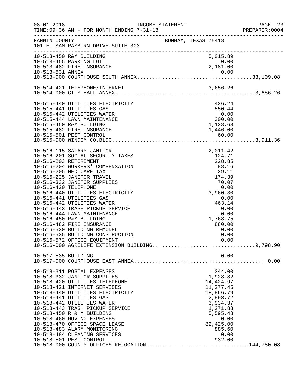| $08 - 01 - 2018$      | TIME: 09:36 AM - FOR MONTH ENDING 7-31-18      |                                                                                                                                                                                           |                              |      | PAGE 23<br>PREPARER: 0004 |
|-----------------------|------------------------------------------------|-------------------------------------------------------------------------------------------------------------------------------------------------------------------------------------------|------------------------------|------|---------------------------|
| FANNIN COUNTY         | 101 E. SAM RAYBURN DRIVE SUITE 303             | BONHAM, TEXAS 75418                                                                                                                                                                       |                              |      |                           |
|                       | 10-513-450 R&M BUILDING                        |                                                                                                                                                                                           | 5,015.89                     |      |                           |
|                       | 10-513-455 PARKING LOT                         |                                                                                                                                                                                           | 0.00<br>0.00<br>2,181.00     |      |                           |
|                       | 10-513-482 FIRE INSURANCE                      |                                                                                                                                                                                           |                              |      |                           |
|                       |                                                |                                                                                                                                                                                           |                              |      |                           |
|                       |                                                |                                                                                                                                                                                           |                              |      |                           |
|                       |                                                |                                                                                                                                                                                           |                              |      |                           |
|                       |                                                |                                                                                                                                                                                           |                              |      |                           |
|                       | 10-515-440 UTILITIES ELECTRICITY               |                                                                                                                                                                                           | 426.24                       |      |                           |
|                       | 10-515-441 UTILITIES GAS                       |                                                                                                                                                                                           | 550.44                       |      |                           |
|                       | 10-515-442 UTILITIES WATER                     |                                                                                                                                                                                           | $0.00$<br>300.00<br>1,128.68 |      |                           |
|                       | 10-515-444 LAWN MAINTENANCE                    |                                                                                                                                                                                           |                              |      |                           |
|                       | 10-515-450 R&M BUILDING                        |                                                                                                                                                                                           |                              |      |                           |
|                       | 10-515-482 FIRE INSURANCE                      |                                                                                                                                                                                           | 1,446.00                     |      |                           |
|                       |                                                |                                                                                                                                                                                           |                              |      |                           |
|                       | 10-516-115 SALARY JANITOR                      | $\begin{array}{r} 124 \cdot \text{/}_\bot \\ 228 \cdot 85 \\ 88 \cdot 16 \\ 29 \cdot 11 \\ 174 \cdot 39 \\ 70 \cdot 0 \\ 0 \cdot 0 \\ \text{?}\ 0.0 \\ \text{?}\ 060 \cdot 3 \end{array}$ |                              |      |                           |
|                       | 10-516-201 SOCIAL SECURITY TAXES               |                                                                                                                                                                                           |                              |      |                           |
| 10-516-203 RETIREMENT |                                                |                                                                                                                                                                                           |                              |      |                           |
|                       | 10-516-204 WORKERS' COMPENSATION               |                                                                                                                                                                                           |                              |      |                           |
|                       | 10-516-205 MEDICARE TAX                        |                                                                                                                                                                                           |                              |      |                           |
|                       | 10-516-225 JANITOR TRAVEL                      |                                                                                                                                                                                           |                              |      |                           |
|                       | 10-516-332 JANITOR SUPPLIES                    |                                                                                                                                                                                           |                              |      |                           |
| 10-516-420 TELEPHONE  |                                                |                                                                                                                                                                                           |                              |      |                           |
|                       | 10-516-440 UTILITIES ELECTRICITY               |                                                                                                                                                                                           | 3,960.30                     |      |                           |
|                       | 10-516-441 UTILITIES GAS                       |                                                                                                                                                                                           | 0.00                         |      |                           |
|                       | 10-516-442 UTILITIES WATER                     |                                                                                                                                                                                           | 463.14                       |      |                           |
|                       | 10-516-443 TRASH PICKUP SERVICE                |                                                                                                                                                                                           | 0.00                         |      |                           |
|                       | 10-516-444 LAWN MAINTENANCE                    |                                                                                                                                                                                           |                              | 0.00 |                           |
|                       | 10-516-450 R&M BUILDING                        |                                                                                                                                                                                           | 1,768.75                     |      |                           |
|                       | 10-516-482 FIRE INSURANCE                      |                                                                                                                                                                                           | 880.00                       |      |                           |
|                       | 10-516-530 BUILDING REMODEL                    |                                                                                                                                                                                           |                              | 0.00 |                           |
|                       | 10-516-535 BUILDING CONSTRUCTION               |                                                                                                                                                                                           |                              | 0.00 |                           |
|                       | 10-516-572 OFFICE EQUIPMENT                    |                                                                                                                                                                                           |                              | 0.00 |                           |
|                       |                                                |                                                                                                                                                                                           |                              |      |                           |
| 10-517-535 BUILDING   |                                                |                                                                                                                                                                                           |                              | 0.00 |                           |
|                       |                                                |                                                                                                                                                                                           |                              |      |                           |
|                       | 10-518-311 POSTAL EXPENSES                     |                                                                                                                                                                                           | 344.00                       |      |                           |
|                       | 10-518-332 JANITOR SUPPLIES                    |                                                                                                                                                                                           | 1,928.82                     |      |                           |
|                       | 10-518-420 UTILITIES TELEPHONE                 |                                                                                                                                                                                           | 14,424.97                    |      |                           |
|                       | 10-518-421 INTERNET SERVICES                   |                                                                                                                                                                                           | 11,277.45                    |      |                           |
|                       | 10-518-440 UTILITIES ELECTRICITY               |                                                                                                                                                                                           | 18,866.79                    |      |                           |
|                       | 10-518-441 UTILITIES GAS                       |                                                                                                                                                                                           | 2,893.72                     |      |                           |
|                       | 10-518-442 UTILITIES WATER                     |                                                                                                                                                                                           | 3,934.37                     |      |                           |
|                       | 10-518-443 TRASH PICKUP SERVICE                |                                                                                                                                                                                           | 1,271.88                     |      |                           |
|                       | 10-518-450 R & M BUILDING                      |                                                                                                                                                                                           | 5,595.48                     |      |                           |
|                       | 10-518-460 MOVING EXPENSES                     |                                                                                                                                                                                           |                              | 0.00 |                           |
|                       | 10-518-470 OFFICE SPACE LEASE                  |                                                                                                                                                                                           | 82,425.00                    |      |                           |
|                       | 10-518-483 ALARM MONITORING                    |                                                                                                                                                                                           | 885.60                       |      |                           |
|                       | 10-518-484 CLEANING SERVICES                   |                                                                                                                                                                                           |                              | 0.00 |                           |
|                       | 10-518-501 PEST CONTROL                        |                                                                                                                                                                                           | 932.00                       |      |                           |
|                       | 10-518-000 COUNTY OFFICES RELOCATION144,780.08 |                                                                                                                                                                                           |                              |      |                           |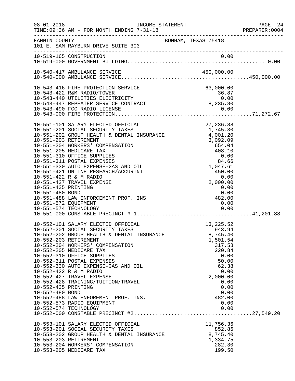| $08 - 01 - 2018$                                               | INCOME STATEMENT<br>TIME: 09:36 AM - FOR MONTH ENDING 7-31-18                                                                                                                                                                                                                                                                                                                                                                                                                                                                                                                                                                  |                                                                                                                                                                                                                                  | PAGE 24<br>PREPARER:0004 |
|----------------------------------------------------------------|--------------------------------------------------------------------------------------------------------------------------------------------------------------------------------------------------------------------------------------------------------------------------------------------------------------------------------------------------------------------------------------------------------------------------------------------------------------------------------------------------------------------------------------------------------------------------------------------------------------------------------|----------------------------------------------------------------------------------------------------------------------------------------------------------------------------------------------------------------------------------|--------------------------|
|                                                                | FANNIN COUNTY<br>101 E. SAM RAYBURN DRIVE SUITE 303                                                                                                                                                                                                                                                                                                                                                                                                                                                                                                                                                                            | BONHAM, TEXAS 75418                                                                                                                                                                                                              |                          |
|                                                                |                                                                                                                                                                                                                                                                                                                                                                                                                                                                                                                                                                                                                                |                                                                                                                                                                                                                                  |                          |
|                                                                |                                                                                                                                                                                                                                                                                                                                                                                                                                                                                                                                                                                                                                |                                                                                                                                                                                                                                  |                          |
|                                                                | 10-543-416 FIRE PROTECTION SERVICE<br>10-543-422 R&M RADIO/TOWER<br>10-543-440 UTILITIES ELECTRICITY<br>10-543-447 REPEATER SERVICE CONTRACT                                                                                                                                                                                                                                                                                                                                                                                                                                                                                   | 63,000.00<br>03,000.00<br>36.87<br>0.00<br>8,235.80                                                                                                                                                                              |                          |
| 10-551-435 PRINTING<br>10-551-480 BOND<br>10-551-572 EQUIPMENT | 10-551-101 SALARY ELECTED OFFICIAL<br>10-551-201 SOCIAL SECURITY TAXES<br>10-551-202 GROUP HEALTH & DENTAL INSURANCE<br>10-551-203 RETIREMENT<br>10-551-204 WORKERS' COMPENSATION<br>10-551-205 MEDICARE TAX<br>10-551-310 OFFICE SUPPLIES<br>10-551-311 POSTAL EXPENSES<br>10-551-330 AUTO EXPENSE-GAS AND OIL<br>10-551-421 ONLINE RESEARCH/ACCURINT<br>10-551-422 R & M RADIO<br>10-551-427 TRAVEL EXPENSE<br>10-551-488 LAW ENFORCEMENT PROF. INS                                                                                                                                                                          | 27, 236.88<br>A<br>INSURANCE<br>$\begin{array}{r} 1,7.1 \\ 4,001.20 \\ 3,092.09 \end{array}$<br>$408.\n0.00\n84.66\n1,047.61\n450.00\n0.0\n2,000.\n0\n4'$<br>$\begin{array}{c} 0\,.\,0\,0\ 4\,8\,2\,.\,0\,0 \end{array}$<br>0.00 |                          |
| 10-552-435 PRINTING<br>10-552-480 BOND                         | 10-552-101 SALARY ELECTED OFFICIAL<br>10-552-101 SALARY ELECTED OFFICIAL 10-552-101 SALARY ELECTED OFFICIAL 10-552-201 SOCIAL SECURITY TAXES<br>10-552-201 SOCIAL SECURITY TAXES 10-552-202 GROUP HEALTH & DENTAL INSURANCE 10 3,745.40<br>10-552-203 RETIREMENT<br>10-552-204 WORKERS' COMPENSATION<br>10-552-205 MEDICARE TAX<br>10-552-310 OFFICE SUPPLIES<br>10-552-311 POSTAL EXPENSES<br>10-552-330 AUTO EXPENSE-GAS AND OIL<br>10-552-422 R & M RADIO<br>10-552-427 TRAVEL EXPENSE<br>10-552-428 TRAINING/TUITION/TRAVEL<br>10-552-488 LAW ENFOREMENT PROF. INS.<br>10-552-573 RADIO EQUIPMENT<br>10-552-574 TECHNOLOGY | 13, 225.52<br>1,501.54<br>317.58<br>220.84<br>0.00<br>50.00<br>62.38<br>0.00<br>2,000.00<br>0.00<br>0.00<br>0.00<br>482.00<br>0.00<br>0.00                                                                                       |                          |
|                                                                | 10-553-101 SALARY ELECTED OFFICIAL<br>10-553-201 SOCIAL SECURITY TAXES<br>10-553-202 GROUP HEALTH & DENTAL INSURANCE<br>10-553-203 RETIREMENT<br>10-553-204 WORKERS' COMPENSATION<br>10-553-205 MEDICARE TAX                                                                                                                                                                                                                                                                                                                                                                                                                   | 11,756.36<br>852.86<br>8,745.40<br>1,334.75<br>282.30<br>199.50                                                                                                                                                                  |                          |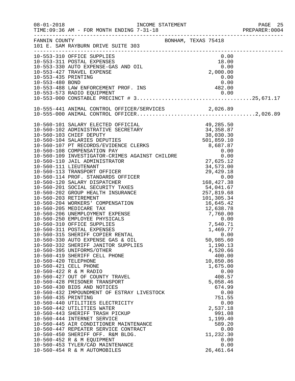|                      |                                                                                                                                 |                      | PREPARER: 0004 |
|----------------------|---------------------------------------------------------------------------------------------------------------------------------|----------------------|----------------|
|                      | FANNIN COUNTY<br>101 E. SAM RAYBURN DRIVE SUITE 303                                                                             |                      |                |
|                      | 10-553-310 OFFICE SUPPLIES<br>10-553-311 POSTAL EXPENSES<br>10-553-330 AUTO EXPENSE-GAS AND OIL<br>2,000.00<br>2,000.00<br>0.00 |                      |                |
|                      |                                                                                                                                 |                      |                |
|                      |                                                                                                                                 |                      |                |
| 10-553-435 PRINTING  |                                                                                                                                 | 0.00                 |                |
|                      |                                                                                                                                 |                      |                |
|                      |                                                                                                                                 |                      |                |
|                      |                                                                                                                                 |                      |                |
|                      |                                                                                                                                 |                      |                |
|                      | 10-555-441 ANIMAL CONTROL OFFICER/SERVICES 2,026.89                                                                             |                      |                |
|                      |                                                                                                                                 |                      |                |
|                      |                                                                                                                                 |                      |                |
|                      |                                                                                                                                 |                      |                |
|                      |                                                                                                                                 |                      |                |
|                      |                                                                                                                                 |                      |                |
|                      |                                                                                                                                 |                      |                |
|                      |                                                                                                                                 |                      |                |
|                      |                                                                                                                                 |                      |                |
|                      |                                                                                                                                 |                      |                |
|                      |                                                                                                                                 |                      |                |
|                      |                                                                                                                                 |                      |                |
|                      |                                                                                                                                 |                      |                |
|                      |                                                                                                                                 |                      |                |
|                      |                                                                                                                                 |                      |                |
|                      |                                                                                                                                 |                      |                |
|                      |                                                                                                                                 |                      |                |
|                      |                                                                                                                                 |                      |                |
|                      |                                                                                                                                 |                      |                |
|                      |                                                                                                                                 |                      |                |
|                      |                                                                                                                                 |                      |                |
|                      |                                                                                                                                 |                      |                |
|                      |                                                                                                                                 |                      |                |
|                      | 10-560-330 AUTO EXPENSE GAS & OIL                                                                                               | 50,985.60            |                |
|                      | 10-560-332 SHERIFF JANITOR SUPPLIES<br>10-560-395 UNIFORMS/OTHER                                                                | 1,190.13<br>4,520.66 |                |
|                      | 10-560-419 SHERIFF CELL PHONE                                                                                                   | 400.00               |                |
| 10-560-420 TELEPHONE |                                                                                                                                 | 10,850.86            |                |
|                      | 10-560-421 CELL PHONE                                                                                                           | 1,675.00             |                |
|                      | 10-560-422 R & M RADIO                                                                                                          | 0.00                 |                |
|                      | 10-560-427 OUT OF COUNTY TRAVEL                                                                                                 | 408.57               |                |
|                      | 10-560-428 PRISONER TRANSPORT                                                                                                   | 5,058.46             |                |
|                      | 10-560-430 BIDS AND NOTICES                                                                                                     | 674.99               |                |
|                      | 10-560-432 IMPOUNDMENT OF ESTRAY LIVESTOCK                                                                                      | 0.00                 |                |
| 10-560-435 PRINTING  |                                                                                                                                 | 751.55               |                |
|                      | 10-560-440 UTILITIES ELECTRICITY                                                                                                | 0.00                 |                |
|                      | 10-560-442 UTILITIES WATER<br>10-560-443 SHERIFF TRASH PICKUP                                                                   | 2,537.18             |                |
|                      | 10-560-444 INTERNET SERVICE                                                                                                     | 991.08<br>1,199.40   |                |
|                      | 10-560-445 AIR CONDITIONER MAINTENANCE                                                                                          | 589.20               |                |
|                      | 10-560-447 REPEATER SERVICE CONTRACT                                                                                            | 0.00                 |                |
|                      | 10-560-450 SHERIFF OFF. R&M BLDG.                                                                                               | 11,232.30            |                |
|                      | 10-560-452 R & M EQUIPMENT                                                                                                      | 0.00                 |                |
|                      | 10-560-453 TYLER/CAD MAINTENANCE                                                                                                | 0.00                 |                |
|                      | 10-560-454 R & M AUTOMOBILES                                                                                                    | 26, 461.64           |                |
|                      |                                                                                                                                 |                      |                |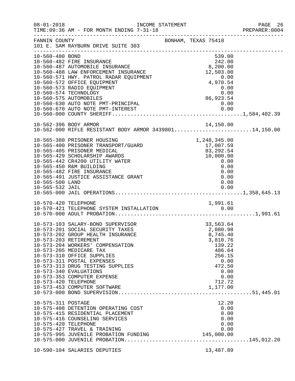| $08 - 01 - 2018$                           | INCOME STATEMENT<br>TIME: 09:36 AM - FOR MONTH ENDING 7-31-18                                                                                                                                                                                                                                                                                                                               |                                                                                                                                     | PAGE 26<br>PREPARER:0004 |
|--------------------------------------------|---------------------------------------------------------------------------------------------------------------------------------------------------------------------------------------------------------------------------------------------------------------------------------------------------------------------------------------------------------------------------------------------|-------------------------------------------------------------------------------------------------------------------------------------|--------------------------|
| FANNIN COUNTY                              | ____________________________________<br>101 E. SAM RAYBURN DRIVE SUITE 303                                                                                                                                                                                                                                                                                                                  | BONHAM, TEXAS 75418                                                                                                                 |                          |
| 10-560-480 BOND                            | 10-560-482 FIRE INSURANCE<br>10-560-487 AUTOMOBILE INSURANCE<br>10-560-488 LAW ENFORCEMENT INSURANCE<br>10-560-571 HWY. PATROL RADAR EQUIPMENT<br>10-560-572 OFFICE EQUIPMENT<br>10-560-573 RADIO EQUIPMENT<br>10-560-574 TECHNOLOGY<br>10-560-575 AUTOMOBILES                                                                                                                              | 539.00<br>$242.00$<br>8,200.00<br>12,503.00<br>$0.00$<br>4,970.54<br>0.00<br>$0.00$<br>0.00<br>86,923.54                            |                          |
|                                            |                                                                                                                                                                                                                                                                                                                                                                                             |                                                                                                                                     |                          |
|                                            | 10-562-396 BODY ARMOR<br>10-562-000 RIFLE RESISTANT BODY ARMOR 343980114,150.00                                                                                                                                                                                                                                                                                                             |                                                                                                                                     |                          |
| 10-565-500 LAND                            | 10-565-380 PRISONER HOUSING<br>10-565-400 PRISONER TRANSPORT/GUARD<br>10-565-405 PRISONER MEDICAL<br>10-565-429 SCHOLARSHIP AWARDS<br>10-565-442 CR4200 UTILITY WATER<br>10-565-450 R&M BUILDING<br>10-565-482 FIRE INSURANCE<br>10-565-491 JUSTICE ASSISTANCE GRANT                                                                                                                        | 1,248,345.00<br>17,007.59<br>83, 292.54<br>10,000.00<br>0.00<br>0.00<br>0.00<br>0.00<br>0.00                                        |                          |
|                                            |                                                                                                                                                                                                                                                                                                                                                                                             |                                                                                                                                     |                          |
| 10-570-420 TELEPHONE                       |                                                                                                                                                                                                                                                                                                                                                                                             | 1,991.61                                                                                                                            |                          |
| 10-573-420 TELEPHONE                       | 10-573-103 SALARY-BOND SUPERVISOR<br>10-573-201 SOCIAL SECURITY TAXES<br>10-573-202 GROUP HEALTH INSURANCE<br>10-573-203 RETIREMENT<br>10-573-204 WORKERS' COMPENSATION<br>10-573-205 MEDICARE TAX<br>10-573-310 OFFICE SUPPLIES<br>10-573-311 POSTAL EXPENSES<br>10-573-313 DRUG TESTING SUPPLIES<br>10-573-340 EVALUATIONS<br>10-573-353 COMPUTER EXPENSE<br>10-573-453 COMPUTER SOFTWARE | 33,563.64<br>2,080.98<br>8,745.40<br>3,810.76<br>139.22<br>486.64<br>256.15<br>0.00<br>472.50<br>0.00<br>0.00<br>712.72<br>1,177.00 |                          |
| 10-575-311 POSTAGE<br>10-575-420 TELEPHONE | 10-575-408 DETENTION OPERATING COST<br>10-575-415 RESIDENTIAL PLACEMENT<br>10-575-416 COUNSELING SERVICES<br>10-575-427 TRAVEL & TRAINING                                                                                                                                                                                                                                                   | 12.20<br>0.00<br>0.00<br>0.00<br>0.00<br>0.00                                                                                       |                          |
|                                            | 10-590-104 SALARIES DEPUTIES                                                                                                                                                                                                                                                                                                                                                                | 13,487.89                                                                                                                           |                          |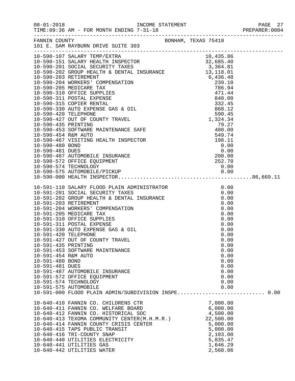|                      | FANNIN COUNTY<br>101 E. SAM RAYBURN DRIVE SUITE 303                                                                                                                                                                                        |                      |  |
|----------------------|--------------------------------------------------------------------------------------------------------------------------------------------------------------------------------------------------------------------------------------------|----------------------|--|
|                      |                                                                                                                                                                                                                                            |                      |  |
|                      |                                                                                                                                                                                                                                            |                      |  |
|                      |                                                                                                                                                                                                                                            |                      |  |
|                      |                                                                                                                                                                                                                                            |                      |  |
|                      |                                                                                                                                                                                                                                            |                      |  |
|                      |                                                                                                                                                                                                                                            |                      |  |
|                      |                                                                                                                                                                                                                                            |                      |  |
|                      |                                                                                                                                                                                                                                            |                      |  |
|                      |                                                                                                                                                                                                                                            |                      |  |
|                      |                                                                                                                                                                                                                                            |                      |  |
|                      |                                                                                                                                                                                                                                            |                      |  |
|                      |                                                                                                                                                                                                                                            |                      |  |
|                      |                                                                                                                                                                                                                                            |                      |  |
|                      |                                                                                                                                                                                                                                            |                      |  |
|                      |                                                                                                                                                                                                                                            |                      |  |
|                      |                                                                                                                                                                                                                                            |                      |  |
|                      |                                                                                                                                                                                                                                            |                      |  |
|                      |                                                                                                                                                                                                                                            |                      |  |
|                      |                                                                                                                                                                                                                                            |                      |  |
|                      |                                                                                                                                                                                                                                            |                      |  |
|                      |                                                                                                                                                                                                                                            |                      |  |
|                      |                                                                                                                                                                                                                                            |                      |  |
|                      |                                                                                                                                                                                                                                            |                      |  |
|                      |                                                                                                                                                                                                                                            |                      |  |
|                      | 10-591-110 SALARY FLOOD PLAIN ADMINISTRATOR<br>10-591-201 SOCIAL SECURITY TAXES<br>10-591-202 GROUP HEALTH & DENTAL INSURANCE<br>10-591-203 RETIREMENT<br>10-591-203 RETIREMENT<br>10-591-204 WORKERS' COMPENSATION<br>10-591-205 MEDICARE |                      |  |
|                      |                                                                                                                                                                                                                                            |                      |  |
|                      |                                                                                                                                                                                                                                            |                      |  |
|                      |                                                                                                                                                                                                                                            |                      |  |
|                      |                                                                                                                                                                                                                                            |                      |  |
|                      |                                                                                                                                                                                                                                            |                      |  |
|                      |                                                                                                                                                                                                                                            |                      |  |
|                      |                                                                                                                                                                                                                                            |                      |  |
|                      |                                                                                                                                                                                                                                            |                      |  |
| 10-591-420 TELEPHONE |                                                                                                                                                                                                                                            | 0.00                 |  |
|                      | 10-591-427 OUT OF COUNTY TRAVEL                                                                                                                                                                                                            | 0.00                 |  |
| 10-591-435 PRINTING  |                                                                                                                                                                                                                                            | 0.00                 |  |
|                      | 10-591-453 SOFTWARE MAINTENANCE                                                                                                                                                                                                            | 0.00                 |  |
| 10-591-454 R&M AUTO  |                                                                                                                                                                                                                                            | 0.00                 |  |
| 10-591-480 BOND      |                                                                                                                                                                                                                                            | 0.00                 |  |
| 10-591-481 DUES      |                                                                                                                                                                                                                                            | 0.00                 |  |
|                      | 10-591-487 AUTOMOBILE INSURANCE                                                                                                                                                                                                            | 0.00<br>0.00         |  |
|                      | 10-591-572 OFFICE EQUIPMENT<br>10-591-574 TECHNOLOGY                                                                                                                                                                                       | 0.00                 |  |
|                      | 10-591-575 AUTOMOBILE                                                                                                                                                                                                                      | 0.00                 |  |
|                      | 10-591-000 FLOOD PLAIN ADMIN/SUBDIVISION INSPE 0.00                                                                                                                                                                                        |                      |  |
|                      |                                                                                                                                                                                                                                            |                      |  |
|                      | 10-640-410 FANNIN CO. CHILDRENS CTR                                                                                                                                                                                                        | 7,000.00             |  |
|                      | 10-640-411 FANNIN CO. WELFARE BOARD                                                                                                                                                                                                        | 7,000.00<br>6,000.00 |  |
|                      | 10-640-413 TEXOMA COMMUNITY CENTER(M.H.M.R.)<br>10-640-413 TEXOMA COMMUNITY CENTER(M.H.M.R.)<br>10-640-414 FANNIN COUNTY CRISIS CENTER                                                                                                     |                      |  |
|                      |                                                                                                                                                                                                                                            |                      |  |
|                      |                                                                                                                                                                                                                                            |                      |  |
|                      | 10-640-415 TAPS PUBLIC TRANSIT                                                                                                                                                                                                             | 5,000.00             |  |
|                      | 10-640-416 TRI-COUNTY SNAP                                                                                                                                                                                                                 | 2,103.00             |  |
|                      | 10-640-440 UTILITIES ELECTRICITY                                                                                                                                                                                                           | 5,835.47             |  |
|                      | 10-640-441 UTILITIES GAS                                                                                                                                                                                                                   | 1,646.29             |  |
|                      | 10-640-442 UTILITIES WATER                                                                                                                                                                                                                 | 2,568.06             |  |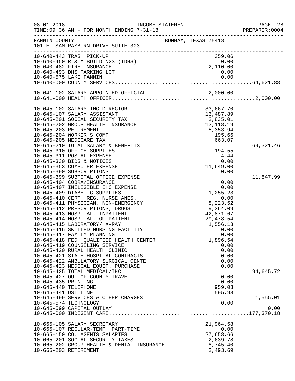| $08 - 01 - 2018$     | TIME: 09:36 AM - FOR MONTH ENDING 7-31-18  | INCOME STATEMENT    |                              | PAGE 28<br>PREPARER:0004 |
|----------------------|--------------------------------------------|---------------------|------------------------------|--------------------------|
| FANNIN COUNTY        | 101 E. SAM RAYBURN DRIVE SUITE 303         | BONHAM, TEXAS 75418 |                              |                          |
|                      | 10-640-443 TRASH PICK-UP                   |                     | $359.00$<br>0.00<br>2,110.00 |                          |
|                      | 10-640-450 R & M BUILDINGS (TDHS)          |                     |                              |                          |
|                      | 10-640-482 FIRE INSURANCE                  |                     |                              |                          |
|                      | 10-640-493 DHS PARKING LOT                 |                     | 0.00                         |                          |
|                      |                                            |                     |                              |                          |
|                      |                                            |                     |                              |                          |
|                      |                                            |                     |                              |                          |
|                      | 10-645-102 SALARY IHC DIRECTOR             |                     | 33,667.70                    |                          |
|                      | 10-645-107 SALARY ASSISTANT                |                     | 13,487.89                    |                          |
|                      | 10-645-201 SOCIAL SECURITY TAX             |                     | 2,835.01                     |                          |
|                      | 10-645-202 GROUP HEALTH INSURANCE          |                     | 13, 118. 19                  |                          |
|                      | 10-645-203 RETIREMENT                      |                     | 5,353.94                     |                          |
|                      | 10-645-204 WORKER'S COMP                   |                     | 195.66                       |                          |
|                      | 10-645-205 MEDICARE TAX                    |                     | 663.07                       |                          |
|                      | 10-645-210 TOTAL SALARY & BENEFITS         |                     |                              | 69, 321.46               |
|                      | 10-645-310 OFFICE SUPPLIES                 |                     | 194.55                       |                          |
|                      | 10-645-311 POSTAL EXPENSE                  |                     | 4.44                         |                          |
|                      | 10-645-330 BIDS & NOTICES                  |                     | 0.00                         |                          |
|                      | 10-645-353 COMPUTER EXPENSE                |                     | 11,649.00                    |                          |
|                      | 10-645-390 SUBSCRIPTIONS                   |                     | 0.00                         |                          |
|                      | 10-645-399 SUBTOTAL OFFICE EXPENSE         |                     |                              | 11,847.99                |
|                      | 10-645-404 COBRA/INSURANCE                 |                     | 0.00                         |                          |
|                      | 10-645-407 INELIGIBLE IHC EXPENSE          |                     | 0.00                         |                          |
|                      | 10-645-409 DIABETIC SUPPLIES               |                     | 1,255.23                     |                          |
|                      | 10-645-410 CERT. REG. NURSE ANES.          |                     | 0.00                         |                          |
|                      | 10-645-411 PHYSICIAN, NON-EMERGENCY        |                     | 8,223.52                     |                          |
|                      | 10-645-412 PRESCRIPTIONS, DRUGS            |                     | 9,364.09                     |                          |
|                      | 10-645-413 HOSPITAL, INPATIENT             |                     | 42,871.67                    |                          |
|                      | 10-645-414 HOSPITAL, OUTPATIENT            |                     | 29,478.54                    |                          |
|                      | 10-645-415 LABORATORY/ X-RAY               |                     | 1,556.13                     |                          |
|                      | 10-645-416 SKILLED NURSING FACILITY        |                     | 0.00                         |                          |
|                      | 10-645-417 FAMILY PLANNING                 |                     | 0.00                         |                          |
|                      | 10-645-418 FED. QUALIFIED HEALTH CENTER    |                     | 1,896.54                     |                          |
|                      | 10-645-419 COUNSELING SERVICE              |                     | 0.00                         |                          |
|                      | 10-645-420 RURAL HEALTH CLINIC             |                     | 0.00                         |                          |
|                      | 10-645-421 STATE HOSPITAL CONTRACTS        |                     | 0.00                         |                          |
|                      | 10-645-422 AMBULATORY SURGICAL CENTE       |                     | 0.00                         |                          |
|                      | 10-645-423 MEDICAL EQUIP. PURCHASE         |                     | 0.00                         |                          |
|                      | 10-645-425 TOTAL MEDICAL/IHC               |                     |                              | 94,645.72                |
|                      | 10-645-427 OUT OF COUNTY TRAVEL            |                     | 0.00                         |                          |
| 10-645-435 PRINTING  |                                            |                     | 0.00                         |                          |
| 10-645-440 TELEPHONE |                                            |                     | 959.03                       |                          |
| 10-645-441 DSL LINE  |                                            |                     | 595.98                       |                          |
|                      | 10-645-499 SERVICES & OTHER CHARGES        |                     |                              | 1,555.01                 |
|                      | 10-645-574 TECHNOLOGY                      |                     | 0.00                         |                          |
|                      | 10-645-599 CAPITAL OUTLAY                  |                     |                              | 0.00                     |
|                      |                                            |                     |                              |                          |
|                      | 10-665-105 SALARY SECRETARY                |                     | 21,964.58                    |                          |
|                      | 10-665-107 REGULAR-TEMP. PART-TIME         |                     | 0.00                         |                          |
|                      | 10-665-150 CO. AGENTS SALARIES             |                     | 27,658.66                    |                          |
|                      | 10-665-201 SOCIAL SECURITY TAXES           |                     | 2,639.78                     |                          |
|                      | 10-665-202 GROUP HEALTH & DENTAL INSURANCE |                     | 8,745.40                     |                          |
|                      | 10-665-203 RETIREMENT                      |                     | 2,493.69                     |                          |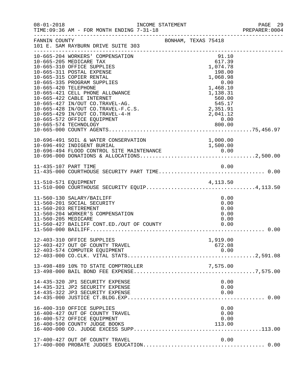| $08 - 01 - 2018$     |                                                                                                                                                                                                                                                                                                                                                                                              | INCOME STATEMENT    |                                                                                                                                       | PAGE 29<br>PREPARER: 0004 |
|----------------------|----------------------------------------------------------------------------------------------------------------------------------------------------------------------------------------------------------------------------------------------------------------------------------------------------------------------------------------------------------------------------------------------|---------------------|---------------------------------------------------------------------------------------------------------------------------------------|---------------------------|
| FANNIN COUNTY        | 101 E. SAM RAYBURN DRIVE SUITE 303                                                                                                                                                                                                                                                                                                                                                           | BONHAM, TEXAS 75418 |                                                                                                                                       |                           |
| 10-665-420 TELEPHONE | 10-665-204 WORKERS' COMPENSATION<br>10-665-205 MEDICARE TAX<br>10-665-310 OFFICE SUPPLIES<br>10-665-311 POSTAL EXPENSE<br>10-665-315 COPIER RENTAL<br>10-665-335 PROGRAM SUPPLIES<br>10-665-421 CELL PHONE ALLOWANCE<br>10-665-422 CABLE INTERNET<br>10-665-427 IN/OUT CO.TRAVEL-AG.<br>10-665-428 IN/OUT CO.TRAVEL-F.C.S.<br>10-665-429 IN/OUT CO.TRAVEL-4-H<br>10-665-572 OFFICE EQUIPMENT |                     | 91.10<br>617.39<br>1,074.78<br>198.00<br>1,068.98<br>0.00<br>1,468.10<br>1,138.31<br>560.00<br>545.17<br>2,351.91<br>2,041.12<br>0.00 |                           |
|                      |                                                                                                                                                                                                                                                                                                                                                                                              |                     |                                                                                                                                       |                           |
|                      |                                                                                                                                                                                                                                                                                                                                                                                              |                     |                                                                                                                                       |                           |
|                      | 11-510-571 EQUIPMENT<br>11-510-000 COURTHOUSE SECURITY EQUIP4,113.50                                                                                                                                                                                                                                                                                                                         |                     |                                                                                                                                       |                           |
| 11-560-205 MEDICARE  | 11-560-130 SALARY/BAILIFF<br>11-560-201 SOCIAL SECURITY<br>11-560-203 RETIREMENT<br>11-560-204 WORKER'S COMPENSATION                                                                                                                                                                                                                                                                         |                     | 0.00<br>0.00<br>0.00<br>0.00<br>0.00                                                                                                  |                           |
|                      | 12-403-310 OFFICE SUPPLIES<br>12-403-427 OUT OF COUNTY TRAVEL                                                                                                                                                                                                                                                                                                                                |                     | 1,919.00<br>672.08                                                                                                                    |                           |
|                      | 13-498-489 10% TO STATE COMPTROLLER                                                                                                                                                                                                                                                                                                                                                          |                     |                                                                                                                                       |                           |
|                      | 14-435-320 JP1 SECURITY EXPENSE<br>14-435-321 JP2 SECURITY EXPENSE<br>14-435-322 JP3 SECURITY EXPENSE                                                                                                                                                                                                                                                                                        |                     | 0.00<br>0.00<br>0.00                                                                                                                  |                           |
|                      | 16-400-310 OFFICE SUPPLIES<br>16-400-427 OUT OF COUNTY TRAVEL<br>16-400-572 OFFICE EQUIPMENT<br>16-400-590 COUNTY JUDGE BOOKS                                                                                                                                                                                                                                                                |                     | 0.00<br>0.00<br>0.00<br>113.00                                                                                                        |                           |
|                      | 17-400-427 OUT OF COUNTY TRAVEL                                                                                                                                                                                                                                                                                                                                                              |                     | 0.00                                                                                                                                  |                           |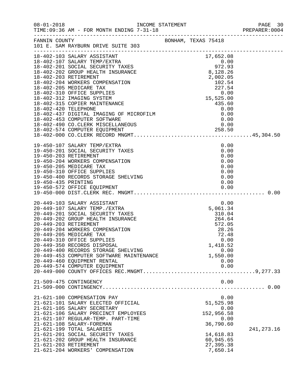| $08 - 01 - 2018$ | TIME: 09:36 AM - FOR MONTH ENDING 7-31-18                                                                                                                                                                                                                                                                                                                                                                                                    |                                                                                                                                                                           | PAGE 30<br>PREPARER:0004 |
|------------------|----------------------------------------------------------------------------------------------------------------------------------------------------------------------------------------------------------------------------------------------------------------------------------------------------------------------------------------------------------------------------------------------------------------------------------------------|---------------------------------------------------------------------------------------------------------------------------------------------------------------------------|--------------------------|
|                  | FANNIN COUNTY BONHAM, TEXAS 75418<br>101 E. SAM RAYBURN DRIVE SUITE 303                                                                                                                                                                                                                                                                                                                                                                      |                                                                                                                                                                           |                          |
|                  |                                                                                                                                                                                                                                                                                                                                                                                                                                              |                                                                                                                                                                           |                          |
|                  | .8-402-000 CO.CLERK RECORD FINGHALL<br>19-450-107 SALARY TEMP/EXTRA<br>19-450-201 SOCIAL SECURITY TAXES<br>19-450-203 RETIREMENT<br>19-450-204 WORKERS COMPENSATION<br>19-450-205 MEDICARE TAX<br>19-450-310 OFFICE SUPPLIES<br>19-450-400 REC                                                                                                                                                                                               | 0.00<br>0.00<br>0.00<br>0.00<br>0.00<br>0.00<br>0.00<br>0.00                                                                                                              |                          |
|                  | 20-449-103 SALARY ASSISTANT<br>20-449-107 SALARY TEMP./EXTRA<br>20-449-201 SOCIAL SECURITY TAXES<br>20-449-202 GROUP HEALTH INSURANCE<br>20-449-203 RETIREMENT<br>20-449-204 WORKERS COMPENSATION<br>20-449-205 MEDICARE TAX<br>20-449-310 OFFICE SUPPLIES<br>20-449-350 RECORDS DISPOSAL<br>20-449-400 RECORDS STORAGE SHELVING<br>20-449-453 COMPUTER SOFTWARE MAINTENANCE<br>20-449-460 EQUIPMENT RENTAL<br>20-449-574 COMPUTER EQUIPMENT | 0.00<br>$\begin{array}{r} 0.00 \\ 5,061.34 \\ 310.04 \\ 264.64 \\ \end{array}$<br>RCE<br>572.05<br>28.26<br>72.48<br>0.00<br>1,418.52<br>0.00<br>1,550.00<br>0.00<br>0.00 |                          |
|                  | 21-509-475 CONTINGENCY                                                                                                                                                                                                                                                                                                                                                                                                                       | 0.00                                                                                                                                                                      |                          |
|                  | 21-621-100 COMPENSATION PAY<br>21-621-101 SALARY ELECTED OFFICIAL<br>21-621-105 SALARY SECRETARY<br>21-621-106 SALARY PRECINCT EMPLOYEES<br>21-621-107 REGULAR-TEMP. PART-TIME<br>21-621-108 SALARY-FOREMAN<br>21-621-199 TOTAL SALARIES<br>21-621-201 SOCIAL SECURITY TAXES<br>21-621-202 GROUP HEALTH INSURANCE<br>21-621-203 RETIREMENT<br>21-621-204 WORKERS' COMPENSATION                                                               | 0.00<br>51,525.98<br>0.00<br>152,956.58<br>0.00<br>36,790.60<br>14,618.83<br>60,945.65<br>27, 395.38<br>7,650.14                                                          | 241, 273. 16             |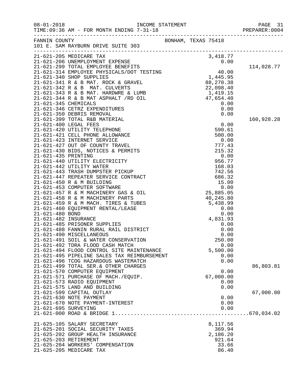|                      |                                                                      |                     |              | PREPARER: 0004 |
|----------------------|----------------------------------------------------------------------|---------------------|--------------|----------------|
|                      | FANNIN COUNTY<br>101 E. SAM RAYBURN DRIVE SUITE 303                  | BONHAM, TEXAS 75418 |              |                |
|                      |                                                                      |                     |              |                |
|                      | 21-621-205 MEDICARE TAX                                              |                     |              |                |
|                      |                                                                      |                     |              | 114,028.77     |
|                      |                                                                      |                     |              |                |
|                      |                                                                      |                     |              |                |
|                      |                                                                      |                     |              |                |
|                      |                                                                      |                     |              |                |
|                      |                                                                      |                     |              |                |
|                      |                                                                      |                     |              |                |
|                      |                                                                      |                     |              |                |
|                      |                                                                      |                     |              |                |
|                      |                                                                      |                     |              | 160,928.28     |
|                      |                                                                      |                     |              |                |
|                      |                                                                      |                     |              |                |
|                      |                                                                      |                     |              |                |
|                      |                                                                      |                     |              |                |
|                      |                                                                      |                     |              |                |
|                      |                                                                      |                     |              |                |
|                      |                                                                      |                     |              |                |
|                      |                                                                      |                     |              |                |
|                      |                                                                      |                     |              |                |
|                      |                                                                      |                     |              |                |
|                      |                                                                      |                     |              |                |
|                      |                                                                      |                     |              |                |
|                      |                                                                      |                     |              |                |
|                      |                                                                      |                     |              |                |
|                      |                                                                      |                     |              |                |
|                      |                                                                      |                     |              |                |
| 21-621-482 INSURANCE |                                                                      | 4,831.93            |              |                |
|                      | 21-621-485 PRISONER SUPPLIES                                         |                     | 0.00         |                |
|                      | 21-621-488 FANNIN RURAL RAIL DISTRICT<br>21-621-490 MISCELLANEOUS    |                     | 0.00<br>0.00 |                |
|                      | 21-621-491 SOIL & WATER CONSERVATION                                 |                     | 250.00       |                |
|                      | 21-621-492 TDRA FLOOD CASH MATCH                                     |                     | 0.00         |                |
|                      | 21-621-494 FLOOD CONTROL SITE MAINTENANCE                            | 5,500.00            |              |                |
|                      | 21-621-495 PIPELINE SALES TAX REIMBURSEMENT                          |                     | 0.00         |                |
|                      | 21-621-496 TCOG HAZARDOUS WASTEMATCH                                 |                     | 0.00         |                |
|                      | 21-621-499 TOTAL SER. & OTHER CHARGES                                |                     |              | 86,803.81      |
|                      | 21-621-570 COMPUTER EQUIPMENT<br>21-621-571 PURCHASE OF MACH./EQUIP. |                     | 0.00         |                |
|                      | 21-621-573 RADIO EQUIPMENT                                           | 67,000.00           | 0.00         |                |
|                      | 21-621-575 LAND AND BUILDING                                         |                     | 0.00         |                |
|                      | 21-621-599 CAPITAL OUTLAY                                            |                     |              | 67,000.00      |
|                      | 21-621-630 NOTE PAYMENT                                              |                     | 0.00         |                |
|                      | 21-621-670 NOTE PAYMENT-INTEREST                                     |                     | 0.00         |                |
| 21-621-695 SURVEYING |                                                                      |                     | 0.00         |                |
|                      |                                                                      |                     |              |                |
|                      | 21-625-105 SALARY SECRETARY                                          | 8,117.56            |              |                |
|                      | 21-625-201 SOCIAL SECURITY TAXES                                     |                     | 369.94       |                |
|                      | 21-625-202 GROUP HEALTH INSURANCE                                    | 2,186.20            |              |                |
|                      | 21-625-203 RETIREMENT                                                | 921.64              |              |                |
|                      | 21-625-204 WORKERS' COMPENSATION                                     |                     | 33.66        |                |
|                      | 21-625-205 MEDICARE TAX                                              |                     | 86.40        |                |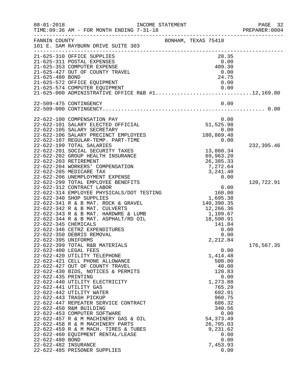| $08 - 01 - 2018$     | INCOME STATEMENT<br>TIME: 09:36 AM - FOR MONTH ENDING 7-31-18                                                                                                                                                                              |                     | PAGE 32<br>PREPARER: 0004 |
|----------------------|--------------------------------------------------------------------------------------------------------------------------------------------------------------------------------------------------------------------------------------------|---------------------|---------------------------|
| FANNIN COUNTY        | 101 E. SAM RAYBURN DRIVE SUITE 303                                                                                                                                                                                                         | BONHAM, TEXAS 75418 |                           |
|                      | 21-625-310 OFFICE SUPPLIES                                                                                                                                                                                                                 | 20.35               |                           |
|                      | 21-625-311 POSTAL EXPENSES                                                                                                                                                                                                                 | 0.00<br>409.30      |                           |
|                      | 21-625-353 COMPUTER EXPENSE<br>21-625-427 OUT OF COUNTY TRAVEL                                                                                                                                                                             | 0.00                |                           |
| 21-625-480 BOND      |                                                                                                                                                                                                                                            | 24.75               |                           |
|                      | 21-625-572 OFFICE EQUIPMENT                                                                                                                                                                                                                | 0.00                |                           |
|                      |                                                                                                                                                                                                                                            |                     |                           |
|                      | 0.00   0.00   0.00   0.00   0.00   0.00   0.00   0.00   0.00   0.00   0.00   0.00   0.00   0.00   0.00   0.00   0.00   0.00   0.00   0.00   0.00   0.00   0.00   0.00   0.00   0.00   0.00   0.00   0.000   0.000   0.000   0.             |                     |                           |
|                      | 22-509-475 CONTINGENCY                                                                                                                                                                                                                     | 0.00                |                           |
|                      |                                                                                                                                                                                                                                            |                     |                           |
|                      | 22-622-100 COMPENSATION PAY                                                                                                                                                                                                                | 0.00<br>51,525.98   |                           |
|                      | 22-622-101 SALARY ELECTED OFFICIAL                                                                                                                                                                                                         |                     |                           |
|                      | 22-622-105 SALARY SECRETARY                                                                                                                                                                                                                | 0.00                |                           |
|                      | 22-622-106 SALARY PRECINCT EMPLOYEES                                                                                                                                                                                                       | 180,869.48          |                           |
|                      | 22-622-107 REGULAR-TEMP. PART-TIME<br>22-622-199 TOTAL SALARIES                                                                                                                                                                            | 0.00                | 232,395.46                |
|                      | 22-622-201 SOCIAL SECURITY TAXES                                                                                                                                                                                                           | 13,860.34           |                           |
|                      | 22-622-202 GROUP HEALTH INSURANCE                                                                                                                                                                                                          | 69,963.20           |                           |
|                      | 22-622-203 RETIREMENT                                                                                                                                                                                                                      | 26,385.33           |                           |
|                      | 22-622-204 WORKERS' COMPENSATION                                                                                                                                                                                                           | 7,272.64            |                           |
|                      | 22-622-205 MEDICARE TAX                                                                                                                                                                                                                    | 3, 241.40           |                           |
|                      | 22-622-206 UNEMPLOYMENT EXPENSE                                                                                                                                                                                                            | 0.00                |                           |
|                      | 22-622-299 TOTAL EMPLOYEE BENEFITS                                                                                                                                                                                                         |                     | 120,722.91                |
|                      | 22-022-314 EMPLOYEE PHYSICALS/DOT TESTING<br>22-622-314 EMPLOYEE PHYSICALS/DOT TESTING<br>22-622-340 SHOP SUPPLIES<br>22-622-341 R & B MAT. ROCK & GRAVEL<br>22-622-342 R & B MAT. CULVERTS<br>22-622-343 R & B MAT. HARDWRE & LUMB<br>22- |                     |                           |
|                      |                                                                                                                                                                                                                                            |                     |                           |
|                      |                                                                                                                                                                                                                                            |                     |                           |
|                      |                                                                                                                                                                                                                                            |                     |                           |
|                      |                                                                                                                                                                                                                                            |                     |                           |
|                      |                                                                                                                                                                                                                                            |                     |                           |
|                      |                                                                                                                                                                                                                                            |                     |                           |
|                      | 22-622-346 CETRZ EXPENDITURES                                                                                                                                                                                                              | 0.00                |                           |
|                      | 22-622-350 DEBRIS REMOVAL                                                                                                                                                                                                                  | 0.00                |                           |
| 22-622-395 UNIFORMS  |                                                                                                                                                                                                                                            | 2, 212.84           |                           |
|                      | 22-622-399 TOTAL R&B MATERIALS                                                                                                                                                                                                             |                     | 176,567.35                |
|                      | 22-622-400 LEGAL FEES                                                                                                                                                                                                                      | 0.00                |                           |
|                      | 22-622-420 UTILITY TELEPHONE                                                                                                                                                                                                               | 1,414.48            |                           |
|                      | 22-622-421 CELL PHONE ALLOWANCE                                                                                                                                                                                                            | 500.00              |                           |
|                      | 22-622-427 OUT OF COUNTY TRAVEL                                                                                                                                                                                                            | 40.00               |                           |
| 22-622-435 PRINTING  | 22-622-430 BIDS, NOTICES & PERMITS                                                                                                                                                                                                         | 120.83              |                           |
|                      | 22-622-440 UTILITY ELECTRICITY                                                                                                                                                                                                             | 0.00<br>1,273.88    |                           |
|                      | 22-622-441 UTILITY GAS                                                                                                                                                                                                                     | 765.29              |                           |
|                      | 22-622-442 UTILITY WATER                                                                                                                                                                                                                   | 692.91              |                           |
|                      | 22-622-443 TRASH PICKUP                                                                                                                                                                                                                    | 960.75              |                           |
|                      | 22-622-447 REPEATER SERVICE CONTRACT                                                                                                                                                                                                       | 686.32              |                           |
|                      | 22-622-450 R&M BUILDING                                                                                                                                                                                                                    | 340.56              |                           |
|                      | 22-622-453 COMPUTER SOFTWARE                                                                                                                                                                                                               | 0.00                |                           |
|                      | 22-622-457 R & M MACHINERY GAS & OIL                                                                                                                                                                                                       | 54, 373.49          |                           |
|                      | 22-622-458 R & M MACHINERY PARTS                                                                                                                                                                                                           | 26,705.03           |                           |
|                      | 22-622-459 R & M MACH. TIRES & TUBES                                                                                                                                                                                                       | 9,231.62            |                           |
|                      | 22-622-460 EQUIPMENT RENTAL/LEASE                                                                                                                                                                                                          | 0.00                |                           |
| 22-622-480 BOND      |                                                                                                                                                                                                                                            | 0.00                |                           |
| 22-622-482 INSURANCE | 22-622-485 PRISONER SUPPLIES                                                                                                                                                                                                               | 7,453.93<br>0.00    |                           |
|                      |                                                                                                                                                                                                                                            |                     |                           |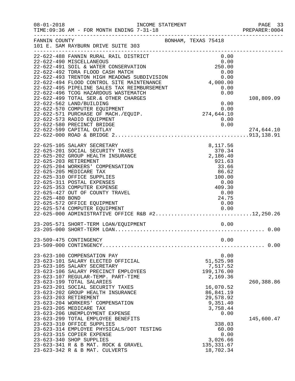| $08 - 01 - 2018$                         | INCOME STATEMENT<br>TIME: 09:36 AM - FOR MONTH ENDING 7-31-18                                                                                                                                                                                                                                                                                                                                                                                                                                                                     | _________________   |                              |                                                                                                       | PAGE 33<br>PREPARER: 0004 |
|------------------------------------------|-----------------------------------------------------------------------------------------------------------------------------------------------------------------------------------------------------------------------------------------------------------------------------------------------------------------------------------------------------------------------------------------------------------------------------------------------------------------------------------------------------------------------------------|---------------------|------------------------------|-------------------------------------------------------------------------------------------------------|---------------------------|
| FANNIN COUNTY                            | 101 E. SAM RAYBURN DRIVE SUITE 303                                                                                                                                                                                                                                                                                                                                                                                                                                                                                                | BONHAM, TEXAS 75418 |                              |                                                                                                       |                           |
|                                          | 22-622-488 FANNIN RURAL RAIL DISTRICT<br>22-622-490 MISCELLANEOUS<br>22-622-491 SOIL & WATER CONSERVATION<br>22-622-492 TDRA FLOOD CASH MATCH<br>22-622-493 TRENTON HIGH MEADOWS SUBDIVISION<br>22-622-494 FLOOD CONTROL SILE FELINILISTICAL<br>22-622-495 PIPELINE SALES TAX REIMBURSEMENT<br>22-622-499 TOTAL SER. & OTHER CHARGES<br>22-622-562 LAND/BUILDING<br>22-622-570 COMPUTER EQUIPMENT<br>22-622-571 PURCHASE OF MACH./EQUIP.<br>22-622-573 RADIO EQUIPMENT<br>22-622-580 PRECINCT BRIDGE<br>22-622-599 CAPITAL OUTLAY |                     | 250.00<br>0.00<br>274,644.10 | 0.00<br>0.00<br>0.00<br>0.00<br>4,000.00<br>0.00<br>0.00<br>0.00<br>0.00<br>0.00                      | 108,809.09<br>274,644.10  |
| 22-625-203 RETIREMENT<br>22-625-480 BOND | 22-625-105 SALARY SECRETARY<br>22-625-201 SOCIAL SECURITY TAXES<br>22-625-202 GROUP HEALTH INSURANCE<br>22-625-204 WORKERS' COMPENSATION<br>22-625-205 MEDICARE TAX<br>22-625-310 OFFICE SUPPLIES<br>22-625-311 POSTAL EXPENSES<br>22-625-353 COMPUTER EXPENSE<br>22-625-427 OUT OF COUNTY TRAVEL<br>22-625-572 OFFICE EQUIPMENT<br>22-625-574 COMPUTER EQUIPMENT<br>22-625-574 COMPUTER EQUIPMENT<br>22-625-000 ADMINISTRATIVE OFFICE R&B #212,250.26                                                                            |                     | 409.30                       | 8,117.56<br>370.34<br>2,186.40<br>921.63<br>33.66<br>86.62<br>100.00<br>0.00<br>0.00<br>24.75<br>0.00 |                           |
|                                          |                                                                                                                                                                                                                                                                                                                                                                                                                                                                                                                                   |                     |                              |                                                                                                       |                           |
|                                          | 23-623-100 COMPENSATION PAY                                                                                                                                                                                                                                                                                                                                                                                                                                                                                                       |                     |                              | 0.00<br>0.00                                                                                          |                           |
| 23-623-203 RETIREMENT                    | 23-623-101 SALARY ELECTED OFFICIAL<br>23-623-105 SALARY SECRETARY<br>23-623-106 SALARY PRECINCT EMPLOYEES<br>23-623-107 REGULAR-TEMP. PART-TIME<br>23-623-199 TOTAL SALARIES<br>23-623-201 SOCIAL SECURITY TAXES<br>23-623-202 GROUP HEALTH INSURANCE<br>23-623-204 WORKERS' COMPENSATION                                                                                                                                                                                                                                         |                     |                              | 51,525.98<br>7,517.52<br>199,176.00<br>2,169.36<br>16,070.52<br>86,841.19<br>29,578.92<br>9,351.40    | 260,388.86                |
|                                          | 23-623-205 MEDICARE TAX<br>23-623-206 UNEMPLOYMENT EXPENSE<br>23-623-299 TOTAL EMPLOYEE BENEFITS<br>23-623-310 OFFICE SUPPLIES<br>23-623-314 EMPLOYEE PHYSICALS/DOT TESTING<br>23-623-315 COPIER EXPENSE<br>23-623-340 SHOP SUPPLIES<br>23-623-341 R & B MAT. ROCK & GRAVEL<br>23-623-342 R & B MAT. CULVERTS                                                                                                                                                                                                                     |                     |                              | 3,758.44<br>0.00<br>338.03<br>60.00<br>0.00<br>3,026.66<br>135, 331.67<br>18,702.34                   | 145,600.47                |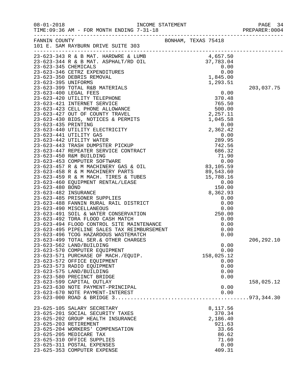| $08 - 01 - 2018$      | TIME: 09:36 AM - FOR MONTH ENDING 7-31-18                                                                                                                                                                                                                        |                                                                                       |             |
|-----------------------|------------------------------------------------------------------------------------------------------------------------------------------------------------------------------------------------------------------------------------------------------------------|---------------------------------------------------------------------------------------|-------------|
|                       | FANNIN COUNTY<br>BONHAM, TEXAS 75418<br>101 E. SAM RAYBURN DRIVE SUITE 303                                                                                                                                                                                       |                                                                                       |             |
|                       |                                                                                                                                                                                                                                                                  |                                                                                       |             |
|                       |                                                                                                                                                                                                                                                                  |                                                                                       |             |
|                       | 101 B. SAW RAYBURN PRIVE SUITE 303<br>23–623–443 R. & B MAT. ARENALT/RD OLL (4657.50)<br>23–623–344 R. & B MAT. ARENALT/RD OLL (4657.50)<br>23–623–346 CETRZ EXPENDITURES (0.000)<br>23–623–346 CETRZ EXPENDITURES (0.000)<br>23–623–34                          |                                                                                       | 203,037.75  |
|                       |                                                                                                                                                                                                                                                                  |                                                                                       | 206, 292.10 |
|                       | 23-623-499 TOTAL SER. & OTHER CHARGES<br>23-623-562 LAND/BUILDING<br>23-623-570 COMPUTER EQUIPMENT<br>23-623-571 PURCHASE OF MACH./EQUIP.<br>23-623-572 OFFICE EQUIPMENT<br>23-623-573 RADIO EQUIPMENT<br>23-623-575 LAND/BUILDING<br>23-623-580 PRECINCT BRIDGE | 0.00<br>0.00<br>158,025.12<br>0.00<br>0.00<br>0.00<br>0.00                            |             |
|                       | 23-623-599 CAPITAL OUTLAY<br>23-623-630 NOTE PAYMENT-PRINCIPAL<br>23-623-670 NOTE PAYMENT-INTEREST                                                                                                                                                               | 0.00<br>0.00                                                                          | 158,025.12  |
| 23-625-203 RETIREMENT | 23-625-105 SALARY SECRETARY<br>23-625-201 SOCIAL SECURITY TAXES<br>23-625-202 GROUP HEALTH INSURANCE<br>23-625-204 WORKERS' COMPENSATION<br>23-625-205 MEDICARE TAX<br>23-625-310 OFFICE SUPPLIES<br>23-625-311 POSTAL EXPENSES<br>23-625-353 COMPUTER EXPENSE   | 8,117.56<br>370.34<br>2,186.40<br>921.63<br>33.66<br>86.62<br>71.60<br>0.00<br>409.31 |             |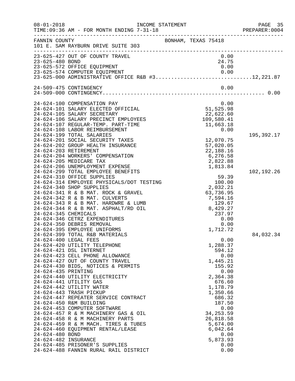| $08 - 01 - 2018$      | TIME: 09:36 AM - FOR MONTH ENDING 7-31-18                       | INCOME STATEMENT<br>----------------- | PAGE 35<br>PREPARER: 0004 |
|-----------------------|-----------------------------------------------------------------|---------------------------------------|---------------------------|
| FANNIN COUNTY         | 101 E. SAM RAYBURN DRIVE SUITE 303                              | BONHAM, TEXAS 75418                   |                           |
|                       | 23-625-427 OUT OF COUNTY TRAVEL                                 | 0.00                                  |                           |
| 23-625-480 BOND       |                                                                 | 24.75                                 |                           |
|                       | 23-625-572 OFFICE EQUIPMENT<br>23-625-574 COMPUTER EQUIPMENT    | 0.00                                  |                           |
|                       |                                                                 |                                       |                           |
|                       | 24-509-475 CONTINGENCY                                          | 0.00                                  |                           |
|                       |                                                                 |                                       |                           |
|                       | 24-624-100 COMPENSATION PAY                                     | 0.00                                  |                           |
|                       | 24-624-101 SALARY ELECTED OFFICIAL                              | 51,525.98                             |                           |
|                       | 24-624-105 SALARY SECRETARY                                     | 22,622.60                             |                           |
|                       | 24-624-106 SALARY PRECINCT EMPLOYEES                            | 109,580.41                            |                           |
|                       | 24-624-107 REGULAR-TEMP. PART-TIME                              | 11,663.18                             |                           |
|                       | 24-624-108 LABOR REIMBURSEMENT                                  | 0.00                                  |                           |
|                       | 24-624-199 TOTAL SALARIES<br>24-624-201 SOCIAL SECURITY TAXES   | 12,070.75                             | 195,392.17                |
|                       | 24-624-202 GROUP HEALTH INSURANCE                               | 57,020.05                             |                           |
| 24-624-203 RETIREMENT |                                                                 | 22,188.16                             |                           |
|                       | 24-624-204 WORKERS' COMPENSATION                                | 6,276.58                              |                           |
|                       | 24-624-205 MEDICARE TAX                                         | 2,822.88                              |                           |
|                       | 24-624-206 UNEMPLOYMENT EXPENSE                                 | 1,813.84                              |                           |
|                       | 24-624-299 TOTAL EMPLOYEE BENEFITS                              |                                       | 102,192.26                |
|                       | 24-624-310 OFFICE SUPPLIES                                      | 59.39                                 |                           |
|                       | 24-624-314 EMPLOYEE PHYSICALS/DOT TESTING                       | 100.00                                |                           |
|                       | 24-624-340 SHOP SUPPLIES                                        | 2,032.21                              |                           |
|                       | 24-624-341 R & B MAT. ROCK & GRAVEL                             | 63,736.95                             |                           |
|                       | 24-624-342 R & B MAT. CULVERTS                                  | 7,594.16                              |                           |
|                       | 24-624-343 R & B MAT. HARDWRE & LUMB                            | 129.67                                |                           |
|                       | 24-624-344 R & B MAT. ASPHALT/RD OIL                            | 8,429.27                              |                           |
| 24-624-345 CHEMICALS  | 24-624-346 CETRZ EXPENDITURES                                   | 237.97                                |                           |
|                       | 24-624-350 DEBRIS REMOVAL                                       | 0.00<br>0.00                          |                           |
|                       | 24-624-395 EMPLOYEE UNIFORMS                                    | 1,712.72                              |                           |
|                       | 24-624-399 TOTAL R&B MATERIALS                                  |                                       | 84,032.34                 |
| 24-624-400 LEGAL FEES |                                                                 | 0.00                                  |                           |
|                       | 24-624-420 UTILITY TELEPHONE                                    | 1,288.37                              |                           |
|                       | 24-624-421 DSL INTERNET                                         | 594.12                                |                           |
|                       | 24-624-423 CELL PHONE ALLOWANCE                                 | 0.00                                  |                           |
|                       | 24-624-427 OUT OF COUNTY TRAVEL                                 | 1,445.21                              |                           |
|                       | 24-624-430 BIDS, NOTICES & PERMITS                              | 155.92                                |                           |
| 24-624-435 PRINTING   |                                                                 | 0.00                                  |                           |
|                       | 24-624-440 UTILITY ELECTRICITY                                  | 2,364.38                              |                           |
|                       | 24-624-441 UTILITY GAS                                          | 676.60                                |                           |
|                       | 24-624-442 UTILITY WATER                                        | 1,178.79                              |                           |
|                       | 24-624-443 TRASH PICKUP                                         | 1,350.66                              |                           |
|                       | 24-624-447 REPEATER SERVICE CONTRACT<br>24-624-450 R&M BUILDING | 686.32<br>187.50                      |                           |
|                       | 24-624-453 COMPUTER SOFTWARE                                    |                                       |                           |
|                       | 24-624-457 R & M MACHINERY GAS & OIL                            | 0.00<br>34, 253.59                    |                           |
|                       | 24-624-458 R & M MACHINERY PARTS                                | 26,818.58                             |                           |
|                       | 24-624-459 R & M MACH. TIRES & TUBES                            | 5,674.00                              |                           |
|                       | 24-624-460 EQUIPMENT RENTAL/LEASE                               | 6,042.64                              |                           |
| 24-624-480 BOND       |                                                                 | 0.00                                  |                           |
| 24-624-482 INSURANCE  |                                                                 | 5,873.93                              |                           |
|                       | 24-624-485 PRISONER'S SUPPLIES                                  | 0.00                                  |                           |
|                       | 24-624-488 FANNIN RURAL RAIL DISTRICT                           | 0.00                                  |                           |
|                       |                                                                 |                                       |                           |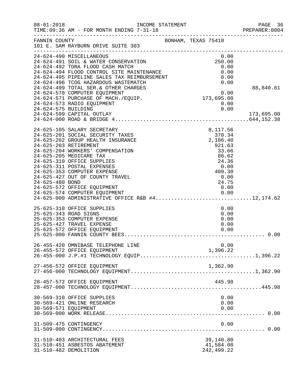| $08 - 01 - 2018$     | INCOME STATEMENT<br>TIME:09:36 AM - FOR MONTH ENDING 7-31-18 PREPARE:0001                                                                                                                                                                                                                                                                                                                                                                      |                                                                                                                          | PAGE 36<br>PREPARER: 0004 |
|----------------------|------------------------------------------------------------------------------------------------------------------------------------------------------------------------------------------------------------------------------------------------------------------------------------------------------------------------------------------------------------------------------------------------------------------------------------------------|--------------------------------------------------------------------------------------------------------------------------|---------------------------|
| FANNIN COUNTY        | 101 E. SAM RAYBURN DRIVE SUITE 303                                                                                                                                                                                                                                                                                                                                                                                                             | BONHAM, TEXAS 75418                                                                                                      |                           |
|                      | 24-624-490 MISCELLANEOUS<br>24-624-491 SOIL & WATER CONSERVATION<br>24-624-492 TDRA FLOOD CASH MATCH<br>24-624-494 FLOOD CONTROL SITE MAINTENANCE<br>24-624-495 PIPELINE SALES TAX REIMBURSEMENT                                                                                                                                                                                                                                               | 0.00<br>250.00<br>0.00<br>0.00<br>0.00                                                                                   |                           |
| 24-624-575 BUILDING  | 24-624-496 TCOG HAZARDOUS WASTEMATCH<br>24-624-499 TOTAL SER. & OTHER CHARGES<br>24-624-570 COMPUTER EQUIPMENT<br>24-624-571 PURCHASE OF MACH./EQUIP.<br>24-624-573 RADIO EQUIPMENT<br>24-624-599 CAPITAL OUTLAY                                                                                                                                                                                                                               | 0.00<br>0.00<br>173,695.00<br>0.00<br>0.00<br>0.00                                                                       | 88,840.61<br>173,695.00   |
| 24-625-480 BOND      | 24-625-105 SALARY SECRETARY<br>24-625-201 SOCIAL SECURITY TAXES<br>24-625-202 GROUP HEALTH INSURANCE<br>24-625-203 RETIREMENT<br>24-625-204 WORKERS' COMPENSATION<br>24-625-205 MEDICARE TAX<br>24-625-310 OFFICE SUPPLIES<br>24-625-311 POSTAL EXPENSES<br>24-625-353 COMPUTER EXPENSE<br>24-625-427 OUT OF COUNTY TRAVEL<br>24-625-572 OFFICE EQUIPMENT<br>24-625-574 COMPUTER EQUIPMENT<br>24-625-000 ADMINISTRATIVE OFFICE R&B #412,174.62 | 8,117.56<br>370.34<br>2,186.40<br>921.63<br>33.66<br>86.62<br>24.36<br>0.00<br>$0.00$<br>409.30<br>0.00<br>24.75<br>0.00 |                           |
|                      | 25-625-310 OFFICE SUPPLIES<br>25-625-343 ROAD SIGNS<br>25-625-353 COMPUTER EXPENSE<br>25-625-427 TRAVEL EXPENSE<br>25-625-572 OFFICE EQUIPMENT                                                                                                                                                                                                                                                                                                 | 0.00<br>0.00<br>0.00<br>0.00<br>0.00                                                                                     |                           |
|                      | 26-455-420 OMNIBASE TELEPHONE LINE<br>26-455-572 OFFICE EQUIPMENT                                                                                                                                                                                                                                                                                                                                                                              | 0.00<br>1,396.22                                                                                                         |                           |
|                      | 27-456-572 OFFICE EQUIPMENT                                                                                                                                                                                                                                                                                                                                                                                                                    | 1,362.90                                                                                                                 |                           |
|                      | 28-457-572 OFFICE EQUIPMENT                                                                                                                                                                                                                                                                                                                                                                                                                    | 445.98                                                                                                                   |                           |
| 30-569-571 EQUIPMENT | 30-569-310 OFFICE SUPPLIES<br>30-569-421 ONLINE RESEARCH                                                                                                                                                                                                                                                                                                                                                                                       | 0.00<br>0.00<br>0.00                                                                                                     |                           |
|                      | 31-509-475 CONTINGENCY                                                                                                                                                                                                                                                                                                                                                                                                                         | 0.00                                                                                                                     |                           |
|                      | 31-510-403 ARCHITECTURAL FEES<br>31-510-451 ASBESTOS ABATEMENT<br>31-510-482 DEMOLITION                                                                                                                                                                                                                                                                                                                                                        | 39,140.80<br>41,584.00<br>242, 499.22                                                                                    |                           |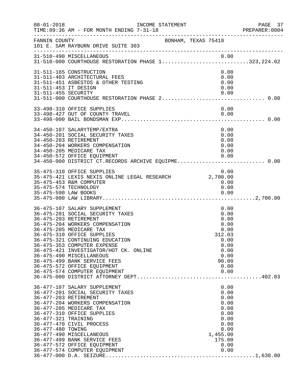| $08 - 01 - 2018$                            | INCOME STATEMENT<br>TIME: 09:36 AM - FOR MONTH ENDING 7-31-18                                                                                                                                                                                                                                                                                                                                                                 |                                                                                                            | PAGE 37<br>PREPARER:0004 |
|---------------------------------------------|-------------------------------------------------------------------------------------------------------------------------------------------------------------------------------------------------------------------------------------------------------------------------------------------------------------------------------------------------------------------------------------------------------------------------------|------------------------------------------------------------------------------------------------------------|--------------------------|
| FANNIN COUNTY                               | BONHAM, TEXAS 75418<br>101 E. SAM RAYBURN DRIVE SUITE 303<br>---------------------                                                                                                                                                                                                                                                                                                                                            |                                                                                                            |                          |
|                                             |                                                                                                                                                                                                                                                                                                                                                                                                                               |                                                                                                            |                          |
| 31-511-453 IT DESIGN<br>31-511-455 SECURITY | 31-511-165 CONSTRUCTION<br>31-511-403 ARCHITECTURAL FEES<br>31-511-451 ASBESTOS & OTHER TESTING                                                                                                                                                                                                                                                                                                                               | 0.00<br>0.00<br>0.00<br>0.00<br>0.00                                                                       |                          |
|                                             | 33-498-310 OFFICE SUPPLIES<br>33-498-427 OUT OF COUNTY TRAVEL                                                                                                                                                                                                                                                                                                                                                                 | 0.00<br>0.00                                                                                               |                          |
|                                             | 34-450-107 SALARYTEMP/EXTRA<br>34-450-201 SOCIAL SECURITY TAXES<br>34-450-203 RETIREMENT<br>34-450-204 WORKERS COMPENSATION<br>34-450-205 MEDICARE TAX<br>34-450-572 OFFICE EQUIPMENT<br>34-450-000 DISTRICT CT.RECORDS ARCHIVE EQUIPME 0.00                                                                                                                                                                                  | 0.00<br>0.00<br>0.00<br>0.00<br>0.00<br>0.00                                                               |                          |
|                                             | 35-475-310 OFFICE SUPPLIES<br>35-475-453 R&M COMPUTER<br>35-475-574 TECHNOLOGY                                                                                                                                                                                                                                                                                                                                                | 0.00<br>0.00<br>0.00                                                                                       |                          |
|                                             | 36-475-107 SALARY SUPPLEMENT<br>36-475-201 SOCIAL SECURITY TAXES<br>36-475-203 RETIREMENT<br>36-475-204 WORKERS COMPENSATION<br>36-475-205 MEDICARE TAX<br>36-475-310 OFFICE SUPPLIES<br>36-475-321 CONTINUING EDUCATION<br>36-475-353 COMPUTER EXPENSE<br>36-475-421 INVESTIGATOR/HOT CK. ONLINE<br>36-475-490 MISCELLANEOUS<br>36-475-499 BANK SERVICE FEES<br>36-475-572 OFFICE EQUIPMENT<br>36-475-574 COMPUTER EQUIPMENT | 0.00<br>0.00<br>0.00<br>0.00<br>0.00<br>312.03<br>0.00<br>0.00<br>0.00<br>0.00<br>90.00<br>0.00<br>0.00    |                          |
| 36-477-321 TRAINING<br>36-477-480 TOWING    | 36-477-107 SALARY SUPPLEMENT<br>36-477-201 SOCIAL SECURITY TAXES<br>36-477-203 RETIREMENT<br>36-477-204 WORKERS COMPENSATION<br>36-477-205 MEDICARE TAX<br>36-477-310 OFFICE SUPPLIES<br>36-477-470 CIVIL PROCESS<br>36-477-490 MISCELLANEOUS<br>36-477-499 BANK SERVICE FEES<br>36-477-572 OFFICE EQUIPMENT<br>36-477-574 COMPUTER EQUIPMENT                                                                                 | 0.00<br>0.00<br>0.00<br>0.00<br>0.00<br>0.00<br>0.00<br>0.00<br>0.00<br>1,455.00<br>175.00<br>0.00<br>0.00 |                          |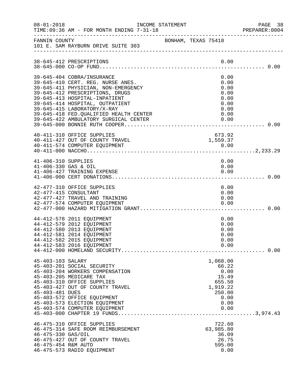| $08 - 01 - 2018$                            | INCOME STATEMENT<br>TIME: 09:36 AM - FOR MONTH ENDING 7-31-18                                                                                                                                                                                              |                     |  |                                                                                            | PAGE 38<br>PREPARER: 0004 |
|---------------------------------------------|------------------------------------------------------------------------------------------------------------------------------------------------------------------------------------------------------------------------------------------------------------|---------------------|--|--------------------------------------------------------------------------------------------|---------------------------|
| FANNIN COUNTY                               | 101 E. SAM RAYBURN DRIVE SUITE 303                                                                                                                                                                                                                         | BONHAM, TEXAS 75418 |  |                                                                                            |                           |
|                                             | 38-645-412 PRESCRIPTIONS                                                                                                                                                                                                                                   |                     |  | 0.00                                                                                       |                           |
|                                             | 39-645-404 COBRA/INSURANCE<br>39-645-410 CERT. REG. NURSE ANES.<br>39-645-411 PHYSICIAN, NON-EMERGENCY<br>39-645-412 PRESCRIPTIONS, DRUGS<br>39-645-413 HOSPITAL-INPATIENT<br>39-645-414 HOSPITAL, OUTPATIENT                                              |                     |  | 0.00<br>0.00<br>0.00<br>0.00<br>0.00<br>0.00                                               |                           |
|                                             | 39-645-415 LABORATORY/X-RAY<br>39-645-418 FED.QUALIFIED HEALTH CENTER<br>39-645-422 AMBULATORY SURGICAL CENTER                                                                                                                                             |                     |  | 0.00<br>0.00<br>0.00                                                                       |                           |
|                                             | 40-411-310 OFFICE SUPPLIES                                                                                                                                                                                                                                 |                     |  | 673.92                                                                                     |                           |
| 41-406-310 SUPPLIES<br>41-406-330 GAS & OIL | 41-406-427 TRAINING EXPENSE                                                                                                                                                                                                                                |                     |  | 0.00<br>0.00<br>0.00                                                                       |                           |
|                                             | 42-477-310 OFFICE SUPPLIES<br>42-477-415 CONSULTANT<br>42-477-427 TRAVEL AND TRAINING<br>42-477-574 COMPUTER EQUIPMENT                                                                                                                                     |                     |  | 0.00<br>0.00<br>0.00<br>0.00                                                               |                           |
|                                             | 44-412-578 2011 EQUIPMENT<br>44-412-579 2012 EQUIPMENT<br>44-412-580 2013 EQUIPMENT<br>44-412-581 2014 EQUIPMENT<br>44-412-582 2015 EQUIPMENT<br>44-412-583 2016 EQUIPMENT                                                                                 |                     |  | 0.00<br>0.00<br>0.00<br>0.00<br>0.00<br>0.00                                               |                           |
| 45-403-103 SALARY<br>45-403-481 DUES        | 45-403-201 SOCIAL SECURITY<br>45-403-204 WORKERS COMPENSATION<br>45-403-205 MEDICARE TAX<br>45-403-310 OFFICE SUPPLIES<br>45-403-427 OUT OF COUNTY TRAVEL<br>45-403-572 OFFICE EQUIPMENT<br>45-403-573 ELECTION EQUIPMENT<br>45-403-574 COMPUTER EQUIPMENT |                     |  | 1,068.00<br>66.22<br>0.00<br>15.49<br>655.50<br>1,919.22<br>250.00<br>0.00<br>0.00<br>0.00 |                           |
| 46-475-330 GAS/OIL<br>46-475-454 R&M AUTO   | 46-475-310 OFFICE SUPPLIES<br>46-475-314 SAFE ROOM REIMBURSEMENT<br>46-475-427 OUT OF COUNTY TRAVEL<br>46-475-573 RADIO EQUIPMENT                                                                                                                          |                     |  | 722.60<br>63,985.80<br>36.09<br>26.75<br>595.00<br>0.00                                    |                           |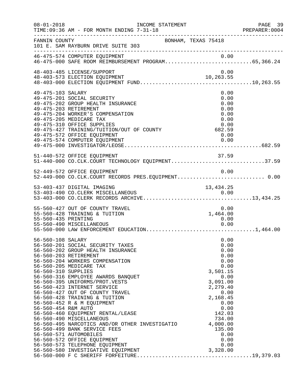| $08 - 01 - 2018$                                                | INCOME STATEMENT<br>TIME: 09:36 AM - FOR MONTH ENDING 7-31-18                                                                                                                                                                                                                                                                                                                                                                                                                                                                                                                     |                                                                                                                                                                                | PAGE 39<br>PREPARER: 0004 |
|-----------------------------------------------------------------|-----------------------------------------------------------------------------------------------------------------------------------------------------------------------------------------------------------------------------------------------------------------------------------------------------------------------------------------------------------------------------------------------------------------------------------------------------------------------------------------------------------------------------------------------------------------------------------|--------------------------------------------------------------------------------------------------------------------------------------------------------------------------------|---------------------------|
| FANNIN COUNTY                                                   | 101 E. SAM RAYBURN DRIVE SUITE 303                                                                                                                                                                                                                                                                                                                                                                                                                                                                                                                                                | BONHAM, TEXAS 75418                                                                                                                                                            |                           |
|                                                                 | 46-475-574 COMPUTER EQUIPMENT                                                                                                                                                                                                                                                                                                                                                                                                                                                                                                                                                     |                                                                                                                                                                                |                           |
|                                                                 | 48-403-485 LICENSE/SUPPORT                                                                                                                                                                                                                                                                                                                                                                                                                                                                                                                                                        | 0.00                                                                                                                                                                           |                           |
| 49-475-103 SALARY                                               | 49-475-201 SOCIAL SECURITY<br>49-475-202 GROUP HEALTH INSURANCE<br>49-475-203 RETIREMENT<br>49-475-204 WORKER'S COMPENSATION<br>49-475-205 MEDICARE TAX<br>49-475-310 OFFICE SUPPLIES<br>49-475-427 TRAINING/TUITION/OUT OF COUNTY 682.59<br>49-475-572 OFFICE EQUIPMENT                                                                                                                                                                                                                                                                                                          | 0.00<br>0.00<br>0.00<br>0.00<br>0.00<br>0.00<br>0.00                                                                                                                           |                           |
|                                                                 | 51-440-572 OFFICE EQUIPMENT<br>51-440-000 CO.CLK.COURT TECHNOLOGY EQUIPMENT37.59                                                                                                                                                                                                                                                                                                                                                                                                                                                                                                  | 37.59                                                                                                                                                                          |                           |
|                                                                 | 52-449-572 OFFICE EQUIPMENT<br>52-449-000 CO.CLK.COURT RECORDS PRES.EQUIPMENT 0.00                                                                                                                                                                                                                                                                                                                                                                                                                                                                                                | 0.00                                                                                                                                                                           |                           |
|                                                                 | 53-403-437 DIGITAL IMAGING                                                                                                                                                                                                                                                                                                                                                                                                                                                                                                                                                        | 13,434.25                                                                                                                                                                      |                           |
| 55-560-435 PRINTING                                             | 55-560-427 OUT OF COUNTY TRAVEL<br>55-560-428 TRAINING & TUITION<br>55-560-490 MISCELLANEOUS                                                                                                                                                                                                                                                                                                                                                                                                                                                                                      | 0.00<br>1,464.00<br>0.00<br>0.00                                                                                                                                               |                           |
| 56-560-108 SALARY<br>56-560-310 SUPPLIES<br>56-560-454 R&M AUTO | 56-560-201 SOCIAL SECURITY TAXES<br>56-560-202 GROUP HEALTH INSURANCE<br>56-560-203 RETIREMENT<br>56-560-204 WORKERS COMPENSATION<br>56-560-205 MEDICARE TAX<br>56-560-316 EMPLOYEE AWARDS BANQUET<br>56-560-395 UNIFORMS/PROT.VESTS<br>56-560-423 INTERNET SERVICE<br>56-560-427 OUT OF COUNTY TRAVEL<br>56-560-428 TRAINING & TUITION<br>56-560-452 R & M EQUIPMENT<br>56-560-460 EQUIPMENT RENTAL/LEASE<br>56-560-490 MISCELLANEOUS<br>56-560-495 NARCOTICS AND/OR OTHER INVESTIGATIO<br>56-560-499 BANK SERVICE FEES<br>56-560-571 AUTOMOBILES<br>56-560-572 OFFICE EQUIPMENT | 0.00<br>0.00<br>0.00<br>0.00<br>0.00<br>0.00<br>3,501.15<br>0.00<br>3,091.00<br>2,279.40<br>0.00<br>2,168.45<br>0.00<br>0.00<br>142.03<br>734.00<br>4,000.00<br>135.00<br>0.00 |                           |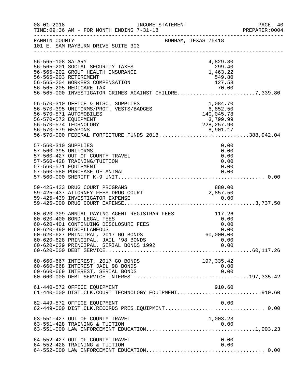| $08 - 01 - 2018$                                                   | INCOME STATEMENT<br>TIME: 09:36 AM - FOR MONTH ENDING 7-31-18                                                                                                                                                                                                                     |                     |                                                    | PAGE 40<br>PREPARER: 0004 |
|--------------------------------------------------------------------|-----------------------------------------------------------------------------------------------------------------------------------------------------------------------------------------------------------------------------------------------------------------------------------|---------------------|----------------------------------------------------|---------------------------|
|                                                                    | FANNIN COUNTY<br>101 E. SAM RAYBURN DRIVE SUITE 303                                                                                                                                                                                                                               | BONHAM, TEXAS 75418 |                                                    |                           |
| 56-565-108 SALARY                                                  | 56-565-201 SOCIAL SECURITY TAXES<br>56-565-202 GROUP HEALTH INSURANCE<br>56-565-203 RETIREMENT<br>56-565-204 WORKERS COMPENSATION<br>70.00 70-565-205 MEDICARE TAX<br>56-565-000 INVESTIGATOR CRIMES AGAINST CHILDRE7,339.80                                                      |                     | 4,829.80<br>299.40<br>1,463.22<br>549.80<br>127.58 |                           |
| 56-570-572 EQUIPMENT                                               | 56-570-310 OFFICE & MISC. SUPPLIES 1,084.70<br>56-570-395 UNIFORMS/PROT. VESTS/BADGES 6,852.50<br>56-570-571 AUTOMOBILES 140,045.78<br>56-570-574 TECHNOLOGY<br>56-570-579 WEAPONS 8,901.17<br>56-570-000 FEDERAL FORFEITURE FUNDS 2018388,942.04                                 |                     | 3,799.99<br>228,257.90                             |                           |
| 57-560-310 SUPPLIES<br>57-560-395 UNIFORMS<br>57-560-571 EQUIPMENT | 57-560-427 OUT OF COUNTY TRAVEL<br>57-560-428 TRAINING/TUITION<br>57-560-580 PURCHASE OF ANIMAL                                                                                                                                                                                   |                     | 0.00<br>0.00<br>0.00<br>0.00<br>0.00<br>0.00       |                           |
|                                                                    | 59-425-433 DRUG COURT PROGRAMS<br>59-425-437 ATTORNEY FEES DRUG COURT                                                                                                                                                                                                             |                     | 880.00                                             |                           |
|                                                                    | 60-620-309 ANNUAL PAYING AGENT REGISTRAR FEES 117.26<br>60-620-400 BOND LEGAL FEES<br>60-620-401 CONTINUING DISCLOSURE FEES<br>60-620-490 MISCELLANEOUS<br>60-620-627 PRINCIPAL, 2017 GO BONDS<br>60-620-628 PRINCIPAL, JAIL '98 BONDS<br>60-620-629 PRINCIPAL, SERIAL BONDS 1992 |                     | 0.00<br>0.00<br>0.00<br>60,000.00<br>0.00<br>0.00  |                           |
|                                                                    | 60-660-667 INTEREST, 2017 GO BONDS<br>60-660-668 INTEREST JAIL'98 BONDS<br>60-660-669 INTEREST, SERIAL BONDS                                                                                                                                                                      |                     | 197,335.42<br>0.00<br>0.00                         |                           |
|                                                                    | 61-440-572 OFFICE EQUIPMENT<br>61-440-000 DIST.CLK.COURT TECHNOLOGY EQUIPMENT910.60                                                                                                                                                                                               |                     | 910.60                                             |                           |
|                                                                    | 62-449-572 OFFICE EQUIPMENT<br>62-449-000 DIST.CLK.RECORDS PRES.EQUIPMENT 0.00                                                                                                                                                                                                    |                     | 0.00                                               |                           |
|                                                                    | 63-551-427 OUT OF COUNTY TRAVEL                                                                                                                                                                                                                                                   |                     | 1,003.23                                           |                           |
|                                                                    | 64-552-427 OUT OF COUNTY TRAVEL<br>64-552-428 TRAINING & TUITION                                                                                                                                                                                                                  |                     | 0.00<br>0.00                                       |                           |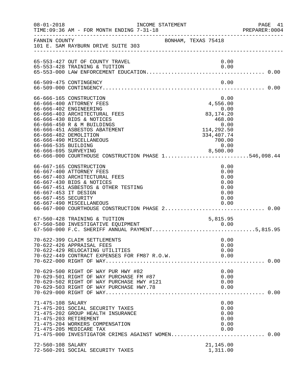| $08 - 01 - 2018$                            | TIME: 09:36 AM - FOR MONTH ENDING 7-31-18                                                                                                                                                                                                                                                                                                                | INCOME STATEMENT    |                                                                                                                       | PAGE 41<br>PREPARER: 0004 |
|---------------------------------------------|----------------------------------------------------------------------------------------------------------------------------------------------------------------------------------------------------------------------------------------------------------------------------------------------------------------------------------------------------------|---------------------|-----------------------------------------------------------------------------------------------------------------------|---------------------------|
|                                             | FANNIN COUNTY<br>101 E. SAM RAYBURN DRIVE SUITE 303                                                                                                                                                                                                                                                                                                      | BONHAM, TEXAS 75418 |                                                                                                                       |                           |
|                                             | 65-553-427 OUT OF COUNTY TRAVEL<br>65-553-428 TRAINING & TUITION                                                                                                                                                                                                                                                                                         |                     | 0.00<br>0.00                                                                                                          |                           |
|                                             | 66-509-475 CONTINGENCY                                                                                                                                                                                                                                                                                                                                   |                     | 0.00                                                                                                                  |                           |
| 66-666-535 BUILDING<br>66-666-695 SURVEYING | 66-666-165 CONSTRUCTION<br>66-666-400 ATTORNEY FEES<br>66-666-402 ENGINEERING<br>66-666-403 ARCHITECTURAL FEES<br>66-666-430 BIDS & NOTICES<br>66-666-450 R & M BUILDINGS<br>66-666-451 ASBESTOS ABATEMENT<br>66-666-482 DEMOLITION<br>66-666-490 MISCELLANEOUS                                                                                          |                     | 0.00<br>4,556.00<br>$0.00$<br>83,174.20<br>468.00<br>$0.00$<br>114,292.50<br>334,407.74<br>700.00<br>0.00<br>8,500.00 |                           |
| 66-667-453 IT DESIGN<br>66-667-455 SECURITY | 66-666-000 COURTHOUSE CONSTRUCTION PHASE 1546,098.44<br>66-667-165 CONSTRUCTION<br>66-667-400 ATTORNEY FEES<br>66-667-403 ARCHITECTURAL FEES<br>66-667-430 BIDS & NOTICES<br>66-667-451 ASBESTOS & OTHER TESTING<br>66-667-490 MISCELLANEOUS<br>66-667-490 MISCELLANEOUS                         0.00<br>66-667-000 COURTHOUSE CONSTRUCTION PHASE 2 0.00 |                     | 0.00<br>0.00<br>0.00<br>0.00<br>0.00<br>0.00<br>0.00<br>0.00                                                          |                           |
|                                             | 67-560-428 TRAINING & TUITION<br>67-560-580 INVESTIGATIVE EQUIPMENT<br>67-560-000 F.C. SHERIFF ANNUAL PAYMENT5,815.95                                                                                                                                                                                                                                    |                     | 5,815.95<br>0.00                                                                                                      |                           |
|                                             | 70-622-399 CLAIM SETTLEMENTS<br>70-622-426 APPRAISAL FEES<br>70-622-429 RELOCATING UTILITIES<br>70-622-449 CONTRACT EXPENSES FOR FM87 R.O.W.                                                                                                                                                                                                             |                     | 0.00<br>0.00<br>0.00<br>0.00                                                                                          |                           |
|                                             | 70-629-500 RIGHT OF WAY PUR HWY #82<br>70-629-501 RIGHT OF WAY PURCHASE FM #87<br>70-629-502 RIGHT OF WAY PURCHASE HWY #121 0.00<br>70-629-503 RIGHT OF WAY PURCHASE HWY #121 0.00<br>70-629-503 RIGHT OF WAY PURCHASE HWY.78 0.00<br>70-629-000 RIGHT OF WAY                                                                                            |                     | 0.00                                                                                                                  |                           |
| 71-475-108 SALARY                           | 71-475-201 SOCIAL SECURITY TAXES<br>71-475-202 GROUP HEALTH INSURANCE<br>71-475-203 RETIREMENT<br>71-475-204 WORKERS COMPENSATION<br>71-475-205 MEDICARE TAX<br>71-475-000 INVESTIGATOR CRIMES AGAINST WOMEN 0.00                                                                                                                                        |                     | 0.00<br>0.00<br>0.00<br>0.00<br>0.00<br>0.00                                                                          |                           |
| 72-560-108 SALARY                           | 72-560-201 SOCIAL SECURITY TAXES                                                                                                                                                                                                                                                                                                                         |                     | 21,145.00<br>1,311.00                                                                                                 |                           |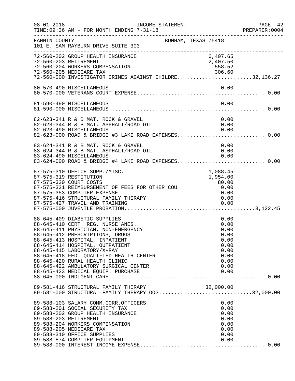| $08 - 01 - 2018$ | INCOME STATEMENT<br>TIME: 09:36 AM - FOR MONTH ENDING 7-31-18<br>-------------------------------                                                                                                                                                                                                                                                                      |                                                                              | PAGE 42<br>PREPARER: 0004 |
|------------------|-----------------------------------------------------------------------------------------------------------------------------------------------------------------------------------------------------------------------------------------------------------------------------------------------------------------------------------------------------------------------|------------------------------------------------------------------------------|---------------------------|
| FANNIN COUNTY    | BONHAM, TEXAS 75418<br>101 E. SAM RAYBURN DRIVE SUITE 303                                                                                                                                                                                                                                                                                                             |                                                                              |                           |
|                  | 72-560-202 GROUP HEALTH INSURANCE<br>72-560-203 RETIREMENT<br>72-560-204 WORKERS COMPENSATION<br>72-560-205 MEDICARE TAX<br>72-560-000 INVESTIGATOR CRIMES AGAINST CHILDRE32,136.27                                                                                                                                                                                   | 6,407.65<br>2,407.50<br>558.52                                               |                           |
|                  | 80-570-490 MISCELLANEOUS                                                                                                                                                                                                                                                                                                                                              | 0.00                                                                         |                           |
|                  | 81-590-490 MISCELLANEOUS                                                                                                                                                                                                                                                                                                                                              | 0.00                                                                         |                           |
|                  | 82-623-341 R & B MAT. ROCK & GRAVEL<br>82-623-344 R & B MAT. ASPHALT/ROAD OIL<br>82-623-490 MISCELLANEOUS<br>82-623-000 ROAD & BRIDGE #3 LAKE ROAD EXPENSES 0.00                                                                                                                                                                                                      | 0.00<br>0.00<br>0.00                                                         |                           |
|                  | 83-624-341 R & B MAT. ROCK & GRAVEL<br>83-624-344 R & B MAT. ASPHALT/ROAD OIL<br>83-624-490 MISCELLANEOUS<br>83-624-000 ROAD & BRIDGE #4 LAKE ROAD EXPENSES 0.00                                                                                                                                                                                                      | 0.00<br>0.00<br>0.00                                                         |                           |
|                  | 87-575-310 OFFICE SUPP./MISC.<br>87-575-319 RESTITUTION<br>87-575-320 COURT COSTS<br>87-575-321 REIMBURSEMENT OF FEES FOR OTHER COU<br>87-575-353 COMPUTER EXPENSE<br>87-575-416 STRUCTURAL FAMILY THERAPY                                                                                                                                                            | 1,088.45<br>1,954.00<br>80.00<br>0.00<br>0.00<br>0.00                        |                           |
|                  | 88-645-409 DIABETIC SUPPLIES<br>88-645-410 CERT. REG. NURSE ANES.<br>88-645-411 PHYSICIAN, NON-EMERGENCY<br>88-645-412 PRESCRIPTIONS, DRUGS<br>88-645-413 HOSPITAL, INPATIENT<br>88-645-414 HOSPITAL, OUTPATIENT<br>88-645-415 LABORATORY/X-RAY<br>88-645-418 FED. QUALIFIED HEALTH CENTER<br>88-645-420 RURAL HEALTH CLINIC<br>88-645-422 AMBULATORY SURGICAL CENTER | 0.00<br>0.00<br>0.00<br>0.00<br>0.00<br>0.00<br>0.00<br>0.00<br>0.00<br>0.00 |                           |
|                  | 89-581-416 STRUCTURAL FAMILY THERAPY 00G32,000.00<br>89-581-000 STRUCTURAL FAMILY THERAPY 00G32,000.00                                                                                                                                                                                                                                                                |                                                                              |                           |
|                  | 89-588-103 SALARY COMM.CORR.OFFICERS<br>89-588-201 SOCIAL SECURITY TAX<br>89-588-202 GROUP HEALTH INSURANCE<br>89-588-203 RETIREMENT<br>89-588-204 WORKERS COMPENSATION<br>89-588-205 MEDICARE TAX<br>89-588-310 OFFICE SUPPLIES<br>89-588-574 COMPUTER EQUIPMENT                                                                                                     | 0.00<br>0.00<br>0.00<br>0.00<br>0.00<br>0.00<br>0.00<br>0.00                 |                           |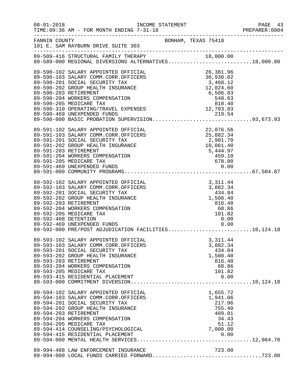| $08 - 01 - 2018$                              | TIME: 09:36 AM - FOR MONTH ENDING 7-31-18<br>_____________________________________                                                                                                                                                                                                                                                      | INCOME STATEMENT    |                                                                                          | PAGE 43<br>PREPARER:0004 |
|-----------------------------------------------|-----------------------------------------------------------------------------------------------------------------------------------------------------------------------------------------------------------------------------------------------------------------------------------------------------------------------------------------|---------------------|------------------------------------------------------------------------------------------|--------------------------|
| FANNIN COUNTY                                 | 101 E. SAM RAYBURN DRIVE SUITE 303                                                                                                                                                                                                                                                                                                      | BONHAM, TEXAS 75418 |                                                                                          |                          |
|                                               | 89-589-416 STRUCTURAL FAMILY THERAPY 18,000.00<br>89-589-000 REGIONAL DIVERSIONS ALTERNATIVES18,000.00                                                                                                                                                                                                                                  |                     |                                                                                          |                          |
| 89-590-203 RETIREMENT                         | 89-590-102 SALARY APPOINTED OFFICIAL<br>89-590-103 SALARY COMM.CORR.OFFICERS<br>89-590-201 SOCIAL SECURITY TAX<br>89-590-202 GROUP HEALTH INSURANCE<br>89-590-204 WORKERS COMPENSATION<br>89-590-205 MEDICARE TAX<br>89-590-310 OPERATING/TRAVEL EXPENSES                                                                               |                     | 26,381.96<br>02.02 ,<br>3,468.12<br>12,024<br>6,506.83<br>548.63<br>810.40<br>12,783.83  |                          |
|                                               | 89-590-469 UNEXPENDED FUNDS<br>89-590-000 BASIC PROBATION SUPERVISION93,673.93                                                                                                                                                                                                                                                          |                     |                                                                                          |                          |
| 89-591-203 RETIREMENT                         | 89-591-102 SALARY APPOINTED OFFICIAL<br>89-591-103 SALARY COMM.CORR.OFFICERS<br>89-591-201 SOCIAL SECURITY TAX<br>89-591-202 GROUP HEALTH INSURANCE<br>89-591-204 WORKERS COMPENSATION<br>89-591-205 MEDICARE TAX                                                                                                                       |                     | 22,076.56<br>25,882.34<br>2,901.70<br>$10,061.40$<br>5,444.97<br>459.10<br>678.80        |                          |
| 89-592-203 RETIREMENT<br>89-592-408 DETENTION | 89-592-102 SALARY APPOINTED OFFICIAL<br>89-592-103 SALARY COMM.CORR.OFFICERS<br>89-592-201 SOCIAL SECURITY TAX<br>89-592-202 GROUP HEALTH INSURANCE<br>89-592-204 WORKERS COMPENSATION<br>89-592-205 MEDICARE TAX<br>89-592-469 UNEXPENDED FUNDS<br>89-592-469 UNEXPENDED FUNDS<br>89-592-000 PRE/POST ADJUDICATION FACILITIES10,124.18 |                     | 3, 311.44<br>3,882.34<br>434.84<br>1,508.40<br>816.48<br>68.86<br>101.82<br>0.00<br>0.00 |                          |
| 89-593-203 RETIREMENT                         | 89-593-102 SALARY APPOINTED OFFICIAL<br>89-593-103 SALARY COMM.CORR.OFFICERS<br>89-593-201 SOCIAL SECURITY TAX<br>89-593-202 GROUP HEALTH INSURANCE<br>89-593-204 WORKERS COMPENSATION<br>89-593-205 MEDICARE TAX<br>89-593-415 RESIDENTIAL PLACEMENT                                                                                   |                     | 3,311.44<br>3,882.34<br>434.84<br>1,508.40<br>816.48<br>68.86<br>101.82<br>0.00          |                          |
| 89-594-203 RETIREMENT                         | 89-594-102 SALARY APPOINTED OFFICIAL<br>89-594-103 SALARY COMM.CORR.OFFICERS<br>89-594-201 SOCIAL SECURITY TAX<br>89-594-202 GROUP HEALTH INSURANCE<br>89-594-204 WORKERS COMPENSATION<br>89-594-205 MEDICARE TAX<br>89-594-414 COUNSELING/PSYCHOLOGICAL                                                                                |                     | 1,655.72<br>1,941.06<br>217.96<br>755.40<br>409.01<br>34.43<br>51.12<br>7,000.00         |                          |
|                                               | 89-994-488 LAW ENFORCEMENT INSURANCE                                                                                                                                                                                                                                                                                                    |                     | 723.00                                                                                   |                          |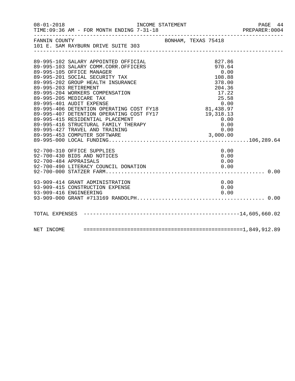|                                                                                      |  |                     | PREPARER: 0004 |
|--------------------------------------------------------------------------------------|--|---------------------|----------------|
| FANNIN COUNTY<br>101 E. SAM RAYBURN DRIVE SUITE 303                                  |  | BONHAM, TEXAS 75418 |                |
|                                                                                      |  |                     |                |
| 89-995-102 SALARY APPOINTED OFFICIAL<br>89-995-103 SALARY COMM.CORR.OFFICERS         |  | 827.86<br>970.64    |                |
| 89-995-105 OFFICE MANAGER                                                            |  | 0.00                |                |
| 89-995-201 SOCIAL SECURITY TAX                                                       |  | 108.88              |                |
| 89-995-202 GROUP HEALTH INSURANCE                                                    |  | 378.00              |                |
| 89-995-203 RETIREMENT                                                                |  | 204.36              |                |
| 89-995-204 WORKERS COMPENSATION                                                      |  | 17.22               |                |
| 89-995-205 MEDICARE TAX                                                              |  | 25.58               |                |
| 89-995-401 AUDIT EXPENSE                                                             |  | 0.00                |                |
| 89-995-406 DETENTION OPERATING COST FY18<br>89-995-407 DETENTION OPERATING COST FY17 |  | 81,438.97           |                |
|                                                                                      |  | 19,318.13           |                |
| 89-995-415 RESIDENTIAL PLACEMENT<br>89-995-416 STRUCTURAL FAMILY THERAPY             |  | 0.00<br>0.00        |                |
| 89-995-427 TRAVEL AND TRAINING                                                       |  | 0.00                |                |
|                                                                                      |  |                     |                |
|                                                                                      |  |                     |                |
|                                                                                      |  |                     |                |
| 92-700-310 OFFICE SUPPLIES                                                           |  | 0.00                |                |
| 92-700-430 BIDS AND NOTICES                                                          |  | 0.00                |                |
| 92-700-484 APPRAISALS<br>92-700-490 LITERACY COUNCIL DONATION                        |  | 0.00                |                |
|                                                                                      |  | 0.00                |                |
|                                                                                      |  |                     |                |
| 93-909-414 GRANT ADMINISTRATION                                                      |  | 0.00                |                |
| 93-909-415 CONSTRUCTION EXPENSE                                                      |  | 0.00                |                |
| 93-909-416 ENGINEERING                                                               |  | 0.00                |                |
|                                                                                      |  |                     |                |
|                                                                                      |  |                     |                |
|                                                                                      |  |                     |                |
|                                                                                      |  |                     |                |
|                                                                                      |  |                     |                |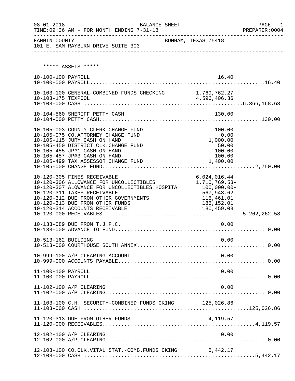| $08 - 01 - 2018$    | BALANCE SHEET<br>TIME: 09:36 AM - FOR MONTH ENDING 7-31-18<br>--------------------------- |                              | PAGE<br>1<br>PREPARER: 0004<br>--------------------- |
|---------------------|-------------------------------------------------------------------------------------------|------------------------------|------------------------------------------------------|
| FANNIN COUNTY       | 101 E. SAM RAYBURN DRIVE SUITE 303                                                        | BONHAM, TEXAS 75418          |                                                      |
|                     |                                                                                           |                              |                                                      |
|                     | ***** ASSETS *****                                                                        |                              |                                                      |
| 10-100-100 PAYROLL  |                                                                                           | 16.40                        |                                                      |
|                     |                                                                                           |                              |                                                      |
|                     | 10-103-100 GENERAL-COMBINED FUNDS CHECKING 1,769,762.27                                   |                              |                                                      |
|                     |                                                                                           |                              |                                                      |
|                     |                                                                                           |                              |                                                      |
|                     | 10-104-560 SHERIFF PETTY CASH                                                             | 130.00                       |                                                      |
|                     |                                                                                           |                              |                                                      |
|                     |                                                                                           |                              |                                                      |
|                     | 10-105-003 COUNTY CLERK CHANGE FUND<br>10-105-075 CO.ATTORNEY CHANGE FUND                 | 100.00<br>0.00               |                                                      |
|                     | 10-105-115 JURY CASH ON HAND                                                              | 1,000.00                     |                                                      |
|                     | 10-105-450 DISTRICT CLK.CHANGE FUND                                                       | 50.00                        |                                                      |
|                     | 10-105-455 JP#1 CASH ON HAND                                                              | 100.00                       |                                                      |
|                     | 10-105-457 JP#3 CASH ON HAND                                                              | 100.00                       |                                                      |
|                     | 10-105-499 TAX ASSESSOR CHANGE FUND                                                       | 1,400.00                     |                                                      |
|                     |                                                                                           |                              |                                                      |
|                     | 10-120-305 FINES RECEIVABLE                                                               | 6,024,016.44                 |                                                      |
|                     | 10-120-306 ALLOWANCE FOR UNCOLLECTIBLES                                                   | 1,710,769.53-                |                                                      |
|                     | 10-120-307 ALOWANCE FOR UNCOLLECTIBLES HOSPITA<br>10-120-311 TAXES RECEIVABLE             | $100,000.00 -$<br>567,943.62 |                                                      |
|                     | 10-120-312 DUE FROM OTHER GOVERNMENTS                                                     | 115,461.01                   |                                                      |
|                     | 10-120-313 DUE FROM OTHER FUNDS                                                           | 185,152.01                   |                                                      |
|                     | 10-120-314 ACCOUNTS RECEIVABLE                                                            | 180,459.03                   |                                                      |
|                     |                                                                                           |                              |                                                      |
|                     | 10-133-089 DUE FROM T.J.P.C.                                                              | 0.00                         |                                                      |
|                     |                                                                                           |                              |                                                      |
|                     |                                                                                           |                              |                                                      |
| 10-513-162 BUILDING |                                                                                           | 0.00                         |                                                      |
|                     |                                                                                           |                              |                                                      |
|                     | 10-999-100 A/P CLEARING ACCOUNT                                                           | 0.00                         |                                                      |
|                     |                                                                                           |                              |                                                      |
| 11-100-100 PAYROLL  |                                                                                           | 0.00                         |                                                      |
|                     |                                                                                           |                              |                                                      |
|                     |                                                                                           |                              |                                                      |
|                     | 11-102-100 A/P CLEARING                                                                   | 0.00                         |                                                      |
|                     |                                                                                           |                              |                                                      |
|                     | 11-103-100 C.H. SECURITY-COMBINED FUNDS CKING 125,026.86                                  |                              |                                                      |
|                     |                                                                                           |                              |                                                      |
|                     |                                                                                           |                              |                                                      |
|                     | 11-120-313 DUE FROM OTHER FUNDS                                                           | 4,119.57                     |                                                      |
|                     |                                                                                           |                              |                                                      |
|                     | 12-102-100 A/P CLEARING                                                                   | 0.00                         |                                                      |
|                     |                                                                                           |                              |                                                      |
|                     | 12-103-100 CO.CLK.VITAL STAT.-COMB.FUNDS CKING                                            | 5,442.17                     |                                                      |
|                     |                                                                                           |                              |                                                      |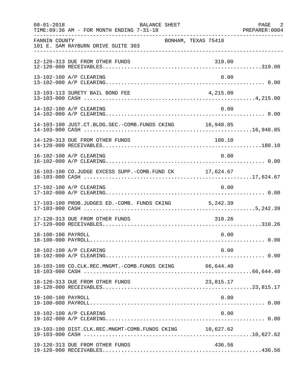| $08 - 01 - 2018$   | BALANCE SHEET<br>TIME: 09:36 AM - FOR MONTH ENDING 7-31-18 | PAGE 2<br>PREPARER: 0004 |
|--------------------|------------------------------------------------------------|--------------------------|
| FANNIN COUNTY      | BONHAM, TEXAS 75418<br>101 E. SAM RAYBURN DRIVE SUITE 303  |                          |
|                    | 12-120-313 DUE FROM OTHER FUNDS                            | 319.00                   |
|                    | 13-102-100 A/P CLEARING                                    | 0.00                     |
|                    | 13-103-113 SURETY BAIL BOND FEE<br>4,215.00                |                          |
|                    | 14-102-100 A/P CLEARING                                    | 0.00                     |
|                    | 14-103-100 JUST.CT.BLDG.SEC.-COMB.FUNDS CKING 16,948.85    |                          |
|                    | 14-120-313 DUE FROM OTHER FUNDS                            | 180.10                   |
|                    | 16-102-100 A/P CLEARING                                    | 0.00                     |
|                    | 16-103-100 CO.JUDGE EXCESS SUPP.-COMB.FUND CK 17,624.67    |                          |
|                    | 17-102-100 A/P CLEARING                                    | 0.00                     |
|                    | 17-103-100 PROB.JUDGES ED.-COMB. FUNDS CKING 5,242.39      |                          |
|                    | 17-120-313 DUE FROM OTHER FUNDS                            | 310.26                   |
| 18-100-100 PAYROLL |                                                            | 0.00                     |
|                    | 18-102-100 A/P CLEARING                                    | 0.00                     |
|                    |                                                            |                          |
|                    | 18-120-313 DUE FROM OTHER FUNDS<br>23,815.17               |                          |
| 19-100-100 PAYROLL |                                                            | 0.00                     |
|                    | 19-102-100 A/P CLEARING                                    | 0.00                     |
|                    | 19-103-100 DIST.CLK.REC.MNGMT-COMB.FUNDS CKING 10,627.62   |                          |
|                    | 19-120-313 DUE FROM OTHER FUNDS                            | 436.56                   |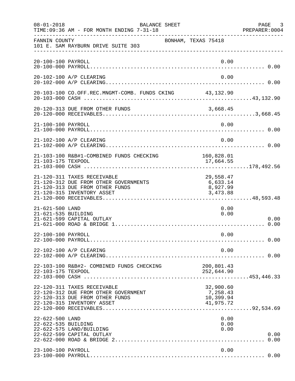| $08 - 01 - 2018$                       | BALANCE SHEET<br>TIME: 09:36 AM - FOR MONTH ENDING 7-31-18                                                                            |                                                 | PAGE 3<br>PREPARER:0004 |
|----------------------------------------|---------------------------------------------------------------------------------------------------------------------------------------|-------------------------------------------------|-------------------------|
| FANNIN COUNTY                          | 101 E. SAM RAYBURN DRIVE SUITE 303                                                                                                    | BONHAM, TEXAS 75418                             |                         |
| 20-100-100 PAYROLL                     |                                                                                                                                       | 0.00                                            |                         |
|                                        | 20-102-100 A/P CLEARING                                                                                                               | 0.00                                            |                         |
|                                        | 20-103-100 CO.OFF.REC.MNGMT-COMB. FUNDS CKING 43,132.90                                                                               |                                                 |                         |
|                                        | 20-120-313 DUE FROM OTHER FUNDS                                                                                                       | 3,668.45                                        |                         |
| 21-100-100 PAYROLL                     |                                                                                                                                       | 0.00                                            |                         |
|                                        | 21-102-100 A/P CLEARING                                                                                                               | 0.00                                            |                         |
| 21-103-175 TEXPOOL                     | 21-103-100 R&B#1-COMBINED FUNDS CHECKING                                                                                              | 160,828.01<br>17,664.55                         |                         |
|                                        | 21-120-311 TAXES RECEIVABLE<br>21-120-312 DUE FROM OTHER GOVERNMENTS<br>21-120-313 DUE FROM OTHER FUNDS<br>21-120-315 INVENTORY ASSET | 29,558.47<br>6,633.14<br>8,927.99<br>3,473.88   |                         |
| 21-621-500 LAND<br>21-621-535 BUILDING | 21-621-599 CAPITAL OUTLAY                                                                                                             | 0.00<br>0.00                                    | 0.00                    |
| 22-100-100 PAYROLL                     |                                                                                                                                       | 0.00                                            |                         |
|                                        | 22-102-100 A/P CLEARING                                                                                                               | 0.00                                            |                         |
| 22-103-175 TEXPOOL                     | 22-103-100 R&B#2- COMBINED FUNDS CHECKING                                                                                             | 200,801.43<br>252,644.90                        |                         |
|                                        | 22-120-311 TAXES RECEIVABLE<br>22-120-312 DUE FROM OTHER GOVERNMENT<br>22-120-313 DUE FROM OTHER FUNDS<br>22-120-315 INVENTORY ASSET  | 32,900.60<br>7,258.43<br>10,399.94<br>41,975.72 |                         |
| 22-622-500 LAND<br>22-622-535 BUILDING | 22-622-575 LAND/BUILDING<br>22-622-599 CAPITAL OUTLAY                                                                                 | 0.00<br>0.00<br>0.00                            | 0.00<br>0.00            |
| 23-100-100 PAYROLL                     |                                                                                                                                       | 0.00                                            |                         |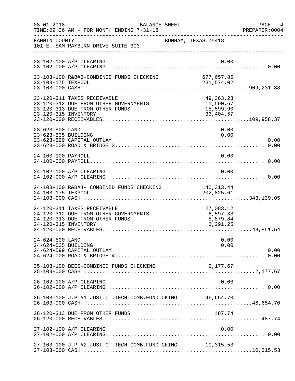| $08 - 01 - 2018$                       | <b>BALANCE SHEET</b><br>TIME: 09:36 AM - FOR MONTH ENDING 7-31-18                                       |                                                  | PAGE 4<br>PREPARER: 0004 |
|----------------------------------------|---------------------------------------------------------------------------------------------------------|--------------------------------------------------|--------------------------|
| FANNIN COUNTY                          | 101 E. SAM RAYBURN DRIVE SUITE 303                                                                      | BONHAM, TEXAS 75418                              |                          |
|                                        | 23-102-100 A/P CLEARING                                                                                 | 0.00                                             |                          |
| 23-103-175 TEXPOOL                     | 23-103-100 R&B#3-COMBINED FUNDS CHECKING                                                                | 677,657.86<br>231,574.02                         |                          |
| 23-120-315 INVENTORY                   | 23-120-311 TAXES RECEIVABLE<br>23-120-312 DUE FROM OTHER GOVERNMENTS<br>23-120-313 DUE FROM OTHER FUNDS | 49,363.23<br>11,590.67<br>15,599.90<br>33,404.57 |                          |
| 23-623-500 LAND<br>23-623-535 BUILDING | 23-623-599 CAPITAL OUTLAY                                                                               | 0.00<br>0.00                                     | 0.00                     |
| 24-100-100 PAYROLL                     |                                                                                                         | 0.00                                             |                          |
|                                        | 24-102-100 A/P CLEARING                                                                                 | 0.00                                             |                          |
| 24-103-175 TEXPOOL                     | 24-103-100 R&B#4- COMBINED FUNDS CHECKING                                                               | 140, 313.44<br>202,825.61                        |                          |
| 24-120-315 INVENTORY                   | 24-120-311 TAXES RECEIVABLE<br>24-120-312 DUE FROM OTHER GOVERNMENTS<br>24-120-313 DUE FROM OTHER FUNDS | 27,083.12<br>6,597.33<br>8,879.84<br>6, 291.25   |                          |
| 24-624-500 LAND<br>24-624-535 BUILDING | 24-624-599 CAPITAL OUTLAY                                                                               | 0.00<br>0.00                                     | 0.00                     |
|                                        | 25-103-100 BEES-COMBINED FUNDS CHECKING                                                                 | 2,177.67                                         |                          |
|                                        | 26-102-100 A/P CLEARING                                                                                 | 0.00                                             |                          |
|                                        | 26-103-100 J.P.#1 JUST.CT.TECH-COMB.FUND CKING 46,654.70                                                |                                                  |                          |
|                                        | 26-120-313 DUE FROM OTHER FUNDS                                                                         | 487.74                                           |                          |
|                                        | 27-102-100 A/P CLEARING                                                                                 | 0.00                                             |                          |
|                                        | 27-103-100 J.P.#2 JUST.CT.TECH-COMB.FUND CKING 10,315.53                                                |                                                  |                          |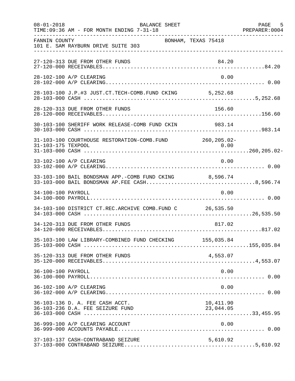| $08 - 01 - 2018$   | BALANCE SHEET<br>TIME: 09:36 AM - FOR MONTH ENDING 7-31-18          |                        | PAGE 5 |
|--------------------|---------------------------------------------------------------------|------------------------|--------|
| FANNIN COUNTY      | BONHAM, TEXAS 75418<br>101 E. SAM RAYBURN DRIVE SUITE 303           |                        |        |
|                    | 27-120-313 DUE FROM OTHER FUNDS                                     | 84.20                  |        |
|                    | 28-102-100 A/P CLEARING                                             | 0.00                   |        |
|                    |                                                                     |                        |        |
|                    | 28-120-313 DUE FROM OTHER FUNDS                                     | 156.60                 |        |
|                    | 30-103-100 SHERIFF WORK RELEASE-COMB FUND CKIN 983.14               |                        |        |
| 31-103-175 TEXPOOL | 31-103-100 COURTHOUSE RESTORATION-COMB. FUND 260, 205.02-           |                        |        |
|                    | 33-102-100 A/P CLEARING                                             | 0.00                   |        |
|                    | 33-103-100 BAIL BONDSMAN APP.-COMB FUND CKING 8,596.74              |                        |        |
| 34-100-100 PAYROLL |                                                                     | 0.00                   |        |
|                    | 34-103-100 DISTRICT CT.REC.ARCHIVE COMB.FUND C 26,535.50            |                        |        |
|                    | 34-120-313 DUE FROM OTHER FUNDS                                     | 817.02                 |        |
|                    | 35-103-100 LAW LIBRARY-COMBINED FUND CHECKING 155,035.84            |                        |        |
|                    | 35-120-313 DUE FROM OTHER FUNDS                                     | 4,553.07               |        |
| 36-100-100 PAYROLL |                                                                     | 0.00                   |        |
|                    | 36-102-100 A/P CLEARING                                             | 0.00                   |        |
|                    | 36-103-136 D. A. FEE CASH ACCT.<br>36-103-236 D.A. FEE SEIZURE FUND | 10,411.90<br>23,044.05 |        |
|                    | 36-999-100 A/P CLEARING ACCOUNT                                     | 0.00                   |        |
|                    | 37-103-137 CASH-CONTRABAND SEIZURE                                  | 5,610.92               |        |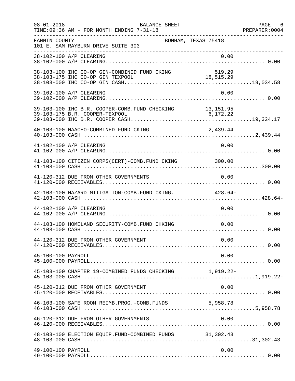| $08 - 01 - 2018$   | BALANCE SHEET<br>TIME: 09:36 AM - FOR MONTH ENDING 7-31-18 |                     | PAGE 6<br>PREPARER: 0004 |
|--------------------|------------------------------------------------------------|---------------------|--------------------------|
| FANNIN COUNTY      | 101 E. SAM RAYBURN DRIVE SUITE 303                         | BONHAM, TEXAS 75418 |                          |
|                    | 38-102-100 A/P CLEARING                                    | 0.00                |                          |
|                    | 38-103-100 IHC CO-OP GIN-COMBINED FUND CKING               | 519.29              |                          |
|                    | 39-102-100 A/P CLEARING                                    | 0.00                |                          |
|                    | 39-103-100 IHC B.R. COOPER-COMB. FUND CHECKING 13,151.95   |                     |                          |
|                    | 40-103-100 NAACHO-COMBINED FUND CKING                      | 2,439.44            |                          |
|                    | 41-102-100 A/P CLEARING                                    | 0.00                |                          |
|                    | 41-103-100 CITIZEN CORPS(CERT)-COMB. FUND CKING 300.00     |                     |                          |
|                    | 41-120-312 DUE FROM OTHER GOVERNMENTS                      | 0.00                |                          |
|                    | 42-103-100 HAZARD MITIGATION-COMB. FUND CKING. 428.64-     |                     |                          |
|                    | 44-102-100 A/P CLEARING                                    | 0.00                |                          |
|                    | 44-103-100 HOMELAND SECURITY-COMB. FUND CHKING             | 0.00                |                          |
|                    | 44-120-312 DUE FROM OTHER GOVERNMENT                       | 0.00                |                          |
| 45-100-100 PAYROLL |                                                            | 0.00                |                          |
|                    | 45-103-100 CHAPTER 19-COMBINED FUNDS CHECKING 1,919.22-    |                     |                          |
|                    | 45-120-312 DUE FROM OTHER GOVERNMENT                       | 0.00                |                          |
|                    | 46-103-100 SAFE ROOM REIMB. PROG. - COMB. FUNDS 5, 958.78  |                     |                          |
|                    | 46-120-312 DUE FROM OTHER GOVERNMENTS                      | 0.00                |                          |
|                    | 48-103-100 ELECTION EQUIP. FUND-COMBINED FUNDS 31,302.43   |                     |                          |
| 49-100-100 PAYROLL |                                                            | 0.00                |                          |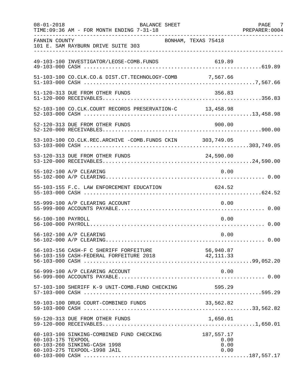| $08 - 01 - 2018$   | BALANCE SHEET<br>TIME: 09:36 AM - FOR MONTH ENDING 7-31-18                                                |                                    | PAGE 7<br>PREPARER: 0004 |
|--------------------|-----------------------------------------------------------------------------------------------------------|------------------------------------|--------------------------|
| FANNIN COUNTY      | 101 E. SAM RAYBURN DRIVE SUITE 303                                                                        | BONHAM, TEXAS 75418                |                          |
|                    | 49-103-100 INVESTIGATOR/LEOSE-COMB.FUNDS                                                                  |                                    |                          |
|                    | 51-103-100 CO.CLK.CO.& DIST.CT.TECHNOLOGY-COMB 7,567.66                                                   |                                    |                          |
|                    | 51-120-313 DUE FROM OTHER FUNDS                                                                           | 356.83                             |                          |
|                    | 52-103-100 CO.CLK.COURT RECORDS PRESERVATION-C 13,458.98                                                  |                                    |                          |
|                    | 52-120-313 DUE FROM OTHER FUNDS                                                                           | 900.00                             |                          |
|                    | 53-103-100 CO.CLK.REC.ARCHIVE -COMB.FUNDS CKIN 303,749.05                                                 |                                    |                          |
|                    | 53-120-313 DUE FROM OTHER FUNDS                                                                           | 24,590.00                          |                          |
|                    | 55-102-100 A/P CLEARING                                                                                   | 0.00                               |                          |
|                    | 55-103-155 F.C. LAW ENFORCEMENT EDUCATION                                                                 | 624.52                             |                          |
|                    | 55-999-100 A/P CLEARING ACCOUNT                                                                           | 0.00                               |                          |
| 56-100-100 PAYROLL |                                                                                                           | 0.00                               |                          |
|                    | 56-102-100 A/P CLEARING                                                                                   | 0.00                               |                          |
|                    | 56-103-156 CASH-F C SHERIFF FORFEITURE<br>56-103-159 CASH-FEDERAL FORFEITURE 2018 12,111.33               |                                    |                          |
|                    | 56-999-100 A/P CLEARING ACCOUNT                                                                           | 0.00                               |                          |
|                    | 57-103-100 SHERIFF K-9 UNIT-COMB.FUND CHECKING                                                            | 595.29                             |                          |
|                    | 59-103-100 DRUG COURT-COMBINED FUNDS                                                                      | 33,562.82                          |                          |
|                    | 59-120-313 DUE FROM OTHER FUNDS                                                                           |                                    |                          |
| 60-103-175 TEXPOOL | 60-103-100 SINKING-COMBINED FUND CHECKING<br>60-103-260 SINKING-CASH 1998<br>60-103-275 TEXPOOL-1998 JAIL | 187,557.17<br>0.00<br>0.00<br>0.00 |                          |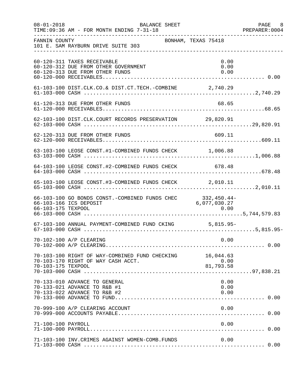| $08 - 01 - 2018$   | BALANCE SHEET<br>TIME: 09:36 AM - FOR MONTH ENDING 7-31-18                                                                                                                                                                                                                                               |                             | PAGE 8<br>PREPARER: 0004 |
|--------------------|----------------------------------------------------------------------------------------------------------------------------------------------------------------------------------------------------------------------------------------------------------------------------------------------------------|-----------------------------|--------------------------|
| FANNIN COUNTY      | 101 E. SAM RAYBURN DRIVE SUITE 303                                                                                                                                                                                                                                                                       | BONHAM, TEXAS 75418         |                          |
|                    | 60-120-311 TAXES RECEIVABLE<br>60-120-312 DUE FROM OTHER GOVERNMENT<br>60-120-313 DUE FROM OTHER FUNDS                                                                                                                                                                                                   | 0.00<br>0.00<br>0.00        |                          |
|                    | 61-103-100 DIST.CLK.CO.& DIST.CT.TECH.-COMBINE 2,740.29                                                                                                                                                                                                                                                  |                             |                          |
|                    | 61-120-313 DUE FROM OTHER FUNDS                                                                                                                                                                                                                                                                          | 68.65                       |                          |
|                    | 62-103-100 DIST.CLK.COURT RECORDS PRESERVATION 29,820.91                                                                                                                                                                                                                                                 |                             |                          |
|                    | 62-120-313 DUE FROM OTHER FUNDS                                                                                                                                                                                                                                                                          | 609.11                      |                          |
|                    | 63-103-100 LEOSE CONST.#1-COMBINED FUNDS CHECK 1,006.88                                                                                                                                                                                                                                                  |                             |                          |
|                    | 64-103-100 LEOSE CONST.#2-COMBINED FUNDS CHECK 678.48                                                                                                                                                                                                                                                    |                             |                          |
|                    | 65-103-100 LEOSE CONST.#3-COMBINED FUNDS CHECK 2,010.11                                                                                                                                                                                                                                                  |                             |                          |
| 66-103-175 TEXPOOL | 66-103-100 GO BONDS CONST.-COMBINED FUNDS CHEC<br>66-103-166 ICS DEPOSIT<br>0.00  0.00  0.00  0.00  0.00  0.00  0.00  0.00  0.00  0.00  0.00  0.00  0.00  0.00  0.00  0.00  0.00  0.00  0.00  0.00  0.00  0.00  0.00  0.00  0.00  0.00  0.00  0.00  0.00  0.00  0.00  0.00  0.00  0.00  0.00  0.00  0.00 | 332,450.44-<br>6,077,030.27 |                          |
|                    | 67-103-100 ANNUAL PAYMENT-COMBINED FUND CKING 5,815.95-                                                                                                                                                                                                                                                  |                             |                          |
|                    | 70-102-100 A/P CLEARING                                                                                                                                                                                                                                                                                  | 0.00                        |                          |
| 70-103-175 TEXPOOL | 70-103-100 RIGHT OF WAY-COMBINED FUND CHECKING 16,044.63<br>70-103-170 RIGHT OF WAY CASH ACCT.                                                                                                                                                                                                           | 0.00<br>81,793.58           |                          |
|                    | 70-133-010 ADVANCE TO GENERAL<br>70-133-021 ADVANCE TO R&B #1<br>70-133-022 ADVANCE TO R&B #2                                                                                                                                                                                                            | 0.00<br>0.00<br>0.00        |                          |
|                    | 70-999-100 A/P CLEARING ACCOUNT                                                                                                                                                                                                                                                                          | 0.00                        |                          |
| 71-100-100 PAYROLL |                                                                                                                                                                                                                                                                                                          | 0.00                        |                          |
|                    | 71-103-100 INV. CRIMES AGAINST WOMEN-COMB. FUNDS                                                                                                                                                                                                                                                         | 0.00                        |                          |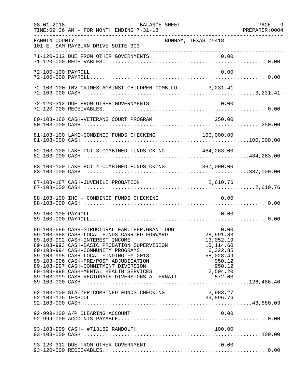| $08 - 01 - 2018$   | BALANCE SHEET<br>TIME: 09:36 AM - FOR MONTH ENDING 7-31-18                                                                                                                                                                                                                                                                                                                                                                                                                                                |                                                                                   | PAGE 9 |
|--------------------|-----------------------------------------------------------------------------------------------------------------------------------------------------------------------------------------------------------------------------------------------------------------------------------------------------------------------------------------------------------------------------------------------------------------------------------------------------------------------------------------------------------|-----------------------------------------------------------------------------------|--------|
| FANNIN COUNTY      | BONHAM, TEXAS 75418<br>101 E. SAM RAYBURN DRIVE SUITE 303                                                                                                                                                                                                                                                                                                                                                                                                                                                 |                                                                                   |        |
|                    |                                                                                                                                                                                                                                                                                                                                                                                                                                                                                                           |                                                                                   |        |
| 72-100-100 PAYROLL |                                                                                                                                                                                                                                                                                                                                                                                                                                                                                                           | 0.00                                                                              |        |
|                    | 72-103-100 INV. CRIMES AGAINST CHILDREN-COMB. FU 3, 231.41-                                                                                                                                                                                                                                                                                                                                                                                                                                               |                                                                                   |        |
|                    | 72-120-312 DUE FROM OTHER GOVERNMENTS                                                                                                                                                                                                                                                                                                                                                                                                                                                                     | 0.00                                                                              |        |
|                    |                                                                                                                                                                                                                                                                                                                                                                                                                                                                                                           |                                                                                   |        |
|                    |                                                                                                                                                                                                                                                                                                                                                                                                                                                                                                           |                                                                                   |        |
|                    | 82-103-100 LAKE PCT 3-COMBINED FUNDS CKING 484,263.00                                                                                                                                                                                                                                                                                                                                                                                                                                                     |                                                                                   |        |
|                    | 83-103-100 LAKE PCT 4-COMBINED FUNDS CKING 387,000.00                                                                                                                                                                                                                                                                                                                                                                                                                                                     |                                                                                   |        |
|                    | 87-103-187 CASH-JUVENILE PROBATION                                                                                                                                                                                                                                                                                                                                                                                                                                                                        | 2,610.76                                                                          |        |
|                    | 88-103-100 IHC - COMBINED FUNDS CHECKING                                                                                                                                                                                                                                                                                                                                                                                                                                                                  | 0.00                                                                              |        |
| 89-100-100 PAYROLL |                                                                                                                                                                                                                                                                                                                                                                                                                                                                                                           | 0.00                                                                              |        |
|                    | 89-103-689 CASH-STRUCTURAL FAM.THER.GRANT OOG<br>89-103-988 CASH-LOCAL FUNDS CARRIED FORWARD<br>89-103-992 CASH-INTEREST INCOME<br>89-103-993 CASH-BASIC PROBATION SUPERVISION<br>89-103-994 CASH-COMMUNITY PROGRAMS<br>89-103-995 CASH-LOCAL FUNDING FY 2018<br>89-103-996 CASH-PRE/POST ADJUDICATION<br>89-103-997 CASH-COMMITMENT DIVERSION<br>89-103-998 CASH-COMMITMENT DIVERSION<br>89-103-998 CASH-MENTAL HEALTH SERVICES<br>89-103-999 CASH-REGIONALS DIVERSIONS ALTERNATI 572.00<br>89-103-000 C | 0.00<br>28.991.83<br>28,991.83<br>13,052.19<br>15,114.60<br>6,322.85<br>58,028.49 |        |
|                    | 92-103-100 STATZER-COMBINED FUNDS CHECKING                                                                                                                                                                                                                                                                                                                                                                                                                                                                | 3,983.27                                                                          |        |
|                    | 92-999-100 A/P CLEARING ACCOUNT                                                                                                                                                                                                                                                                                                                                                                                                                                                                           | 0.00                                                                              |        |
|                    |                                                                                                                                                                                                                                                                                                                                                                                                                                                                                                           |                                                                                   |        |
|                    | 93-120-312 DUE FROM OTHER GOVERNMENT                                                                                                                                                                                                                                                                                                                                                                                                                                                                      | 0.00                                                                              |        |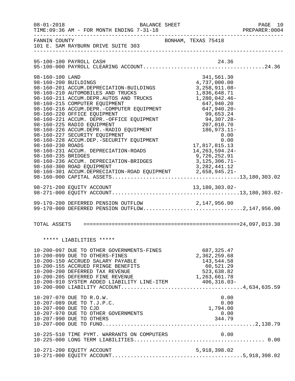| $08 - 01 - 2018$                                                                  | BALANCE SHEET<br>TIME: 09:36 AM - FOR MONTH ENDING 7-31-18                                                                                                                                                                                                                                                                                                                                                                                                                                                                                                                                                        |                                                                                                                           |                                                                                                                                        | PAGE 10<br>PREPARER:0004 |
|-----------------------------------------------------------------------------------|-------------------------------------------------------------------------------------------------------------------------------------------------------------------------------------------------------------------------------------------------------------------------------------------------------------------------------------------------------------------------------------------------------------------------------------------------------------------------------------------------------------------------------------------------------------------------------------------------------------------|---------------------------------------------------------------------------------------------------------------------------|----------------------------------------------------------------------------------------------------------------------------------------|--------------------------|
| FANNIN COUNTY                                                                     | 101 E. SAM RAYBURN DRIVE SUITE 303                                                                                                                                                                                                                                                                                                                                                                                                                                                                                                                                                                                | BONHAM, TEXAS 75418                                                                                                       |                                                                                                                                        |                          |
|                                                                                   | 95-100-100 PAYROLL CASH                                                                                                                                                                                                                                                                                                                                                                                                                                                                                                                                                                                           |                                                                                                                           | 24.36                                                                                                                                  |                          |
| 98-160-100 LAND<br>98-160-200 BUILDINGS<br>98-160-230 ROADS<br>98-160-235 BRIDGES | 98-160-201 ACCUM.DEPRECIATION-BUILDINGS<br>98-160-210 AUTOMOBILES AND TRUCKS<br>98-160-211 ACCUM.DEPR.AUTOS AND TRUCKS<br>98-160-215 COMPUTER EQUIPMENT<br>98-160-216 ACCUM.DEPR.-COMPUTER EQUIPMENT<br>98-160-220 OFFICE EQUIPMENT<br>98-160-221 ACCUM. DEPR.-OFFICE EQUIPMENT<br>98-160-225 RADIO EQUIPMENT<br>98-160-226 ACCUM.DEPR.-RADIO EQUIPMENT<br>98-160-227 SECURITY EQUIPMENT<br>98-160-228 ACCUM.DEP.-SECURITY EQUIPMENT<br>98-160-231 ACCUM. DEPRECIATION-ROADS<br>98-160-236 ACCUM. DEPRECIATION-BRIDGES<br>98-160-300 ROAD EQUIPMENT<br>98-160-301 ACCUM.DEPRECIATION-ROAD EQUIPMENT 2,658,945.21- | 1,280,042.46-<br>94, 307. 20-<br>207, 010. 70<br>186, 973. 11-<br>0. 00<br>17,817,815.13<br>9,726,252.91<br>3,125,306.71- | 341,561.30<br>4,737,000.00<br>3, 258, 911.08-<br>1,836,648.71<br>647,940.20<br>647,940.20-<br>0.00<br>14,263,594.24-<br>3, 282, 441.12 |                          |
|                                                                                   |                                                                                                                                                                                                                                                                                                                                                                                                                                                                                                                                                                                                                   |                                                                                                                           |                                                                                                                                        |                          |
|                                                                                   | 99-170-200 DEFERRED PENSION OUTFLOW<br>99-170-200 DEFERRED PENSION OUTFLOW 2,147,956.00<br>99-170-000 DEFERRED PENSION OUTFLOW2,147,956.00                                                                                                                                                                                                                                                                                                                                                                                                                                                                        |                                                                                                                           |                                                                                                                                        |                          |
|                                                                                   |                                                                                                                                                                                                                                                                                                                                                                                                                                                                                                                                                                                                                   |                                                                                                                           |                                                                                                                                        |                          |
|                                                                                   | ***** LIABILITIES *****                                                                                                                                                                                                                                                                                                                                                                                                                                                                                                                                                                                           |                                                                                                                           |                                                                                                                                        |                          |
|                                                                                   | 10-200-097 DUE TO OTHER GOVERNMENTS-FINES<br>10-200-099 DUE TO OTHERS-FINES<br>10-200-150 ACCRUED SALARY PAYABLE<br>10-200-155 ACCRUED FRINGE BENEFITS<br>10-200-200 DEFERRED TAX REVENUE<br>10-200-205 DEFERRED FINE REVENUE                                                                                                                                                                                                                                                                                                                                                                                     | 1,263,661.78                                                                                                              | 687, 325.47<br>2,362,259.68<br>143,544.58<br>60,521.29<br>523,638.82                                                                   |                          |
|                                                                                   | 10-207-070 DUE TO R.O.W.<br>10-207-089 DUE TO T.J.P.C.<br>10-207-090 DUE TO CJD<br>10-207-970 DUE TO OTHER GOVERNMENTS<br>10-207-990 DUE TO OTHERS                                                                                                                                                                                                                                                                                                                                                                                                                                                                |                                                                                                                           | 0.00<br>0.00<br>1,794.00<br>0.00<br>344.79                                                                                             |                          |
|                                                                                   | 10-225-510 TIME PYMT. WARRANTS ON COMPUTERS                                                                                                                                                                                                                                                                                                                                                                                                                                                                                                                                                                       |                                                                                                                           | 0.00                                                                                                                                   |                          |
|                                                                                   | 10-271-200 EQUITY ACCOUNT                                                                                                                                                                                                                                                                                                                                                                                                                                                                                                                                                                                         |                                                                                                                           | 5,918,398.02                                                                                                                           |                          |
|                                                                                   |                                                                                                                                                                                                                                                                                                                                                                                                                                                                                                                                                                                                                   |                                                                                                                           |                                                                                                                                        |                          |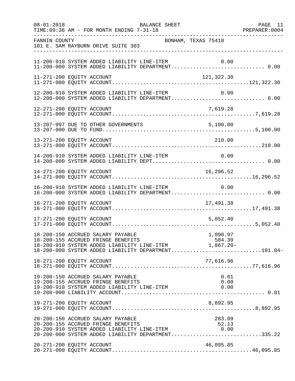| $08 - 01 - 2018$ | BALANCE SHEET<br>TIME: 09:36 AM - FOR MONTH ENDING 7-31-18                                                                                                                                                    | PAGE 11 |
|------------------|---------------------------------------------------------------------------------------------------------------------------------------------------------------------------------------------------------------|---------|
| FANNIN COUNTY    | BONHAM, TEXAS 75418<br>101 E. SAM RAYBURN DRIVE SUITE 303                                                                                                                                                     |         |
|                  | 11-200-910 SYSTEM ADDED LIABILITY LINE-ITEM<br>0.00                                                                                                                                                           |         |
|                  | 11-271-200 EQUITY ACCOUNT<br>121,322.30                                                                                                                                                                       |         |
|                  | 12-200-910 SYSTEM ADDED LIABILITY LINE-ITEM<br>0.00<br>12-200-000 SYSTEM ADDED LIABILITY DEPARTMENT 0.00                                                                                                      |         |
|                  | 7,619.28<br>12-271-200 EQUITY ACCOUNT                                                                                                                                                                         |         |
|                  |                                                                                                                                                                                                               |         |
|                  | 13-271-200 EQUITY ACCOUNT<br>210.00                                                                                                                                                                           |         |
|                  | 14-200-910 SYSTEM ADDED LIABILITY LINE-ITEM<br>0.00                                                                                                                                                           |         |
|                  | 16,296.52<br>14-271-200 EQUITY ACCOUNT                                                                                                                                                                        |         |
|                  | 16-200-910 SYSTEM ADDED LIABILITY LINE-ITEM<br>0.00<br>16-200-000 SYSTEM ADDED LIABILITY DEPARTMENT 0.00                                                                                                      |         |
|                  | 16-271-200 EQUITY ACCOUNT<br>17,491.38                                                                                                                                                                        |         |
|                  | 5,052.40<br>17-271-200 EQUITY ACCOUNT                                                                                                                                                                         |         |
|                  | 18-200-150 ACCRUED SALARY PAYABLE<br>1,090.97<br>584.39<br>18-200-155 ACCRUED FRINGE BENEFITS<br>18-200-910 SYSTEM ADDED LIABILITY LINE-ITEM 1,867.20-<br>18-200-000 SYSTEM ADDED LIABILITY DEPARTMENT191.84- |         |
|                  | 18-271-200 EQUITY ACCOUNT<br>77,616.96                                                                                                                                                                        |         |
|                  | 19-200-150 ACCRUED SALARY PAYABLE<br>0.01<br>19-200-155 ACCRUED FRINGE BENEFITS<br>0.00<br>19-200-910 SYSTEM ADDED LIABILITY LINE-ITEM<br>0.00                                                                |         |
|                  | 8,892.95<br>19-271-200 EQUITY ACCOUNT                                                                                                                                                                         |         |
|                  | 20-200-150 ACCRUED SALARY PAYABLE<br>283.09<br>20-200-155 ACCRUED FRINGE BENEFITS<br>52.13<br>20-200-910 SYSTEM ADDED LIABILITY LINE-ITEM<br>0.00<br>20-200-000 SYSTEM ADDED LIABILITY DEPARTMENT335.22       |         |
|                  | 20-271-200 EQUITY ACCOUNT<br>46,095.85                                                                                                                                                                        |         |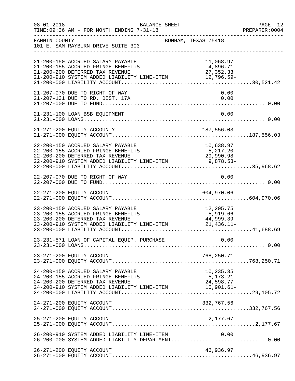| $08 - 01 - 2018$ | BALANCE SHEET<br>TIME: 09:36 AM - FOR MONTH ENDING 7-31-18                                                                                                                                                                                              |                     |                                     | PAGE 12<br>PREPARER: 0004 |
|------------------|---------------------------------------------------------------------------------------------------------------------------------------------------------------------------------------------------------------------------------------------------------|---------------------|-------------------------------------|---------------------------|
| FANNIN COUNTY    | 101 E. SAM RAYBURN DRIVE SUITE 303                                                                                                                                                                                                                      | BONHAM, TEXAS 75418 |                                     |                           |
|                  | 21-200-150 ACCRUED SALARY PAYABLE<br>21-200-155 ACCRUED FRINGE BENEFITS<br>21-200-200 DEFERRED TAX REVENUE<br>21-200-200 DEFERRED TAX REVENUE<br>21-200-910 SYSTEM ADDED LIABILITY LINE-ITEM $21-200-910$ SYSTEM ADDED LIABILITY LINE-ITEM $12,796.59-$ |                     | 11,068.97<br>4,896.71<br>27, 352.33 |                           |
|                  | 21-207-070 DUE TO RIGHT OF WAY<br>21-207-131 DUE TO RD. DIST. 17A                                                                                                                                                                                       |                     | 0.00<br>0.00                        |                           |
|                  | 21-231-100 LOAN BSB EQUIPMENT                                                                                                                                                                                                                           |                     | 0.00                                |                           |
|                  |                                                                                                                                                                                                                                                         |                     |                                     |                           |
|                  | 22-200-150 ACCRUED SALARY PAYABLE<br>22-200-155 ACCRUED FRINGE BENEFITS 5,217.20<br>22-200-200 DEFERRED TAX REVENUE 29,990.98<br>22-200-910 SYSTEM ADDED LIABILITY LINE-ITEM 9,878.53-                                                                  |                     | 10,638.97                           |                           |
|                  | 22-207-070 DUE TO RIGHT OF WAY                                                                                                                                                                                                                          |                     | 0.00                                |                           |
|                  |                                                                                                                                                                                                                                                         |                     |                                     |                           |
|                  | 23-200-150 ACCRUED SALARY PAYABLE<br>23-200-155 ACCRUED FRINGE BENEFITS<br>23-200-200 DEFERRED TAX REVENUE<br>23-200-910 SYSTEM ADDED LIABILITY LINE-ITEM 21,436.11-                                                                                    | ITS <b>Service</b>  | 12, 205.75<br>5,919.66              |                           |
|                  |                                                                                                                                                                                                                                                         |                     |                                     |                           |
|                  | 23-271-200 EQUITY ACCOUNT                                                                                                                                                                                                                               |                     | 768,250.71                          |                           |
|                  | 24-200-150 ACCRUED SALARY PAYABLE<br>24-200-155 ACCRUED FRINGE BENEFITS<br>24-200-200 DEFERRED TAX REVENUE                                                                                                                                              |                     | 10,235.35<br>5,173.21<br>24,598.77  |                           |
|                  | 24-271-200 EQUITY ACCOUNT                                                                                                                                                                                                                               |                     | 332,767.56                          |                           |
|                  |                                                                                                                                                                                                                                                         |                     |                                     |                           |
|                  | 26-200-910 SYSTEM ADDED LIABILITY LINE-ITEM<br>26-200-000 SYSTEM ADDED LIABILITY DEPARTMENT 0.00                                                                                                                                                        |                     | 0.00                                |                           |
|                  | 26-271-200 EQUITY ACCOUNT                                                                                                                                                                                                                               |                     | 46,936.97                           |                           |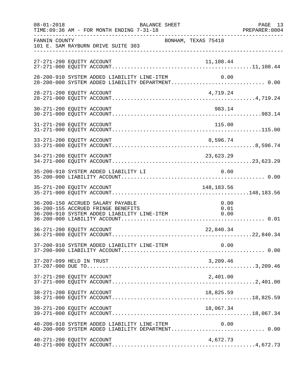| $08 - 01 - 2018$ | BALANCE SHEET<br>TIME: 09:36 AM - FOR MONTH ENDING 7-31-18                                                                                     | PAGE 13<br>PREPARER: 0004 |
|------------------|------------------------------------------------------------------------------------------------------------------------------------------------|---------------------------|
| FANNIN COUNTY    | BONHAM, TEXAS 75418<br>101 E. SAM RAYBURN DRIVE SUITE 303                                                                                      |                           |
|                  | 27-271-200 EQUITY ACCOUNT<br>11,108.44                                                                                                         |                           |
|                  | 28-200-910 SYSTEM ADDED LIABILITY LINE-ITEM<br>0.00<br>28-200-000 SYSTEM ADDED LIABILITY DEPARTMENT 0.00                                       |                           |
|                  | 28-271-200 EQUITY ACCOUNT<br>4,719.24                                                                                                          |                           |
|                  | 983.14<br>30-271-200 EQUITY ACCOUNT                                                                                                            |                           |
|                  |                                                                                                                                                |                           |
|                  | 33-271-200 EQUITY ACCOUNT<br>8,596.74                                                                                                          |                           |
|                  | 34-271-200 EQUITY ACCOUNT<br>23,623.29                                                                                                         |                           |
|                  | 0.00<br>35-200-910 SYSTEM ADDED LIABILITY LI                                                                                                   |                           |
|                  | 35-271-200 EQUITY ACCOUNT<br>148,183.56                                                                                                        |                           |
|                  | 36-200-150 ACCRUED SALARY PAYABLE<br>0.00<br>36-200-155 ACCRUED FRINGE BENEFITS<br>0.01<br>36-200-910 SYSTEM ADDED LIABILITY LINE-ITEM<br>0.00 |                           |
|                  | 36-271-200 EQUITY ACCOUNT<br>22,840.34                                                                                                         |                           |
|                  | 37-200-910 SYSTEM ADDED LIABILITY LINE-ITEM<br>0.00                                                                                            |                           |
|                  | 37-207-099 HELD IN TRUST<br>3,209.46                                                                                                           |                           |
|                  | 37-271-200 EQUITY ACCOUNT<br>2,401.00                                                                                                          |                           |
|                  | 38-271-200 EQUITY ACCOUNT<br>18,825.59                                                                                                         |                           |
|                  | 39-271-200 EQUITY ACCOUNT<br>18,067.34                                                                                                         |                           |
|                  | $40-200-910$ SYSTEM ADDED LIABILITY LINE-ITEM $0.00$<br>$40-200-000$ SYSTEM ADDED LIABILITY DEPARTMENT0.00                                     |                           |
|                  | 40-271-200 EQUITY ACCOUNT<br>4,672.73                                                                                                          |                           |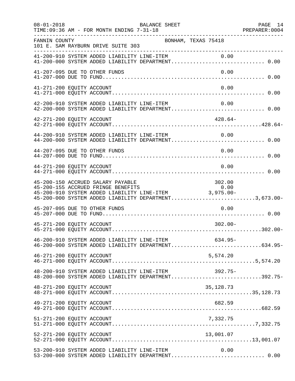| $08 - 01 - 2018$          | TIME: 09:36 AM - FOR MONTH ENDING 7-31-18   | BALANCE SHEET                                                                                                                                                                                  |            | PAGE 14 |
|---------------------------|---------------------------------------------|------------------------------------------------------------------------------------------------------------------------------------------------------------------------------------------------|------------|---------|
| FANNIN COUNTY             | 101 E. SAM RAYBURN DRIVE SUITE 303          | BONHAM, TEXAS 75418                                                                                                                                                                            |            |         |
|                           |                                             | 41-200-910 SYSTEM ADDED LIABILITY LINE-ITEM 0.00<br>41-200-000 SYSTEM ADDED LIABILITY DEPARTMENT 0.00                                                                                          |            |         |
|                           | 41-207-095 DUE TO OTHER FUNDS               |                                                                                                                                                                                                | 0.00       |         |
| 41-271-200 EQUITY ACCOUNT |                                             |                                                                                                                                                                                                | 0.00       |         |
|                           |                                             | 42-200-910 SYSTEM ADDED LIABILITY LINE-ITEM<br>42-200-000 SYSTEM ADDED LIABILITY DEPARTMENT 0.00                                                                                               | 0.00       |         |
| 42-271-200 EQUITY ACCOUNT |                                             |                                                                                                                                                                                                | $428.64-$  |         |
|                           | 44-200-910 SYSTEM ADDED LIABILITY LINE-ITEM | 44-200-000 SYSTEM ADDED LIABILITY DEPARTMENT 0.00                                                                                                                                              | 0.00       |         |
|                           | 44-207-095 DUE TO OTHER FUNDS               |                                                                                                                                                                                                | 0.00       |         |
| 44-271-200 EQUITY ACCOUNT |                                             |                                                                                                                                                                                                | 0.00       |         |
|                           | 45-200-150 ACCRUED SALARY PAYABLE           | 45-200-150 ACCROED SALARY PAYABLE<br>45-200-155 ACCROED FRINGE BENEFITS 0.00<br>45-200-910 SYSTEM ADDED LIABILITY LINE-ITEM 3,975.00-<br>45-200-000 SYSTEM ADDED LIABILITY DEPARTMENT3,673.00- | 302.00     |         |
|                           | 45-207-095 DUE TO OTHER FUNDS               |                                                                                                                                                                                                | 0.00       |         |
| 45-271-200 EQUITY ACCOUNT |                                             |                                                                                                                                                                                                | $302.00 -$ |         |
|                           |                                             | 46-200-910 SYSTEM ADDED LIABILITY LINE-ITEM<br>46-200-000 SYSTEM ADDED LIABILITY DEPARTMENT634.95-                                                                                             | $634.95-$  |         |
| 46-271-200 EQUITY ACCOUNT |                                             |                                                                                                                                                                                                | 5,574.20   |         |
|                           |                                             | 48-200-910 SYSTEM ADDED LIABILITY LINE-ITEM 392.75-<br>48-200-000 SYSTEM ADDED LIABILITY DEPARTMENT392.75-                                                                                     |            |         |
| 48-271-200 EQUITY ACCOUNT |                                             |                                                                                                                                                                                                | 35,128.73  |         |
| 49-271-200 EQUITY ACCOUNT |                                             |                                                                                                                                                                                                | 682.59     |         |
| 51-271-200 EQUITY ACCOUNT |                                             |                                                                                                                                                                                                | 7,332.75   |         |
| 52-271-200 EQUITY ACCOUNT |                                             |                                                                                                                                                                                                | 13,001.07  |         |
|                           | 53-200-910 SYSTEM ADDED LIABILITY LINE-ITEM | 53-200-000 SYSTEM ADDED LIABILITY DEPARTMENT 0.00                                                                                                                                              | 0.00       |         |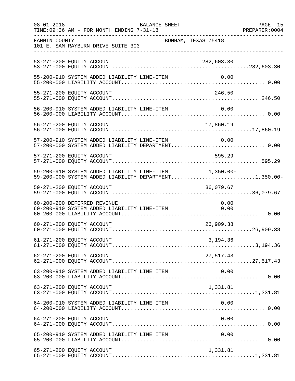| $08 - 01 - 2018$ | BALANCE SHEET<br>TIME: 09:36 AM - FOR MONTH ENDING 7-31-18                                                     | PAGE 15<br>PREPARER: 0004 |
|------------------|----------------------------------------------------------------------------------------------------------------|---------------------------|
| FANNIN COUNTY    | BONHAM, TEXAS 75418<br>101 E. SAM RAYBURN DRIVE SUITE 303<br>-----------------------------                     |                           |
|                  | 53-271-200 EQUITY ACCOUNT<br>282,603.30                                                                        |                           |
|                  | 55-200-910 SYSTEM ADDED LIABILITY LINE-ITEM<br>0.00                                                            |                           |
|                  | 55-271-200 EQUITY ACCOUNT<br>246.50                                                                            |                           |
|                  | 56-200-910 SYSTEM ADDED LIABILITY LINE-ITEM<br>0.00                                                            |                           |
|                  |                                                                                                                |                           |
|                  | 57-200-910 SYSTEM ADDED LIABILITY LINE-ITEM<br>0.00<br>57-200-000 SYSTEM ADDED LIABILITY DEPARTMENT 0.00       |                           |
|                  | 57-271-200 EQUITY ACCOUNT<br>595.29                                                                            |                           |
|                  | 59-200-910 SYSTEM ADDED LIABILITY LINE-ITEM 1,350.00-<br>59-200-000 SYSTEM ADDED LIABILITY DEPARTMENT1,350.00- |                           |
|                  | 59-271-200 EQUITY ACCOUNT<br>36,079.67                                                                         |                           |
|                  | 60-200-200 DEFERRED REVENUE<br>0.00<br>60-200-910 SYSTEM ADDED LIABILITY LINE-ITEM 0.00                        |                           |
|                  | 26,909.38<br>60-271-200 EQUITY ACCOUNT                                                                         |                           |
|                  | 61-271-200 EQUITY ACCOUNT<br>3,194.36                                                                          |                           |
|                  | 62-271-200 EQUITY ACCOUNT<br>27,517.43                                                                         |                           |
|                  | 63-200-910 SYSTEM ADDED LIABILITY LINE ITEM<br>0.00                                                            |                           |
|                  | 63-271-200 EQUITY ACCOUNT<br>1,331.81                                                                          |                           |
|                  | 64-200-910 SYSTEM ADDED LIABILITY LINE ITEM<br>0.00                                                            |                           |
|                  | 64-271-200 EQUITY ACCOUNT<br>0.00                                                                              |                           |
|                  | 65-200-910 SYSTEM ADDED LIABILITY LINE ITEM<br>0.00                                                            |                           |
|                  | 65-271-200 EQUITY ACCOUNT<br>1,331.81                                                                          |                           |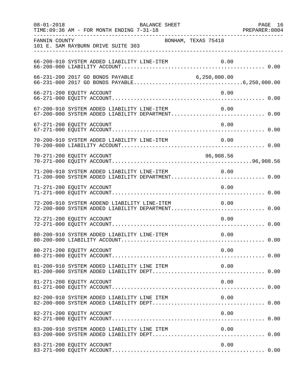| $08 - 01 - 2018$          | TIME: 09:36 AM - FOR MONTH ENDING 7-31-18        | BALANCE SHEET       |                                                                                                       | PAGE 16 |
|---------------------------|--------------------------------------------------|---------------------|-------------------------------------------------------------------------------------------------------|---------|
| FANNIN COUNTY             | 101 E. SAM RAYBURN DRIVE SUITE 303               | BONHAM, TEXAS 75418 |                                                                                                       |         |
|                           | 66-200-910 SYSTEM ADDED LIABILITY LINE-ITEM      |                     |                                                                                                       |         |
|                           |                                                  |                     |                                                                                                       |         |
| 66-271-200 EQUITY ACCOUNT |                                                  |                     | 0.00                                                                                                  |         |
|                           |                                                  |                     | 67-200-910 SYSTEM ADDED LIABILITY LINE-ITEM 0.00<br>67-200-000 SYSTEM ADDED LIABILITY DEPARTMENT 0.00 |         |
| 67-271-200 EQUITY ACCOUNT |                                                  |                     | 0.00                                                                                                  |         |
|                           | 70-200-910 SYSTEM ADDED LIABILITY LINE-ITEM      |                     | 0.00                                                                                                  |         |
| 70-271-200 EQUITY ACCOUNT |                                                  |                     | 96,908.56                                                                                             |         |
|                           | 71-200-910 SYSTEM ADDED LIABILITY LINE-ITEM 0.00 |                     | 71-200-000 SYSTEM ADDED LIABILITY DEPARTMENT 0.00                                                     |         |
| 71-271-200 EQUITY ACCOUNT |                                                  |                     | 0.00                                                                                                  |         |
|                           | 72-200-910 SYSTEM ADDEND LIABILITY LINE-ITEM     |                     | 0.00<br>72-200-000 SYSTEM ADDED LIABILITY DEPARTMENT 0.00                                             |         |
| 72-271-200 EQUITY ACCOUNT |                                                  |                     | 0.00                                                                                                  |         |
|                           | 80-200-910 SYSTEM ADDED LIABILITY LINE-ITEM      |                     | 0.00                                                                                                  |         |
| 80-271-200 EQUITY ACCOUNT |                                                  |                     | 0.00                                                                                                  |         |
|                           | 81-200-910 SYSTEM ADDED LIABILITY LINE ITEM      |                     | 0.00                                                                                                  |         |
| 81-271-200 EQUITY ACCOUNT |                                                  |                     | 0.00                                                                                                  |         |
|                           | 82-200-910 SYSTEM ADDED LIABILITY LINE ITEM      |                     | 0.00                                                                                                  |         |
| 82-271-200 EQUITY ACCOUNT |                                                  |                     | 0.00                                                                                                  |         |
|                           | 83-200-910 SYSTEM ADDED LIABILITY LINE ITEM      |                     | 0.00                                                                                                  |         |
| 83-271-200 EQUITY ACCOUNT |                                                  |                     | 0.00                                                                                                  |         |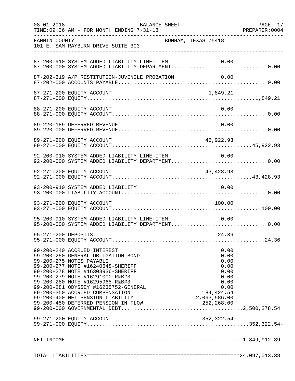|                     | TIME: 09:36 AM - FOR MONTH ENDING 7-31-18                                                                                                                                                                                                                                                                                                                    |                                                                                             |  |
|---------------------|--------------------------------------------------------------------------------------------------------------------------------------------------------------------------------------------------------------------------------------------------------------------------------------------------------------------------------------------------------------|---------------------------------------------------------------------------------------------|--|
| FANNIN COUNTY       | 101 E. SAM RAYBURN DRIVE SUITE 303                                                                                                                                                                                                                                                                                                                           | BONHAM, TEXAS 75418                                                                         |  |
|                     | 87-200-910 SYSTEM ADDED LIABILITY LINE-ITEM                                                                                                                                                                                                                                                                                                                  | 0.00                                                                                        |  |
|                     | 87-202-319 A/P RESTITUTION-JUVENILE PROBATION                                                                                                                                                                                                                                                                                                                | 0.00                                                                                        |  |
|                     | 87-271-200 EQUITY ACCOUNT                                                                                                                                                                                                                                                                                                                                    | 1,849.21                                                                                    |  |
|                     | 88-271-200 EQUITY ACCOUNT                                                                                                                                                                                                                                                                                                                                    | 0.00                                                                                        |  |
|                     | 89-220-189 DEFERRED REVENUE                                                                                                                                                                                                                                                                                                                                  | 0.00                                                                                        |  |
|                     | 89-271-200 EQUITY ACCOUNT                                                                                                                                                                                                                                                                                                                                    | 45,922.93                                                                                   |  |
|                     | 92-200-910 SYSTEM ADDED LIABILITY LINE-ITEM<br>92-200-000 SYSTEM ADDED LIABILITY DEPARTMENT 0.00                                                                                                                                                                                                                                                             | 0.00                                                                                        |  |
|                     | 92-271-200 EQUITY ACCOUNT                                                                                                                                                                                                                                                                                                                                    | 43,428.93                                                                                   |  |
|                     | 93-200-910 SYSTEM ADDED LIABILITY                                                                                                                                                                                                                                                                                                                            | 0.00                                                                                        |  |
|                     | 93-271-200 EQUITY ACCOUNT                                                                                                                                                                                                                                                                                                                                    | 100.00                                                                                      |  |
|                     | 95-200-910 SYSTEM ADDED LIABILITY LINE-ITEM 0.00<br>95-200-000 SYSTEM ADDED LIABILITY DEPARTMENT 0.00                                                                                                                                                                                                                                                        |                                                                                             |  |
| 95-271-200 DEPOSITS |                                                                                                                                                                                                                                                                                                                                                              | 24.36                                                                                       |  |
|                     | 99-200-240 ACCRUED INTEREST<br>99-200-250 GENERAL OBLIGATION BOND<br>99-200-275 NOTES PAYABLE<br>99-200-277 NOTE #16240648-SHERIFF<br>99-200-278 NOTE #16308936-SHERIFF<br>99-200-279 NOTE #16291000-R&B#3<br>99-200-280 NOTE #16295968-R&B#3<br>99-200-281 ODYSSEY #16235752-GENERAL<br>99-200-350 ACCRUED COMPENSATION<br>99-200-400 NET PENSION LIABILITY | 0.00<br>0.00<br>0.00<br>0.00<br>0.00<br>0.00<br>0.00<br>0.00<br>184, 424.54<br>2,063,586.00 |  |
|                     |                                                                                                                                                                                                                                                                                                                                                              |                                                                                             |  |
|                     |                                                                                                                                                                                                                                                                                                                                                              |                                                                                             |  |
|                     |                                                                                                                                                                                                                                                                                                                                                              |                                                                                             |  |
|                     |                                                                                                                                                                                                                                                                                                                                                              |                                                                                             |  |